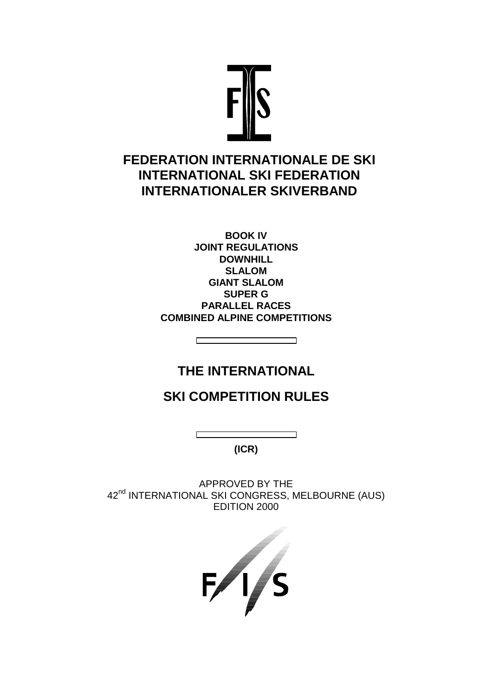

# **FEDERATION INTERNATIONALE DE SKI INTERNATIONAL SKI FEDERATION INTERNATIONALER SKIVERBAND**

**BOOK IV JOINT REGULATIONS DOWNHILL SLALOM GIANT SLALOM SUPER G PARALLEL RACES COMBINED ALPINE COMPETITIONS** 

# **THE INTERNATIONAL**

┑

┌

# **SKI COMPETITION RULES**

**(ICR)** 

APPROVED BY THE 42<sup>nd</sup> INTERNATIONAL SKI CONGRESS, MELBOURNE (AUS) EDITION 2000

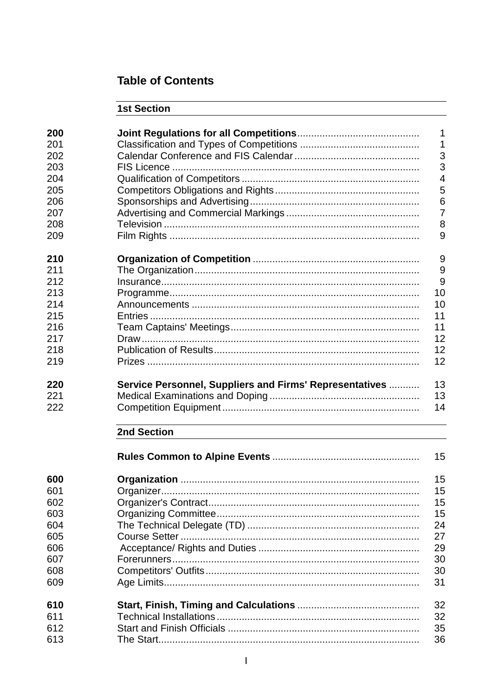# **Table of Contents**

# 1st Section

| 200 |                                                         | 1              |
|-----|---------------------------------------------------------|----------------|
| 201 |                                                         | 1              |
| 202 |                                                         | 3              |
| 203 |                                                         | 3              |
| 204 |                                                         | $\overline{4}$ |
|     |                                                         |                |
| 205 |                                                         | 5              |
| 206 |                                                         | 6              |
| 207 |                                                         | $\overline{7}$ |
| 208 |                                                         | 8              |
| 209 |                                                         | 9              |
| 210 |                                                         | 9              |
| 211 |                                                         | 9              |
| 212 |                                                         | 9              |
| 213 |                                                         | 10             |
| 214 |                                                         | 10             |
| 215 |                                                         | 11             |
| 216 |                                                         | 11             |
| 217 |                                                         | 12             |
| 218 |                                                         | 12             |
|     |                                                         | 12             |
| 219 |                                                         |                |
| 220 | Service Personnel, Suppliers and Firms' Representatives | 13             |
| 221 |                                                         | 13             |
|     |                                                         |                |
| 222 |                                                         | 14             |
|     | 2nd Section                                             |                |
|     |                                                         | 15             |
| 600 |                                                         | 15             |
| 601 | Organizer                                               | 15             |
| 602 |                                                         | 15             |
| 603 |                                                         | 15             |
| 604 |                                                         | 24             |
|     |                                                         |                |
| 605 |                                                         | 27             |
| 606 |                                                         | 29             |
| 607 |                                                         | 30             |
| 608 |                                                         | 30             |
| 609 |                                                         | 31             |
| 610 |                                                         | 32             |
| 611 |                                                         | 32             |
| 612 |                                                         | 35             |
| 613 |                                                         | 36             |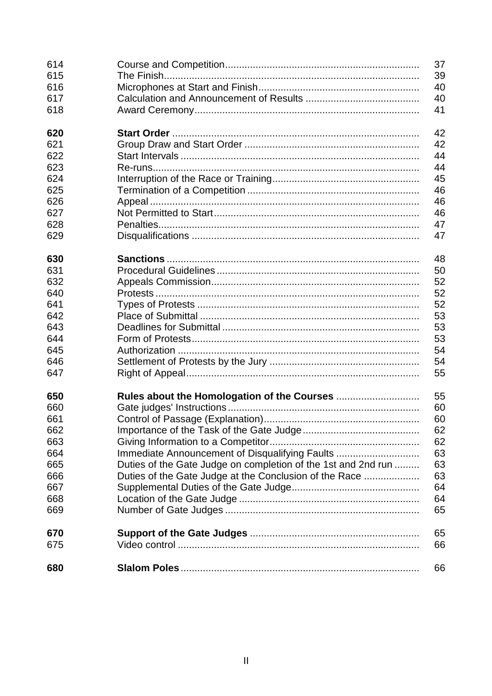| 680 |                                                               | 66       |
|-----|---------------------------------------------------------------|----------|
| 675 |                                                               | 66       |
| 670 |                                                               | 65       |
| 669 |                                                               | 65       |
| 668 |                                                               | 64       |
| 667 |                                                               | 64       |
| 666 | Duties of the Gate Judge at the Conclusion of the Race        | 63       |
| 665 | Duties of the Gate Judge on completion of the 1st and 2nd run | 63       |
| 664 | Immediate Announcement of Disqualifying Faults                | 63       |
| 663 |                                                               | 62       |
| 662 |                                                               | 62       |
|     |                                                               |          |
| 661 |                                                               | 60       |
| 660 |                                                               | 60       |
| 650 |                                                               | 55       |
| 647 |                                                               | 55       |
| 646 |                                                               | 54       |
| 645 |                                                               | 54       |
| 644 |                                                               | 53       |
| 643 |                                                               | 53       |
| 642 |                                                               | 53       |
| 641 |                                                               | 52       |
| 640 |                                                               | 52       |
| 632 |                                                               | 52       |
| 631 |                                                               | 50       |
| 630 |                                                               | 48       |
| 629 |                                                               | 47       |
| 628 |                                                               | 47       |
| 627 |                                                               | 46       |
| 626 |                                                               | 46       |
| 625 |                                                               | 46       |
| 624 |                                                               | 45       |
| 623 |                                                               | 44       |
| 622 |                                                               |          |
| 621 |                                                               | 42<br>44 |
| 620 |                                                               | 42       |
|     |                                                               |          |
| 618 |                                                               | 41       |
| 617 |                                                               | 40       |
| 616 |                                                               | 40       |
| 615 |                                                               | 39       |
| 614 |                                                               | 37       |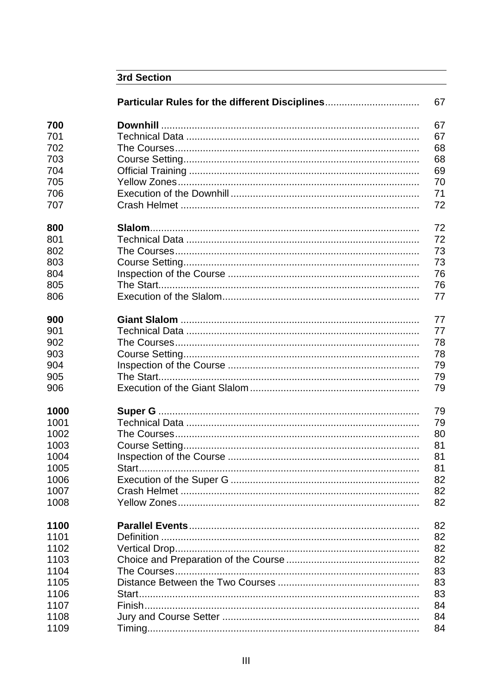|      | <b>3rd Section</b>                             |    |
|------|------------------------------------------------|----|
|      | Particular Rules for the different Disciplines | 67 |
| 700  |                                                | 67 |
| 701  |                                                | 67 |
| 702  |                                                | 68 |
| 703  |                                                | 68 |
| 704  |                                                | 69 |
| 705  |                                                | 70 |
| 706  |                                                | 71 |
| 707  |                                                | 72 |
| 800  |                                                | 72 |
| 801  |                                                | 72 |
| 802  |                                                | 73 |
| 803  |                                                | 73 |
| 804  |                                                | 76 |
| 805  |                                                | 76 |
| 806  |                                                | 77 |
| 900  |                                                | 77 |
| 901  |                                                | 77 |
| 902  |                                                | 78 |
| 903  |                                                | 78 |
| 904  |                                                | 79 |
| 905  |                                                | 79 |
| 906  |                                                | 79 |
| 1000 |                                                | 79 |
| 1001 |                                                | 79 |
| 1002 |                                                | 80 |
| 1003 |                                                | 81 |
| 1004 |                                                | 81 |
| 1005 | Start                                          | 81 |
| 1006 |                                                | 82 |
| 1007 |                                                | 82 |
| 1008 |                                                | 82 |
| 1100 |                                                | 82 |
| 1101 |                                                | 82 |
| 1102 |                                                | 82 |
| 1103 |                                                | 82 |
| 1104 |                                                | 83 |
| 1105 |                                                | 83 |
| 1106 |                                                | 83 |
| 1107 |                                                | 84 |
| 1108 |                                                | 84 |
| 1109 |                                                | 84 |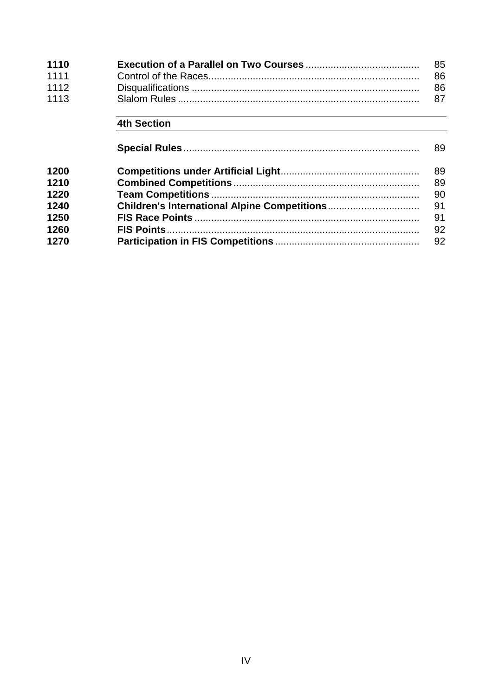| 1110 | -85 |
|------|-----|
| 1111 | -86 |
| 1112 | 86  |
| 1113 |     |

# 4th Section

|      | 89 |
|------|----|
| 1200 | 89 |
| 1210 | 89 |
| 1220 | 90 |
| 1240 | 91 |
| 1250 | 91 |
| 1260 | 92 |
| 1270 | 92 |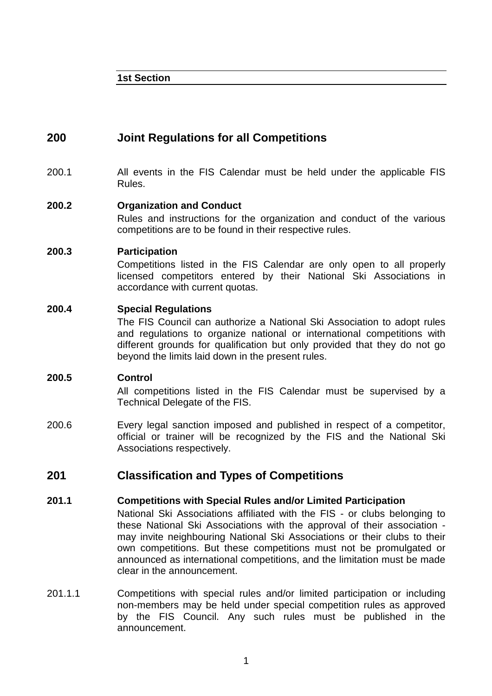**1st Section** 

# **200 Joint Regulations for all Competitions**

200.1 All events in the FIS Calendar must be held under the applicable FIS Rules.

### **200.2 Organization and Conduct**

 Rules and instructions for the organization and conduct of the various competitions are to be found in their respective rules.

#### **200.3 Participation**

 Competitions listed in the FIS Calendar are only open to all properly licensed competitors entered by their National Ski Associations in accordance with current quotas.

### **200.4 Special Regulations**

 The FIS Council can authorize a National Ski Association to adopt rules and regulations to organize national or international competitions with different grounds for qualification but only provided that they do not go beyond the limits laid down in the present rules.

#### **200.5 Control**

 All competitions listed in the FIS Calendar must be supervised by a Technical Delegate of the FIS.

200.6 Every legal sanction imposed and published in respect of a competitor, official or trainer will be recognized by the FIS and the National Ski Associations respectively.

# **201 Classification and Types of Competitions**

#### **201.1 Competitions with Special Rules and/or Limited Participation**

- National Ski Associations affiliated with the FIS or clubs belonging to these National Ski Associations with the approval of their association may invite neighbouring National Ski Associations or their clubs to their own competitions. But these competitions must not be promulgated or announced as international competitions, and the limitation must be made clear in the announcement.
- 201.1.1 Competitions with special rules and/or limited participation or including non-members may be held under special competition rules as approved by the FIS Council. Any such rules must be published in the announcement.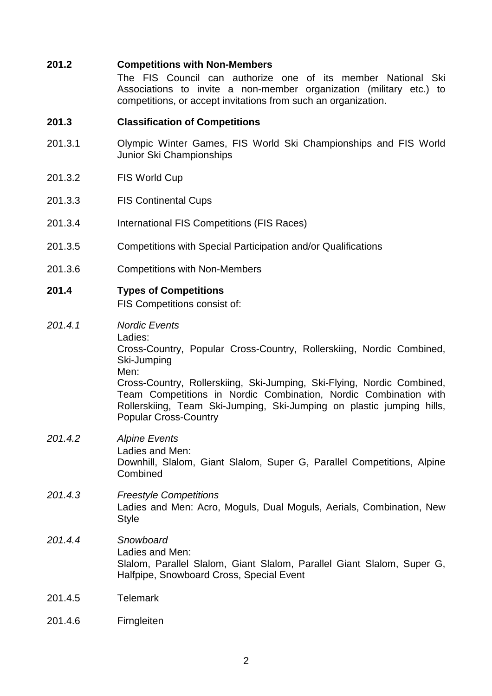#### **201.2 Competitions with Non-Members**

 The FIS Council can authorize one of its member National Ski Associations to invite a non-member organization (military etc.) to competitions, or accept invitations from such an organization.

#### **201.3 Classification of Competitions**

- 201.3.1 Olympic Winter Games, FIS World Ski Championships and FIS World Junior Ski Championships
- 201.3.2 FIS World Cup
- 201.3.3 FIS Continental Cups
- 201.3.4 International FIS Competitions (FIS Races)
- 201.3.5 Competitions with Special Participation and/or Qualifications
- 201.3.6 Competitions with Non-Members

# **201.4 Types of Competitions**

**Combined** 

FIS Competitions consist of:

201.4.1 Nordic Events Ladies: Cross-Country, Popular Cross-Country, Rollerskiing, Nordic Combined, Ski-Jumping Men: Cross-Country, Rollerskiing, Ski-Jumping, Ski-Flying, Nordic Combined, Team Competitions in Nordic Combination, Nordic Combination with Rollerskiing, Team Ski-Jumping, Ski-Jumping on plastic jumping hills,

# Popular Cross-Country 201.4.2 Alpine Events Ladies and Men: Downhill, Slalom, Giant Slalom, Super G, Parallel Competitions, Alpine

# 201.4.3 Freestyle Competitions Ladies and Men: Acro, Moguls, Dual Moguls, Aerials, Combination, New **Style**

#### 201.4.4 Snowboard Ladies and Men: Slalom, Parallel Slalom, Giant Slalom, Parallel Giant Slalom, Super G, Halfpipe, Snowboard Cross, Special Event

- 201.4.5 Telemark
- 201.4.6 Firngleiten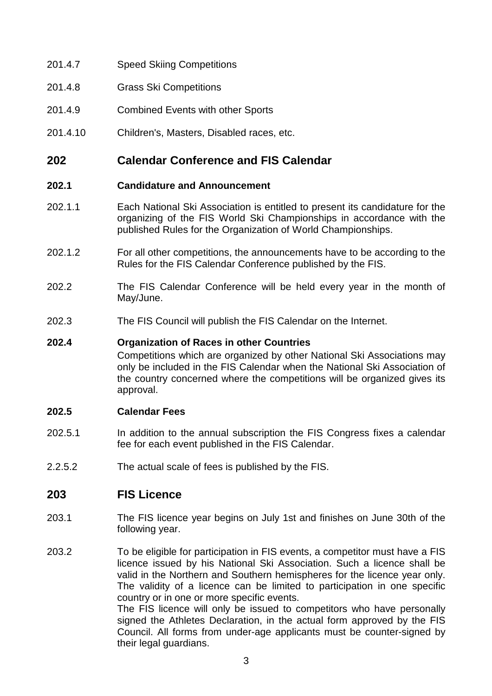- 201.4.7 Speed Skiing Competitions
- 201.4.8 Grass Ski Competitions
- 201.4.9 Combined Events with other Sports
- 201.4.10 Children's, Masters, Disabled races, etc.

# **202 Calendar Conference and FIS Calendar**

#### **202.1 Candidature and Announcement**

- 202.1.1 Each National Ski Association is entitled to present its candidature for the organizing of the FIS World Ski Championships in accordance with the published Rules for the Organization of World Championships.
- 202.1.2 For all other competitions, the announcements have to be according to the Rules for the FIS Calendar Conference published by the FIS.
- 202.2 The FIS Calendar Conference will be held every year in the month of May/June.
- 202.3 The FIS Council will publish the FIS Calendar on the Internet.

#### **202.4 Organization of Races in other Countries**

 Competitions which are organized by other National Ski Associations may only be included in the FIS Calendar when the National Ski Association of the country concerned where the competitions will be organized gives its approval.

#### **202.5 Calendar Fees**

- 202.5.1 In addition to the annual subscription the FIS Congress fixes a calendar fee for each event published in the FIS Calendar.
- 2.2.5.2 The actual scale of fees is published by the FIS.

# **203 FIS Licence**

- 203.1 The FIS licence year begins on July 1st and finishes on June 30th of the following year.
- 203.2 To be eligible for participation in FIS events, a competitor must have a FIS licence issued by his National Ski Association. Such a licence shall be valid in the Northern and Southern hemispheres for the licence year only. The validity of a licence can be limited to participation in one specific country or in one or more specific events. The FIS licence will only be issued to competitors who have personally signed the Athletes Declaration, in the actual form approved by the FIS Council. All forms from under-age applicants must be counter-signed by their legal guardians.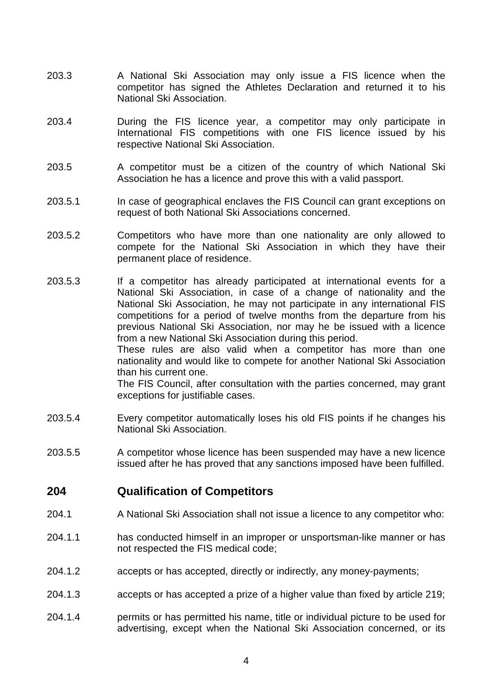- 203.3 A National Ski Association may only issue a FIS licence when the competitor has signed the Athletes Declaration and returned it to his National Ski Association.
- 203.4 During the FIS licence year, a competitor may only participate in International FIS competitions with one FIS licence issued by his respective National Ski Association.
- 203.5 A competitor must be a citizen of the country of which National Ski Association he has a licence and prove this with a valid passport.
- 203.5.1 In case of geographical enclaves the FIS Council can grant exceptions on request of both National Ski Associations concerned.
- 203.5.2 Competitors who have more than one nationality are only allowed to compete for the National Ski Association in which they have their permanent place of residence.
- 203.5.3 If a competitor has already participated at international events for a National Ski Association, in case of a change of nationality and the National Ski Association, he may not participate in any international FIS competitions for a period of twelve months from the departure from his previous National Ski Association, nor may he be issued with a licence from a new National Ski Association during this period. These rules are also valid when a competitor has more than one

nationality and would like to compete for another National Ski Association than his current one.

 The FIS Council, after consultation with the parties concerned, may grant exceptions for justifiable cases.

- 203.5.4 Every competitor automatically loses his old FIS points if he changes his National Ski Association.
- 203.5.5 A competitor whose licence has been suspended may have a new licence issued after he has proved that any sanctions imposed have been fulfilled.

# **204 Qualification of Competitors**

- 204.1 A National Ski Association shall not issue a licence to any competitor who:
- 204.1.1 has conducted himself in an improper or unsportsman-like manner or has not respected the FIS medical code;
- 204.1.2 accepts or has accepted, directly or indirectly, any money-payments;
- 204.1.3 accepts or has accepted a prize of a higher value than fixed by article 219;
- 204.1.4 permits or has permitted his name, title or individual picture to be used for advertising, except when the National Ski Association concerned, or its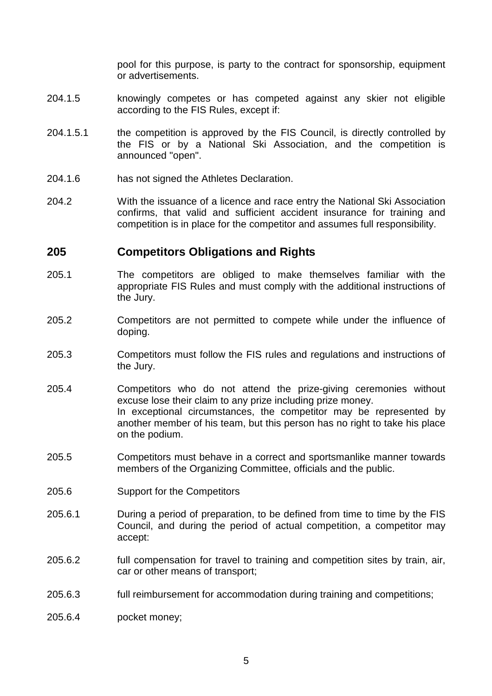pool for this purpose, is party to the contract for sponsorship, equipment or advertisements.

- 204.1.5 knowingly competes or has competed against any skier not eligible according to the FIS Rules, except if:
- 204.1.5.1 the competition is approved by the FIS Council, is directly controlled by the FIS or by a National Ski Association, and the competition is announced "open".
- 204.1.6 has not signed the Athletes Declaration.
- 204.2 With the issuance of a licence and race entry the National Ski Association confirms, that valid and sufficient accident insurance for training and competition is in place for the competitor and assumes full responsibility.

# **205 Competitors Obligations and Rights**

- 205.1 The competitors are obliged to make themselves familiar with the appropriate FIS Rules and must comply with the additional instructions of the Jury.
- 205.2 Competitors are not permitted to compete while under the influence of doping.
- 205.3 Competitors must follow the FIS rules and regulations and instructions of the Jury.
- 205.4 Competitors who do not attend the prize-giving ceremonies without excuse lose their claim to any prize including prize money. In exceptional circumstances, the competitor may be represented by another member of his team, but this person has no right to take his place on the podium.
- 205.5 Competitors must behave in a correct and sportsmanlike manner towards members of the Organizing Committee, officials and the public.
- 205.6 Support for the Competitors
- 205.6.1 During a period of preparation, to be defined from time to time by the FIS Council, and during the period of actual competition, a competitor may accept:
- 205.6.2 full compensation for travel to training and competition sites by train, air, car or other means of transport;
- 205.6.3 full reimbursement for accommodation during training and competitions;
- 205.6.4 pocket money;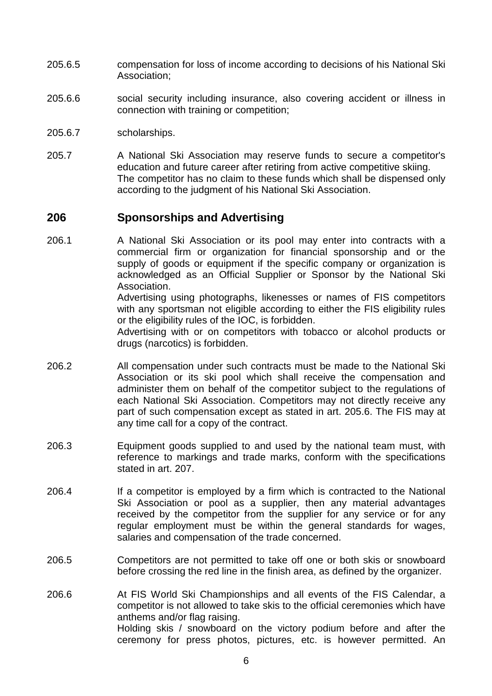- 205.6.5 compensation for loss of income according to decisions of his National Ski Association;
- 205.6.6 social security including insurance, also covering accident or illness in connection with training or competition;
- 205.6.7 scholarships.
- 205.7 A National Ski Association may reserve funds to secure a competitor's education and future career after retiring from active competitive skiing. The competitor has no claim to these funds which shall be dispensed only according to the judgment of his National Ski Association.

# **206 Sponsorships and Advertising**

- 206.1 A National Ski Association or its pool may enter into contracts with a commercial firm or organization for financial sponsorship and or the supply of goods or equipment if the specific company or organization is acknowledged as an Official Supplier or Sponsor by the National Ski **Association**  Advertising using photographs, likenesses or names of FIS competitors with any sportsman not eligible according to either the FIS eligibility rules or the eligibility rules of the IOC, is forbidden. Advertising with or on competitors with tobacco or alcohol products or drugs (narcotics) is forbidden.
- 206.2 All compensation under such contracts must be made to the National Ski Association or its ski pool which shall receive the compensation and administer them on behalf of the competitor subject to the regulations of each National Ski Association. Competitors may not directly receive any part of such compensation except as stated in art. 205.6. The FIS may at any time call for a copy of the contract.
- 206.3 Equipment goods supplied to and used by the national team must, with reference to markings and trade marks, conform with the specifications stated in art. 207.
- 206.4 If a competitor is employed by a firm which is contracted to the National Ski Association or pool as a supplier, then any material advantages received by the competitor from the supplier for any service or for any regular employment must be within the general standards for wages, salaries and compensation of the trade concerned.
- 206.5 Competitors are not permitted to take off one or both skis or snowboard before crossing the red line in the finish area, as defined by the organizer.
- 206.6 At FIS World Ski Championships and all events of the FIS Calendar, a competitor is not allowed to take skis to the official ceremonies which have anthems and/or flag raising. Holding skis / snowboard on the victory podium before and after the ceremony for press photos, pictures, etc. is however permitted. An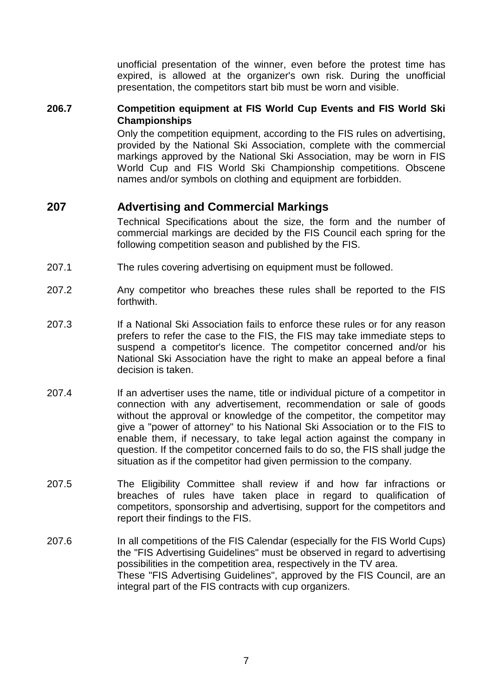unofficial presentation of the winner, even before the protest time has expired, is allowed at the organizer's own risk. During the unofficial presentation, the competitors start bib must be worn and visible.

#### **206.7 Competition equipment at FIS World Cup Events and FIS World Ski Championships**

 Only the competition equipment, according to the FIS rules on advertising, provided by the National Ski Association, complete with the commercial markings approved by the National Ski Association, may be worn in FIS World Cup and FIS World Ski Championship competitions. Obscene names and/or symbols on clothing and equipment are forbidden.

# **207 Advertising and Commercial Markings**

 Technical Specifications about the size, the form and the number of commercial markings are decided by the FIS Council each spring for the following competition season and published by the FIS.

- 207.1 The rules covering advertising on equipment must be followed.
- 207.2 Any competitor who breaches these rules shall be reported to the FIS forthwith.
- 207.3 If a National Ski Association fails to enforce these rules or for any reason prefers to refer the case to the FIS, the FIS may take immediate steps to suspend a competitor's licence. The competitor concerned and/or his National Ski Association have the right to make an appeal before a final decision is taken.
- 207.4 If an advertiser uses the name, title or individual picture of a competitor in connection with any advertisement, recommendation or sale of goods without the approval or knowledge of the competitor, the competitor may give a "power of attorney" to his National Ski Association or to the FIS to enable them, if necessary, to take legal action against the company in question. If the competitor concerned fails to do so, the FIS shall judge the situation as if the competitor had given permission to the company.
- 207.5 The Eligibility Committee shall review if and how far infractions or breaches of rules have taken place in regard to qualification of competitors, sponsorship and advertising, support for the competitors and report their findings to the FIS.
- 207.6 In all competitions of the FIS Calendar (especially for the FIS World Cups) the "FIS Advertising Guidelines" must be observed in regard to advertising possibilities in the competition area, respectively in the TV area. These "FIS Advertising Guidelines", approved by the FIS Council, are an integral part of the FIS contracts with cup organizers.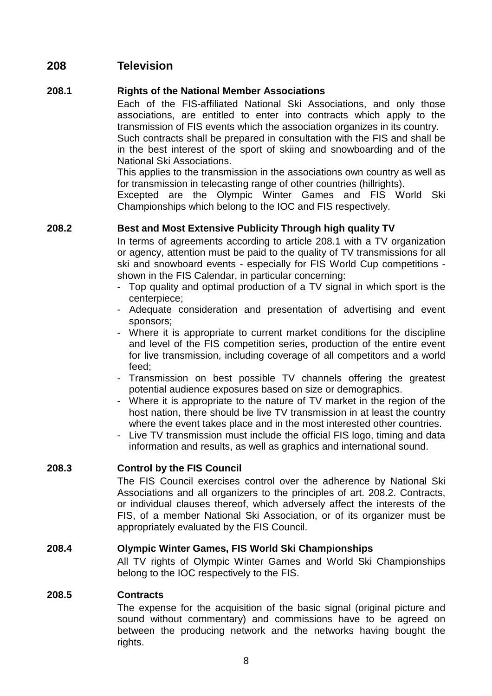# **208 Television**

### **208.1 Rights of the National Member Associations**

 Each of the FIS-affiliated National Ski Associations, and only those associations, are entitled to enter into contracts which apply to the transmission of FIS events which the association organizes in its country. Such contracts shall be prepared in consultation with the FIS and shall be in the best interest of the sport of skiing and snowboarding and of the National Ski Associations.

 This applies to the transmission in the associations own country as well as for transmission in telecasting range of other countries (hillrights).

 Excepted are the Olympic Winter Games and FIS World Ski Championships which belong to the IOC and FIS respectively.

# **208.2 Best and Most Extensive Publicity Through high quality TV**

 In terms of agreements according to article 208.1 with a TV organization or agency, attention must be paid to the quality of TV transmissions for all ski and snowboard events - especially for FIS World Cup competitions shown in the FIS Calendar, in particular concerning:

- Top quality and optimal production of a TV signal in which sport is the centerpiece;
- Adequate consideration and presentation of advertising and event sponsors;
- Where it is appropriate to current market conditions for the discipline and level of the FIS competition series, production of the entire event for live transmission, including coverage of all competitors and a world feed;
- Transmission on best possible TV channels offering the greatest potential audience exposures based on size or demographics.
- Where it is appropriate to the nature of TV market in the region of the host nation, there should be live TV transmission in at least the country where the event takes place and in the most interested other countries.
- Live TV transmission must include the official FIS logo, timing and data information and results, as well as graphics and international sound.

#### **208.3 Control by the FIS Council**

 The FIS Council exercises control over the adherence by National Ski Associations and all organizers to the principles of art. 208.2. Contracts, or individual clauses thereof, which adversely affect the interests of the FIS, of a member National Ski Association, or of its organizer must be appropriately evaluated by the FIS Council.

#### **208.4 Olympic Winter Games, FIS World Ski Championships**

 All TV rights of Olympic Winter Games and World Ski Championships belong to the IOC respectively to the FIS.

#### **208.5 Contracts**

 The expense for the acquisition of the basic signal (original picture and sound without commentary) and commissions have to be agreed on between the producing network and the networks having bought the rights.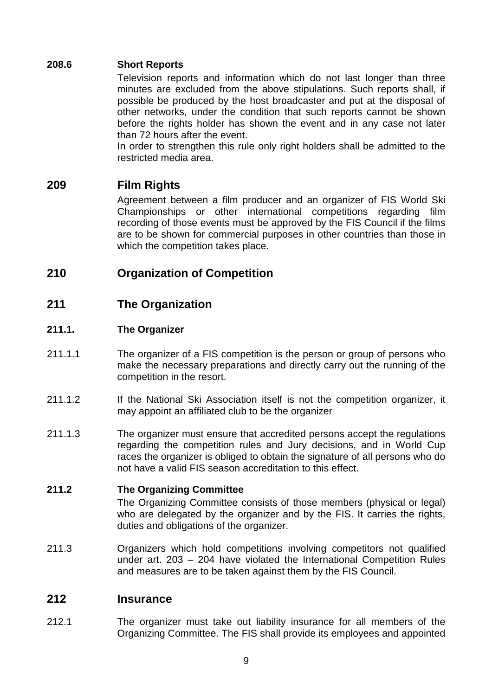# **208.6 Short Reports**

 Television reports and information which do not last longer than three minutes are excluded from the above stipulations. Such reports shall, if possible be produced by the host broadcaster and put at the disposal of other networks, under the condition that such reports cannot be shown before the rights holder has shown the event and in any case not later than 72 hours after the event.

 In order to strengthen this rule only right holders shall be admitted to the restricted media area.

# **209 Film Rights**

 Agreement between a film producer and an organizer of FIS World Ski Championships or other international competitions regarding film recording of those events must be approved by the FIS Council if the films are to be shown for commercial purposes in other countries than those in which the competition takes place.

# **210 Organization of Competition**

# **211 The Organization**

# **211.1. The Organizer**

- 211.1.1 The organizer of a FIS competition is the person or group of persons who make the necessary preparations and directly carry out the running of the competition in the resort.
- 211.1.2 If the National Ski Association itself is not the competition organizer, it may appoint an affiliated club to be the organizer
- 211.1.3 The organizer must ensure that accredited persons accept the regulations regarding the competition rules and Jury decisions, and in World Cup races the organizer is obliged to obtain the signature of all persons who do not have a valid FIS season accreditation to this effect.

#### **211.2 The Organizing Committee**

 The Organizing Committee consists of those members (physical or legal) who are delegated by the organizer and by the FIS. It carries the rights, duties and obligations of the organizer.

211.3 Organizers which hold competitions involving competitors not qualified under art. 203 – 204 have violated the International Competition Rules and measures are to be taken against them by the FIS Council.

# **212 Insurance**

212.1 The organizer must take out liability insurance for all members of the Organizing Committee. The FIS shall provide its employees and appointed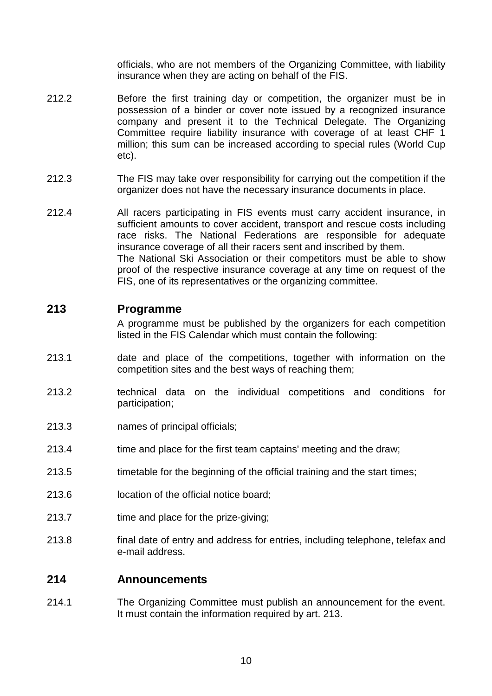officials, who are not members of the Organizing Committee, with liability insurance when they are acting on behalf of the FIS.

- 212.2 Before the first training day or competition, the organizer must be in possession of a binder or cover note issued by a recognized insurance company and present it to the Technical Delegate. The Organizing Committee require liability insurance with coverage of at least CHF 1 million; this sum can be increased according to special rules (World Cup etc).
- 212.3 The FIS may take over responsibility for carrying out the competition if the organizer does not have the necessary insurance documents in place.
- 212.4 All racers participating in FIS events must carry accident insurance, in sufficient amounts to cover accident, transport and rescue costs including race risks. The National Federations are responsible for adequate insurance coverage of all their racers sent and inscribed by them. The National Ski Association or their competitors must be able to show proof of the respective insurance coverage at any time on request of the FIS, one of its representatives or the organizing committee.

### **213 Programme**

 A programme must be published by the organizers for each competition listed in the FIS Calendar which must contain the following:

- 213.1 date and place of the competitions, together with information on the competition sites and the best ways of reaching them;
- 213.2 technical data on the individual competitions and conditions for participation;
- 213.3 names of principal officials;
- 213.4 time and place for the first team captains' meeting and the draw;
- 213.5 timetable for the beginning of the official training and the start times;
- 213.6 location of the official notice board;
- 213.7 time and place for the prize-giving;
- 213.8 final date of entry and address for entries, including telephone, telefax and e-mail address.

#### **214 Announcements**

214.1 The Organizing Committee must publish an announcement for the event. It must contain the information required by art. 213.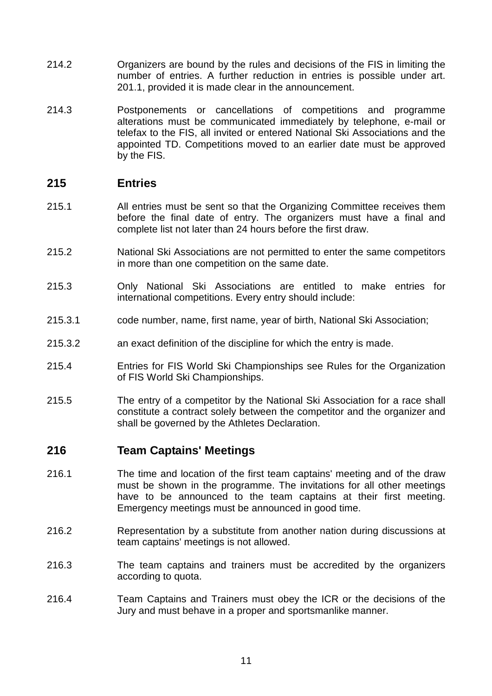- 214.2 Organizers are bound by the rules and decisions of the FIS in limiting the number of entries. A further reduction in entries is possible under art. 201.1, provided it is made clear in the announcement.
- 214.3 Postponements or cancellations of competitions and programme alterations must be communicated immediately by telephone, e-mail or telefax to the FIS, all invited or entered National Ski Associations and the appointed TD. Competitions moved to an earlier date must be approved by the FIS.

# **215 Entries**

- 215.1 All entries must be sent so that the Organizing Committee receives them before the final date of entry. The organizers must have a final and complete list not later than 24 hours before the first draw.
- 215.2 National Ski Associations are not permitted to enter the same competitors in more than one competition on the same date.
- 215.3 Only National Ski Associations are entitled to make entries for international competitions. Every entry should include:
- 215.3.1 code number, name, first name, year of birth, National Ski Association;
- 215.3.2 an exact definition of the discipline for which the entry is made.
- 215.4 Entries for FIS World Ski Championships see Rules for the Organization of FIS World Ski Championships.
- 215.5 The entry of a competitor by the National Ski Association for a race shall constitute a contract solely between the competitor and the organizer and shall be governed by the Athletes Declaration.

# **216 Team Captains' Meetings**

- 216.1 The time and location of the first team captains' meeting and of the draw must be shown in the programme. The invitations for all other meetings have to be announced to the team captains at their first meeting. Emergency meetings must be announced in good time.
- 216.2 Representation by a substitute from another nation during discussions at team captains' meetings is not allowed.
- 216.3 The team captains and trainers must be accredited by the organizers according to quota.
- 216.4 Team Captains and Trainers must obey the ICR or the decisions of the Jury and must behave in a proper and sportsmanlike manner.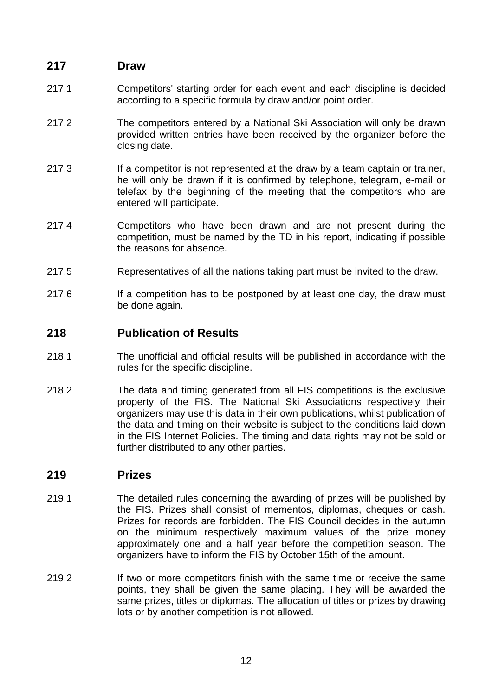# **217 Draw**

- 217.1 Competitors' starting order for each event and each discipline is decided according to a specific formula by draw and/or point order.
- 217.2 The competitors entered by a National Ski Association will only be drawn provided written entries have been received by the organizer before the closing date.
- 217.3 If a competitor is not represented at the draw by a team captain or trainer, he will only be drawn if it is confirmed by telephone, telegram, e-mail or telefax by the beginning of the meeting that the competitors who are entered will participate.
- 217.4 Competitors who have been drawn and are not present during the competition, must be named by the TD in his report, indicating if possible the reasons for absence.
- 217.5 Representatives of all the nations taking part must be invited to the draw.
- 217.6 If a competition has to be postponed by at least one day, the draw must be done again.

# **218 Publication of Results**

- 218.1 The unofficial and official results will be published in accordance with the rules for the specific discipline.
- 218.2 The data and timing generated from all FIS competitions is the exclusive property of the FIS. The National Ski Associations respectively their organizers may use this data in their own publications, whilst publication of the data and timing on their website is subject to the conditions laid down in the FIS Internet Policies. The timing and data rights may not be sold or further distributed to any other parties.

# **219 Prizes**

- 219.1 The detailed rules concerning the awarding of prizes will be published by the FIS. Prizes shall consist of mementos, diplomas, cheques or cash. Prizes for records are forbidden. The FIS Council decides in the autumn on the minimum respectively maximum values of the prize money approximately one and a half year before the competition season. The organizers have to inform the FIS by October 15th of the amount.
- 219.2 If two or more competitors finish with the same time or receive the same points, they shall be given the same placing. They will be awarded the same prizes, titles or diplomas. The allocation of titles or prizes by drawing lots or by another competition is not allowed.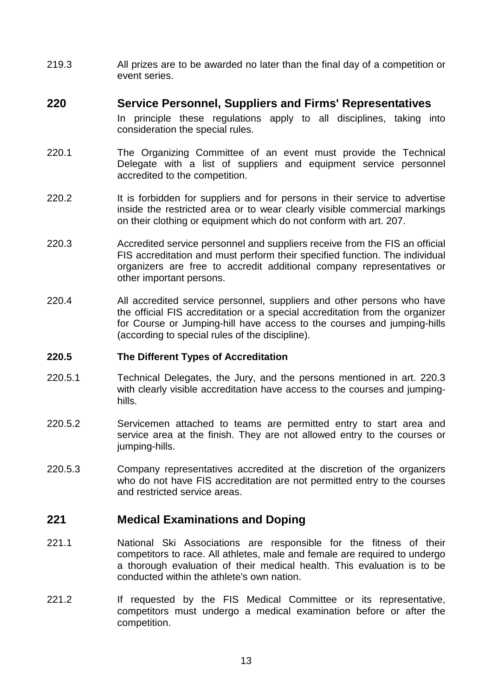219.3 All prizes are to be awarded no later than the final day of a competition or event series.

# **220 Service Personnel, Suppliers and Firms' Representatives**

 In principle these regulations apply to all disciplines, taking into consideration the special rules.

- 220.1 The Organizing Committee of an event must provide the Technical Delegate with a list of suppliers and equipment service personnel accredited to the competition.
- 220.2 It is forbidden for suppliers and for persons in their service to advertise inside the restricted area or to wear clearly visible commercial markings on their clothing or equipment which do not conform with art. 207.
- 220.3 Accredited service personnel and suppliers receive from the FIS an official FIS accreditation and must perform their specified function. The individual organizers are free to accredit additional company representatives or other important persons.
- 220.4 All accredited service personnel, suppliers and other persons who have the official FIS accreditation or a special accreditation from the organizer for Course or Jumping-hill have access to the courses and jumping-hills (according to special rules of the discipline).

#### **220.5 The Different Types of Accreditation**

- 220.5.1 Technical Delegates, the Jury, and the persons mentioned in art. 220.3 with clearly visible accreditation have access to the courses and jumpinghills.
- 220.5.2 Servicemen attached to teams are permitted entry to start area and service area at the finish. They are not allowed entry to the courses or jumping-hills.
- 220.5.3 Company representatives accredited at the discretion of the organizers who do not have FIS accreditation are not permitted entry to the courses and restricted service areas.

# **221 Medical Examinations and Doping**

- 221.1 National Ski Associations are responsible for the fitness of their competitors to race. All athletes, male and female are required to undergo a thorough evaluation of their medical health. This evaluation is to be conducted within the athlete's own nation.
- 221.2 If requested by the FIS Medical Committee or its representative, competitors must undergo a medical examination before or after the competition.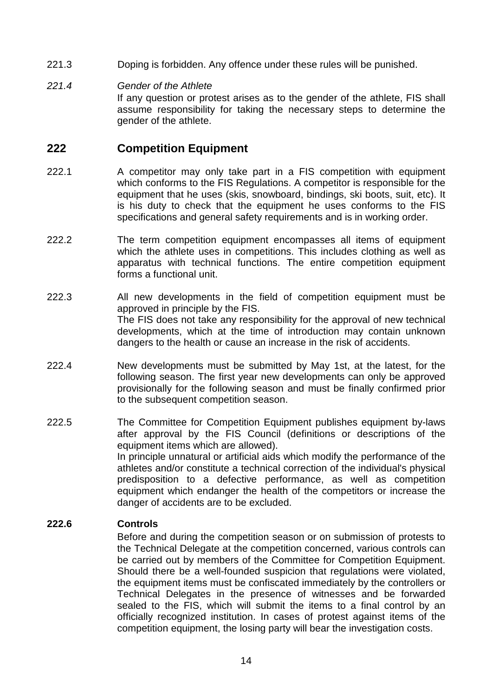- 221.3 Doping is forbidden. Any offence under these rules will be punished.
- 221.4 Gender of the Athlete If any question or protest arises as to the gender of the athlete, FIS shall assume responsibility for taking the necessary steps to determine the gender of the athlete.

# **222 Competition Equipment**

- 222.1 A competitor may only take part in a FIS competition with equipment which conforms to the FIS Regulations. A competitor is responsible for the equipment that he uses (skis, snowboard, bindings, ski boots, suit, etc). It is his duty to check that the equipment he uses conforms to the FIS specifications and general safety requirements and is in working order.
- 222.2 The term competition equipment encompasses all items of equipment which the athlete uses in competitions. This includes clothing as well as apparatus with technical functions. The entire competition equipment forms a functional unit.
- 222.3 All new developments in the field of competition equipment must be approved in principle by the FIS. The FIS does not take any responsibility for the approval of new technical developments, which at the time of introduction may contain unknown dangers to the health or cause an increase in the risk of accidents.
- 222.4 New developments must be submitted by May 1st, at the latest, for the following season. The first year new developments can only be approved provisionally for the following season and must be finally confirmed prior to the subsequent competition season.
- 222.5 The Committee for Competition Equipment publishes equipment by-laws after approval by the FIS Council (definitions or descriptions of the equipment items which are allowed). In principle unnatural or artificial aids which modify the performance of the athletes and/or constitute a technical correction of the individual's physical predisposition to a defective performance, as well as competition equipment which endanger the health of the competitors or increase the danger of accidents are to be excluded.

#### **222.6 Controls**

 Before and during the competition season or on submission of protests to the Technical Delegate at the competition concerned, various controls can be carried out by members of the Committee for Competition Equipment. Should there be a well-founded suspicion that regulations were violated, the equipment items must be confiscated immediately by the controllers or Technical Delegates in the presence of witnesses and be forwarded sealed to the FIS, which will submit the items to a final control by an officially recognized institution. In cases of protest against items of the competition equipment, the losing party will bear the investigation costs.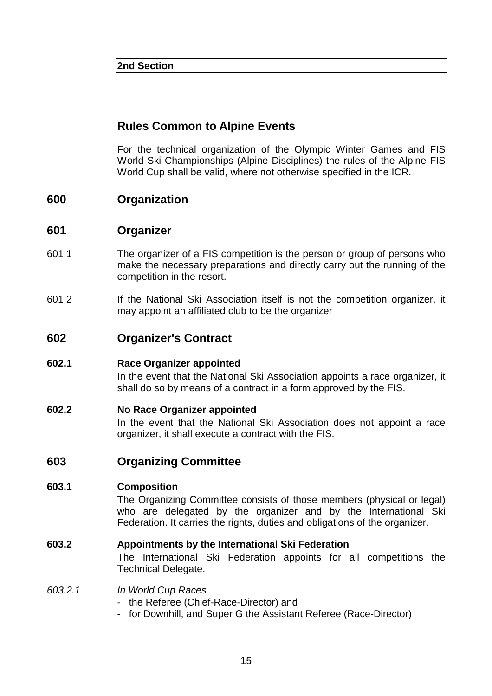#### **2nd Section**

# **Rules Common to Alpine Events**

 For the technical organization of the Olympic Winter Games and FIS World Ski Championships (Alpine Disciplines) the rules of the Alpine FIS World Cup shall be valid, where not otherwise specified in the ICR.

# **600 Organization**

### **601 Organizer**

- 601.1 The organizer of a FIS competition is the person or group of persons who make the necessary preparations and directly carry out the running of the competition in the resort.
- 601.2 If the National Ski Association itself is not the competition organizer, it may appoint an affiliated club to be the organizer

# **602 Organizer's Contract**

#### **602.1 Race Organizer appointed**

 In the event that the National Ski Association appoints a race organizer, it shall do so by means of a contract in a form approved by the FIS.

#### **602.2 No Race Organizer appointed**

 In the event that the National Ski Association does not appoint a race organizer, it shall execute a contract with the FIS.

# **603 Organizing Committee**

#### **603.1 Composition**

 The Organizing Committee consists of those members (physical or legal) who are delegated by the organizer and by the International Ski Federation. It carries the rights, duties and obligations of the organizer.

#### **603.2 Appointments by the International Ski Federation**

 The International Ski Federation appoints for all competitions the Technical Delegate.

#### 603.2.1 In World Cup Races

- the Referee (Chief-Race-Director) and
- for Downhill, and Super G the Assistant Referee (Race-Director)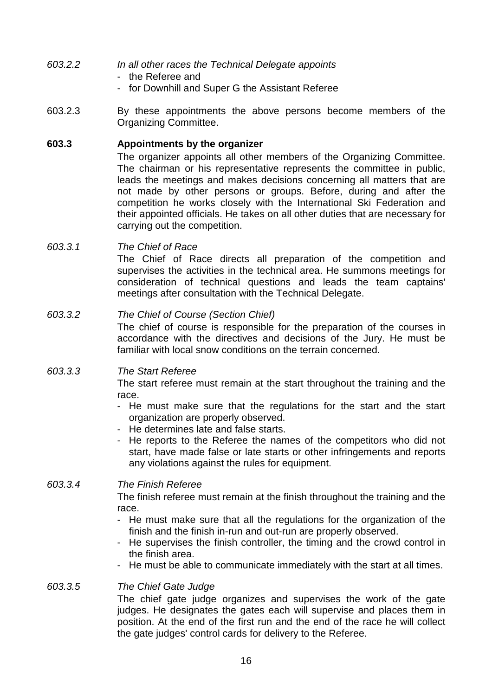- 603.2.2 In all other races the Technical Delegate appoints
	- the Referee and
	- for Downhill and Super G the Assistant Referee
- 603.2.3 By these appointments the above persons become members of the Organizing Committee.

#### **603.3 Appointments by the organizer**

 The organizer appoints all other members of the Organizing Committee. The chairman or his representative represents the committee in public, leads the meetings and makes decisions concerning all matters that are not made by other persons or groups. Before, during and after the competition he works closely with the International Ski Federation and their appointed officials. He takes on all other duties that are necessary for carrying out the competition.

#### 603.3.1 The Chief of Race

 The Chief of Race directs all preparation of the competition and supervises the activities in the technical area. He summons meetings for consideration of technical questions and leads the team captains' meetings after consultation with the Technical Delegate.

#### 603.3.2 The Chief of Course (Section Chief)

 The chief of course is responsible for the preparation of the courses in accordance with the directives and decisions of the Jury. He must be familiar with local snow conditions on the terrain concerned.

#### 603.3.3 The Start Referee

 The start referee must remain at the start throughout the training and the race.

- He must make sure that the regulations for the start and the start organization are properly observed.
- He determines late and false starts.
- He reports to the Referee the names of the competitors who did not start, have made false or late starts or other infringements and reports any violations against the rules for equipment.

#### 603.3.4 The Finish Referee

 The finish referee must remain at the finish throughout the training and the race.

- He must make sure that all the regulations for the organization of the finish and the finish in-run and out-run are properly observed.
- He supervises the finish controller, the timing and the crowd control in the finish area.
- He must be able to communicate immediately with the start at all times.

#### 603.3.5 The Chief Gate Judge

 The chief gate judge organizes and supervises the work of the gate judges. He designates the gates each will supervise and places them in position. At the end of the first run and the end of the race he will collect the gate judges' control cards for delivery to the Referee.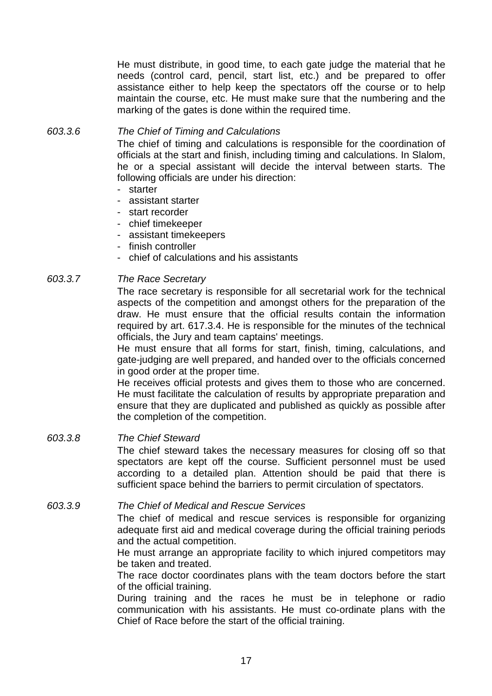He must distribute, in good time, to each gate judge the material that he needs (control card, pencil, start list, etc.) and be prepared to offer assistance either to help keep the spectators off the course or to help maintain the course, etc. He must make sure that the numbering and the marking of the gates is done within the required time.

#### 603.3.6 The Chief of Timing and Calculations

 The chief of timing and calculations is responsible for the coordination of officials at the start and finish, including timing and calculations. In Slalom, he or a special assistant will decide the interval between starts. The following officials are under his direction:

- starter
- assistant starter
- start recorder
- chief timekeeper
- assistant timekeepers
- finish controller
- chief of calculations and his assistants

#### 603.3.7 The Race Secretary

 The race secretary is responsible for all secretarial work for the technical aspects of the competition and amongst others for the preparation of the draw. He must ensure that the official results contain the information required by art. 617.3.4. He is responsible for the minutes of the technical officials, the Jury and team captains' meetings.

 He must ensure that all forms for start, finish, timing, calculations, and gate-judging are well prepared, and handed over to the officials concerned in good order at the proper time.

 He receives official protests and gives them to those who are concerned. He must facilitate the calculation of results by appropriate preparation and ensure that they are duplicated and published as quickly as possible after the completion of the competition.

#### 603.3.8 The Chief Steward

 The chief steward takes the necessary measures for closing off so that spectators are kept off the course. Sufficient personnel must be used according to a detailed plan. Attention should be paid that there is sufficient space behind the barriers to permit circulation of spectators.

#### 603.3.9 The Chief of Medical and Rescue Services

 The chief of medical and rescue services is responsible for organizing adequate first aid and medical coverage during the official training periods and the actual competition.

 He must arrange an appropriate facility to which injured competitors may be taken and treated.

 The race doctor coordinates plans with the team doctors before the start of the official training.

 During training and the races he must be in telephone or radio communication with his assistants. He must co-ordinate plans with the Chief of Race before the start of the official training.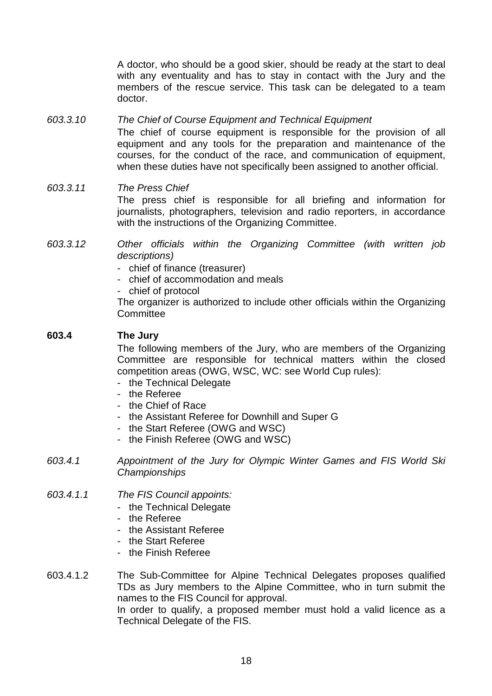A doctor, who should be a good skier, should be ready at the start to deal with any eventuality and has to stay in contact with the Jury and the members of the rescue service. This task can be delegated to a team doctor.

#### 603.3.10 The Chief of Course Equipment and Technical Equipment

 The chief of course equipment is responsible for the provision of all equipment and any tools for the preparation and maintenance of the courses, for the conduct of the race, and communication of equipment, when these duties have not specifically been assigned to another official.

#### 603.3.11 The Press Chief The press chief is responsible for all briefing and information for journalists, photographers, television and radio reporters, in accordance with the instructions of the Organizing Committee.

- 603.3.12 Other officials within the Organizing Committee (with written job descriptions)
	- chief of finance (treasurer)
	- chief of accommodation and meals
	- chief of protocol

 The organizer is authorized to include other officials within the Organizing **Committee** 

#### **603.4 The Jury**

 The following members of the Jury, who are members of the Organizing Committee are responsible for technical matters within the closed competition areas (OWG, WSC, WC: see World Cup rules):

- the Technical Delegate
- the Referee
- the Chief of Race
- the Assistant Referee for Downhill and Super G
- the Start Referee (OWG and WSC)
- the Finish Referee (OWG and WSC)
- 603.4.1 Appointment of the Jury for Olympic Winter Games and FIS World Ski **Championships**

#### 603.4.1.1 The FIS Council appoints:

- the Technical Delegate
- the Referee
- the Assistant Referee
- the Start Referee
- the Finish Referee
- 603.4.1.2 The Sub-Committee for Alpine Technical Delegates proposes qualified TDs as Jury members to the Alpine Committee, who in turn submit the names to the FIS Council for approval. In order to qualify, a proposed member must hold a valid licence as a Technical Delegate of the FIS.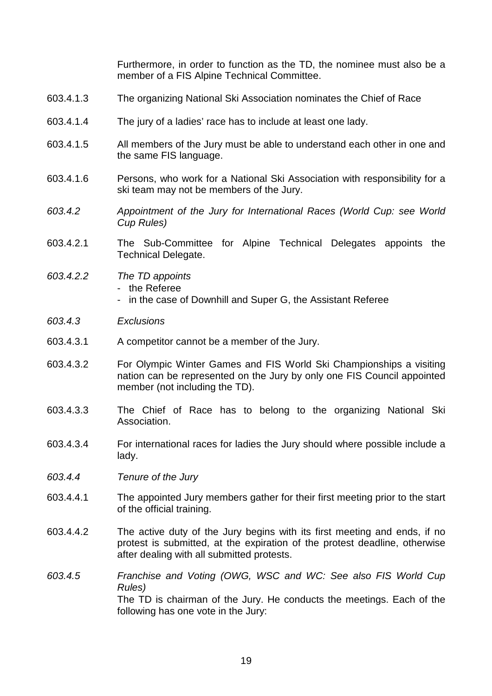Furthermore, in order to function as the TD, the nominee must also be a member of a FIS Alpine Technical Committee.

- 603.4.1.3 The organizing National Ski Association nominates the Chief of Race
- 603.4.1.4 The jury of a ladies' race has to include at least one lady.
- 603.4.1.5 All members of the Jury must be able to understand each other in one and the same FIS language.
- 603.4.1.6 Persons, who work for a National Ski Association with responsibility for a ski team may not be members of the Jury.
- 603.4.2 Appointment of the Jury for International Races (World Cup: see World Cup Rules)
- 603.4.2.1 The Sub-Committee for Alpine Technical Delegates appoints the Technical Delegate.
- 603.4.2.2 The TD appoints - the Referee
	- in the case of Downhill and Super G, the Assistant Referee
- 603.4.3 Exclusions
- 603.4.3.1 A competitor cannot be a member of the Jury.
- 603.4.3.2 For Olympic Winter Games and FIS World Ski Championships a visiting nation can be represented on the Jury by only one FIS Council appointed member (not including the TD).
- 603.4.3.3 The Chief of Race has to belong to the organizing National Ski Association.
- 603.4.3.4 For international races for ladies the Jury should where possible include a lady.
- 603.4.4 Tenure of the Jury
- 603.4.4.1 The appointed Jury members gather for their first meeting prior to the start of the official training.
- 603.4.4.2 The active duty of the Jury begins with its first meeting and ends, if no protest is submitted, at the expiration of the protest deadline, otherwise after dealing with all submitted protests.
- 603.4.5 Franchise and Voting (OWG, WSC and WC: See also FIS World Cup Rules) The TD is chairman of the Jury. He conducts the meetings. Each of the following has one vote in the Jury: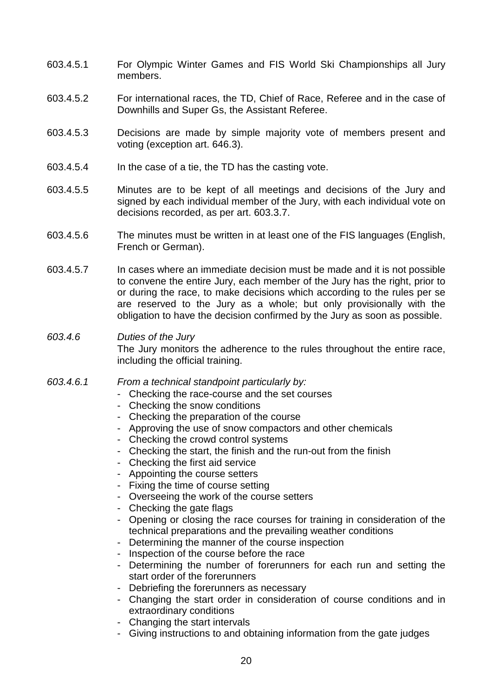- 603.4.5.1 For Olympic Winter Games and FIS World Ski Championships all Jury members.
- 603.4.5.2 For international races, the TD, Chief of Race, Referee and in the case of Downhills and Super Gs, the Assistant Referee.
- 603.4.5.3 Decisions are made by simple majority vote of members present and voting (exception art. 646.3).
- 603.4.5.4 In the case of a tie, the TD has the casting vote.
- 603.4.5.5 Minutes are to be kept of all meetings and decisions of the Jury and signed by each individual member of the Jury, with each individual vote on decisions recorded, as per art. 603.3.7.
- 603.4.5.6 The minutes must be written in at least one of the FIS languages (English, French or German).
- 603.4.5.7 In cases where an immediate decision must be made and it is not possible to convene the entire Jury, each member of the Jury has the right, prior to or during the race, to make decisions which according to the rules per se are reserved to the Jury as a whole; but only provisionally with the obligation to have the decision confirmed by the Jury as soon as possible.

#### 603.4.6 Duties of the Jury The Jury monitors the adherence to the rules throughout the entire race, including the official training.

- 603.4.6.1 From a technical standpoint particularly by:
	- Checking the race-course and the set courses
	- Checking the snow conditions
	- Checking the preparation of the course
	- Approving the use of snow compactors and other chemicals
	- Checking the crowd control systems
	- Checking the start, the finish and the run-out from the finish
	- Checking the first aid service
	- Appointing the course setters
	- Fixing the time of course setting
	- Overseeing the work of the course setters
	- Checking the gate flags
	- Opening or closing the race courses for training in consideration of the technical preparations and the prevailing weather conditions
	- Determining the manner of the course inspection
	- Inspection of the course before the race
	- Determining the number of forerunners for each run and setting the start order of the forerunners
	- Debriefing the forerunners as necessary
	- Changing the start order in consideration of course conditions and in extraordinary conditions
	- Changing the start intervals
	- Giving instructions to and obtaining information from the gate judges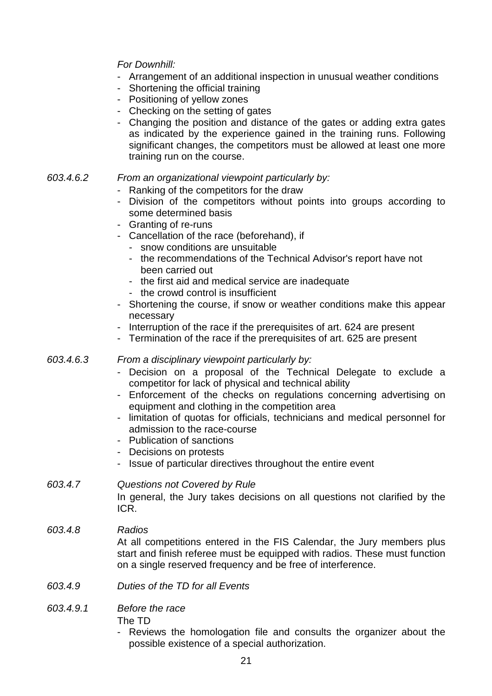### For Downhill:

- Arrangement of an additional inspection in unusual weather conditions
- Shortening the official training
- Positioning of yellow zones
- Checking on the setting of gates
- Changing the position and distance of the gates or adding extra gates as indicated by the experience gained in the training runs. Following significant changes, the competitors must be allowed at least one more training run on the course.
- 603.4.6.2 From an organizational viewpoint particularly by:
	- Ranking of the competitors for the draw
	- Division of the competitors without points into groups according to some determined basis
	- Granting of re-runs
	- Cancellation of the race (beforehand), if
		- snow conditions are unsuitable
		- the recommendations of the Technical Advisor's report have not been carried out
		- the first aid and medical service are inadequate
		- the crowd control is insufficient
	- Shortening the course, if snow or weather conditions make this appear necessary
	- Interruption of the race if the prerequisites of art. 624 are present
	- Termination of the race if the prerequisites of art. 625 are present
- 603.4.6.3 From a disciplinary viewpoint particularly by:
	- Decision on a proposal of the Technical Delegate to exclude a competitor for lack of physical and technical ability
	- Enforcement of the checks on regulations concerning advertising on equipment and clothing in the competition area
	- limitation of quotas for officials, technicians and medical personnel for admission to the race-course
	- Publication of sanctions
	- Decisions on protests
	- Issue of particular directives throughout the entire event

#### 603.4.7 Questions not Covered by Rule In general, the Jury takes decisions on all questions not clarified by the ICR.

- 603.4.8 Radios At all competitions entered in the FIS Calendar, the Jury members plus start and finish referee must be equipped with radios. These must function on a single reserved frequency and be free of interference.
- 603.4.9 Duties of the TD for all Events

#### 603.4.9.1 Before the race The TD

Reviews the homologation file and consults the organizer about the possible existence of a special authorization.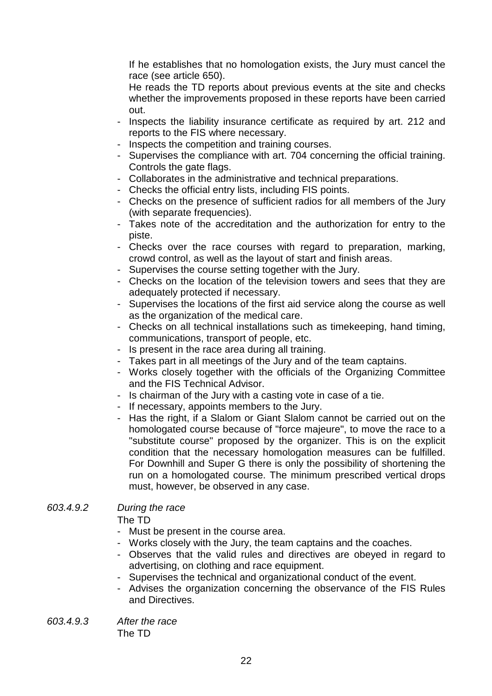If he establishes that no homologation exists, the Jury must cancel the race (see article 650).

 He reads the TD reports about previous events at the site and checks whether the improvements proposed in these reports have been carried out.

- Inspects the liability insurance certificate as required by art. 212 and reports to the FIS where necessary.
- Inspects the competition and training courses.
- Supervises the compliance with art. 704 concerning the official training. Controls the gate flags.
- Collaborates in the administrative and technical preparations.
- Checks the official entry lists, including FIS points.
- Checks on the presence of sufficient radios for all members of the Jury (with separate frequencies).
- Takes note of the accreditation and the authorization for entry to the piste.
- Checks over the race courses with regard to preparation, marking, crowd control, as well as the layout of start and finish areas.
- Supervises the course setting together with the Jury.
- Checks on the location of the television towers and sees that they are adequately protected if necessary.
- Supervises the locations of the first aid service along the course as well as the organization of the medical care.
- Checks on all technical installations such as timekeeping, hand timing, communications, transport of people, etc.
- Is present in the race area during all training.
- Takes part in all meetings of the Jury and of the team captains.
- Works closely together with the officials of the Organizing Committee and the FIS Technical Advisor.
- Is chairman of the Jury with a casting vote in case of a tie.
- If necessary, appoints members to the Jury.
- Has the right, if a Slalom or Giant Slalom cannot be carried out on the homologated course because of "force majeure", to move the race to a "substitute course" proposed by the organizer. This is on the explicit condition that the necessary homologation measures can be fulfilled. For Downhill and Super G there is only the possibility of shortening the run on a homologated course. The minimum prescribed vertical drops must, however, be observed in any case.

# 603.4.9.2 During the race

The TD

- Must be present in the course area.
- Works closely with the Jury, the team captains and the coaches.
- Observes that the valid rules and directives are obeyed in regard to advertising, on clothing and race equipment.
- Supervises the technical and organizational conduct of the event.
- Advises the organization concerning the observance of the FIS Rules and Directives.
- 603.4.9.3 After the race The TD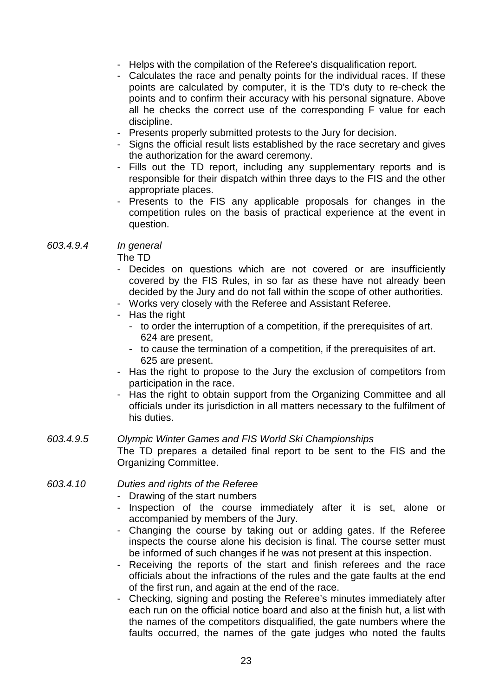- Helps with the compilation of the Referee's disqualification report.
- Calculates the race and penalty points for the individual races. If these points are calculated by computer, it is the TD's duty to re-check the points and to confirm their accuracy with his personal signature. Above all he checks the correct use of the corresponding F value for each discipline.
- Presents properly submitted protests to the Jury for decision.
- Signs the official result lists established by the race secretary and gives the authorization for the award ceremony.
- Fills out the TD report, including any supplementary reports and is responsible for their dispatch within three days to the FIS and the other appropriate places.
- Presents to the FIS any applicable proposals for changes in the competition rules on the basis of practical experience at the event in question.

603.4.9.4 In general

The TD

- Decides on questions which are not covered or are insufficiently covered by the FIS Rules, in so far as these have not already been decided by the Jury and do not fall within the scope of other authorities.
- Works very closely with the Referee and Assistant Referee.
- Has the right
	- to order the interruption of a competition, if the prerequisites of art. 624 are present,
	- to cause the termination of a competition, if the prerequisites of art. 625 are present.
- Has the right to propose to the Jury the exclusion of competitors from participation in the race.
- Has the right to obtain support from the Organizing Committee and all officials under its jurisdiction in all matters necessary to the fulfilment of his duties.

#### 603.4.9.5 Olympic Winter Games and FIS World Ski Championships

 The TD prepares a detailed final report to be sent to the FIS and the Organizing Committee.

#### 603.4.10 Duties and rights of the Referee

- Drawing of the start numbers
- Inspection of the course immediately after it is set, alone or accompanied by members of the Jury.
- Changing the course by taking out or adding gates. If the Referee inspects the course alone his decision is final. The course setter must be informed of such changes if he was not present at this inspection.
- Receiving the reports of the start and finish referees and the race officials about the infractions of the rules and the gate faults at the end of the first run, and again at the end of the race.
- Checking, signing and posting the Referee's minutes immediately after each run on the official notice board and also at the finish hut, a list with the names of the competitors disqualified, the gate numbers where the faults occurred, the names of the gate judges who noted the faults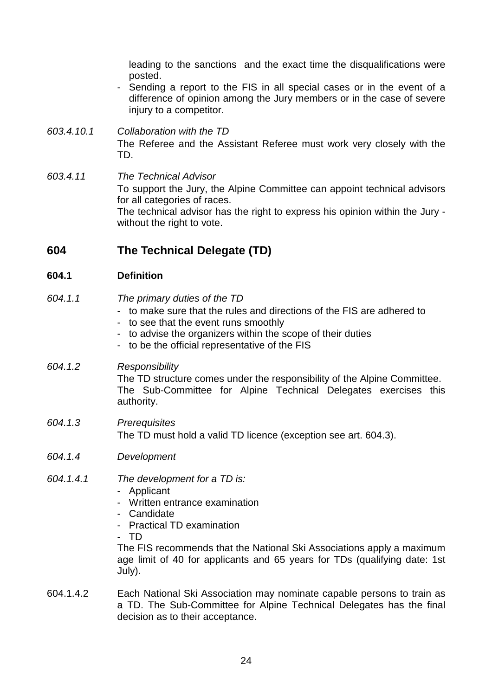leading to the sanctions and the exact time the disqualifications were posted.

- Sending a report to the FIS in all special cases or in the event of a difference of opinion among the Jury members or in the case of severe injury to a competitor.
- 603.4.10.1 Collaboration with the TD The Referee and the Assistant Referee must work very closely with the TD.
- 603.4.11 The Technical Advisor To support the Jury, the Alpine Committee can appoint technical advisors for all categories of races. The technical advisor has the right to express his opinion within the Jury without the right to vote.

# **604 The Technical Delegate (TD)**

# **604.1 Definition**

- 604.1.1 The primary duties of the TD - to make sure that the rules and directions of the FIS are adhered to - to see that the event runs smoothly - to advise the organizers within the scope of their duties - to be the official representative of the FIS 604.1.2 Responsibility The TD structure comes under the responsibility of the Alpine Committee. The Sub-Committee for Alpine Technical Delegates exercises this authority. 604.1.3 Prerequisites The TD must hold a valid TD licence (exception see art. 604.3).
- 604.1.4 Development

#### 604.1.4.1 The development for a TD is:

- Applicant
- Written entrance examination
- Candidate
- Practical TD examination
- TD

 The FIS recommends that the National Ski Associations apply a maximum age limit of 40 for applicants and 65 years for TDs (qualifying date: 1st July).

604.1.4.2 Each National Ski Association may nominate capable persons to train as a TD. The Sub-Committee for Alpine Technical Delegates has the final decision as to their acceptance.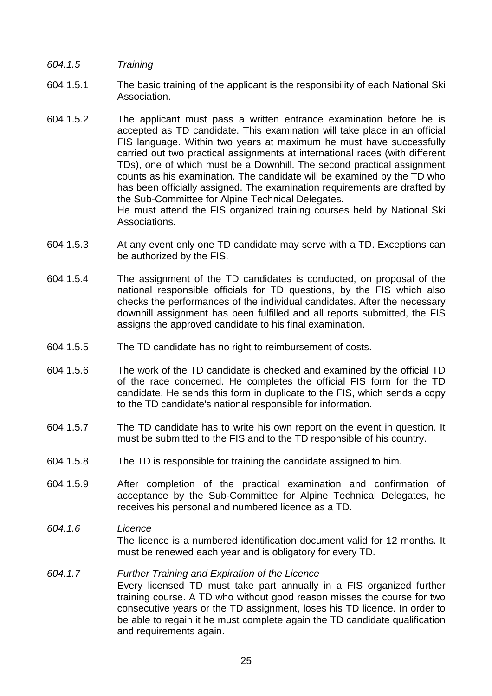- 604.1.5 Training
- 604.1.5.1 The basic training of the applicant is the responsibility of each National Ski Association.
- 604.1.5.2 The applicant must pass a written entrance examination before he is accepted as TD candidate. This examination will take place in an official FIS language. Within two years at maximum he must have successfully carried out two practical assignments at international races (with different TDs), one of which must be a Downhill. The second practical assignment counts as his examination. The candidate will be examined by the TD who has been officially assigned. The examination requirements are drafted by the Sub-Committee for Alpine Technical Delegates. He must attend the FIS organized training courses held by National Ski Associations.
- 604.1.5.3 At any event only one TD candidate may serve with a TD. Exceptions can be authorized by the FIS.
- 604.1.5.4 The assignment of the TD candidates is conducted, on proposal of the national responsible officials for TD questions, by the FIS which also checks the performances of the individual candidates. After the necessary downhill assignment has been fulfilled and all reports submitted, the FIS assigns the approved candidate to his final examination.
- 604.1.5.5 The TD candidate has no right to reimbursement of costs.
- 604.1.5.6 The work of the TD candidate is checked and examined by the official TD of the race concerned. He completes the official FIS form for the TD candidate. He sends this form in duplicate to the FIS, which sends a copy to the TD candidate's national responsible for information.
- 604.1.5.7 The TD candidate has to write his own report on the event in question. It must be submitted to the FIS and to the TD responsible of his country.
- 604.1.5.8 The TD is responsible for training the candidate assigned to him.
- 604.1.5.9 After completion of the practical examination and confirmation of acceptance by the Sub-Committee for Alpine Technical Delegates, he receives his personal and numbered licence as a TD.
- 604.1.6 Licence The licence is a numbered identification document valid for 12 months. It must be renewed each year and is obligatory for every TD.

#### 604.1.7 Further Training and Expiration of the Licence Every licensed TD must take part annually in a FIS organized further training course. A TD who without good reason misses the course for two consecutive years or the TD assignment, loses his TD licence. In order to be able to regain it he must complete again the TD candidate qualification and requirements again.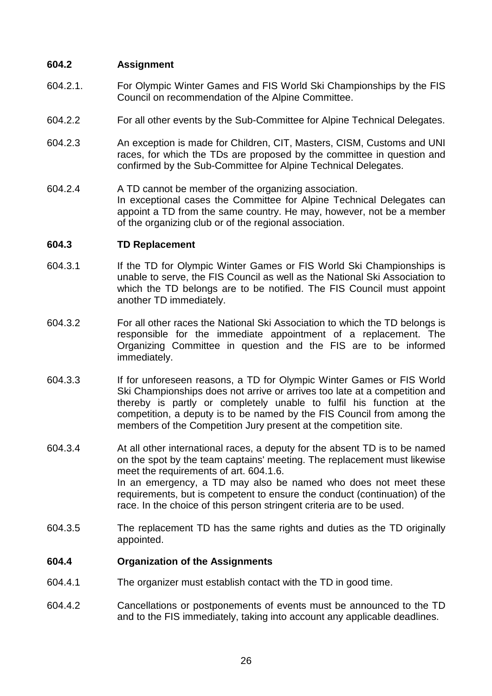#### **604.2 Assignment**

- 604.2.1. For Olympic Winter Games and FIS World Ski Championships by the FIS Council on recommendation of the Alpine Committee.
- 604.2.2 For all other events by the Sub-Committee for Alpine Technical Delegates.
- 604.2.3 An exception is made for Children, CIT, Masters, CISM, Customs and UNI races, for which the TDs are proposed by the committee in question and confirmed by the Sub-Committee for Alpine Technical Delegates.
- 604.2.4 A TD cannot be member of the organizing association. In exceptional cases the Committee for Alpine Technical Delegates can appoint a TD from the same country. He may, however, not be a member of the organizing club or of the regional association.

#### **604.3 TD Replacement**

- 604.3.1 If the TD for Olympic Winter Games or FIS World Ski Championships is unable to serve, the FIS Council as well as the National Ski Association to which the TD belongs are to be notified. The FIS Council must appoint another TD immediately.
- 604.3.2 For all other races the National Ski Association to which the TD belongs is responsible for the immediate appointment of a replacement. The Organizing Committee in question and the FIS are to be informed immediately.
- 604.3.3 If for unforeseen reasons, a TD for Olympic Winter Games or FIS World Ski Championships does not arrive or arrives too late at a competition and thereby is partly or completely unable to fulfil his function at the competition, a deputy is to be named by the FIS Council from among the members of the Competition Jury present at the competition site.
- 604.3.4 At all other international races, a deputy for the absent TD is to be named on the spot by the team captains' meeting. The replacement must likewise meet the requirements of art. 604.1.6. In an emergency, a TD may also be named who does not meet these requirements, but is competent to ensure the conduct (continuation) of the race. In the choice of this person stringent criteria are to be used.
- 604.3.5 The replacement TD has the same rights and duties as the TD originally appointed.

#### **604.4 Organization of the Assignments**

- 604.4.1 The organizer must establish contact with the TD in good time.
- 604.4.2 Cancellations or postponements of events must be announced to the TD and to the FIS immediately, taking into account any applicable deadlines.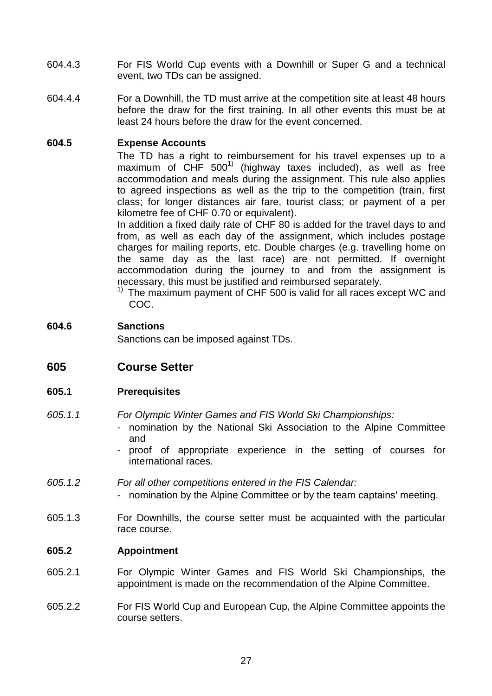- 604.4.3 For FIS World Cup events with a Downhill or Super G and a technical event, two TDs can be assigned.
- 604.4.4 For a Downhill, the TD must arrive at the competition site at least 48 hours before the draw for the first training. In all other events this must be at least 24 hours before the draw for the event concerned.

#### **604.5 Expense Accounts**

 The TD has a right to reimbursement for his travel expenses up to a maximum of  $CHF 500<sup>1</sup>$  (highway taxes included), as well as free accommodation and meals during the assignment. This rule also applies to agreed inspections as well as the trip to the competition (train, first class; for longer distances air fare, tourist class; or payment of a per kilometre fee of CHF 0.70 or equivalent).

 In addition a fixed daily rate of CHF 80 is added for the travel days to and from, as well as each day of the assignment, which includes postage charges for mailing reports, etc. Double charges (e.g. travelling home on the same day as the last race) are not permitted. If overnight accommodation during the journey to and from the assignment is necessary, this must be justified and reimbursed separately.

 $1)$  The maximum payment of CHF 500 is valid for all races except WC and COC.

#### **604.6 Sanctions**

Sanctions can be imposed against TDs.

**605 Course Setter** 

#### **605.1 Prerequisites**

- 605.1.1 For Olympic Winter Games and FIS World Ski Championships:
	- nomination by the National Ski Association to the Alpine Committee and
	- proof of appropriate experience in the setting of courses for international races.
- 605.1.2 For all other competitions entered in the FIS Calendar:
	- nomination by the Alpine Committee or by the team captains' meeting.
- 605.1.3 For Downhills, the course setter must be acquainted with the particular race course.

#### **605.2 Appointment**

- 605.2.1 For Olympic Winter Games and FIS World Ski Championships, the appointment is made on the recommendation of the Alpine Committee.
- 605.2.2 For FIS World Cup and European Cup, the Alpine Committee appoints the course setters.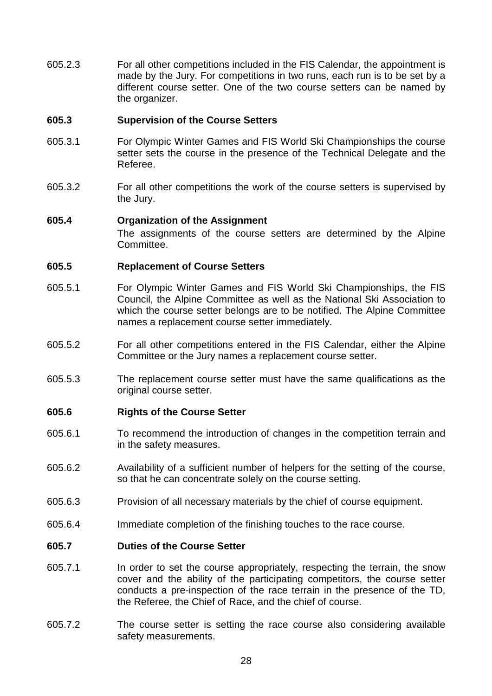605.2.3 For all other competitions included in the FIS Calendar, the appointment is made by the Jury. For competitions in two runs, each run is to be set by a different course setter. One of the two course setters can be named by the organizer.

#### **605.3 Supervision of the Course Setters**

- 605.3.1 For Olympic Winter Games and FIS World Ski Championships the course setter sets the course in the presence of the Technical Delegate and the Referee.
- 605.3.2 For all other competitions the work of the course setters is supervised by the Jury.

#### **605.4 Organization of the Assignment**

 The assignments of the course setters are determined by the Alpine **Committee.** 

#### **605.5 Replacement of Course Setters**

- 605.5.1 For Olympic Winter Games and FIS World Ski Championships, the FIS Council, the Alpine Committee as well as the National Ski Association to which the course setter belongs are to be notified. The Alpine Committee names a replacement course setter immediately.
- 605.5.2 For all other competitions entered in the FIS Calendar, either the Alpine Committee or the Jury names a replacement course setter.
- 605.5.3 The replacement course setter must have the same qualifications as the original course setter.

#### **605.6 Rights of the Course Setter**

- 605.6.1 To recommend the introduction of changes in the competition terrain and in the safety measures.
- 605.6.2 Availability of a sufficient number of helpers for the setting of the course, so that he can concentrate solely on the course setting.
- 605.6.3 Provision of all necessary materials by the chief of course equipment.
- 605.6.4 Immediate completion of the finishing touches to the race course.

#### **605.7 Duties of the Course Setter**

- 605.7.1 In order to set the course appropriately, respecting the terrain, the snow cover and the ability of the participating competitors, the course setter conducts a pre-inspection of the race terrain in the presence of the TD, the Referee, the Chief of Race, and the chief of course.
- 605.7.2 The course setter is setting the race course also considering available safety measurements.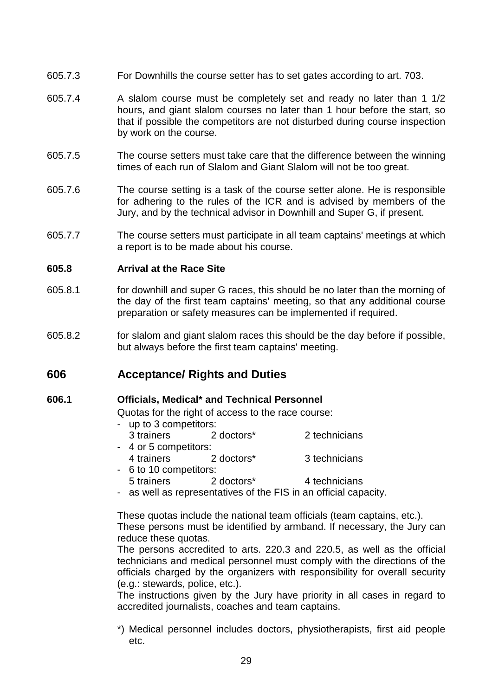- 605.7.3 For Downhills the course setter has to set gates according to art. 703.
- 605.7.4 A slalom course must be completely set and ready no later than 1 1/2 hours, and giant slalom courses no later than 1 hour before the start, so that if possible the competitors are not disturbed during course inspection by work on the course.
- 605.7.5 The course setters must take care that the difference between the winning times of each run of Slalom and Giant Slalom will not be too great.
- 605.7.6 The course setting is a task of the course setter alone. He is responsible for adhering to the rules of the ICR and is advised by members of the Jury, and by the technical advisor in Downhill and Super G, if present.
- 605.7.7 The course setters must participate in all team captains' meetings at which a report is to be made about his course.

#### **605.8 Arrival at the Race Site**

- 605.8.1 for downhill and super G races, this should be no later than the morning of the day of the first team captains' meeting, so that any additional course preparation or safety measures can be implemented if required.
- 605.8.2 for slalom and giant slalom races this should be the day before if possible, but always before the first team captains' meeting.

# **606 Acceptance/ Rights and Duties**

#### **606.1 Officials, Medical\* and Technical Personnel**

Quotas for the right of access to the race course:

- up to 3 competitors: 3 trainers 2 doctors\* 2 technicians - 4 or 5 competitors: 4 trainers 2 doctors\* 3 technicians - 6 to 10 competitors:
- 5 trainers 2 doctors\* 4 technicians
- as well as representatives of the FIS in an official capacity.

 These quotas include the national team officials (team captains, etc.). These persons must be identified by armband. If necessary, the Jury can reduce these quotas.

 The persons accredited to arts. 220.3 and 220.5, as well as the official technicians and medical personnel must comply with the directions of the officials charged by the organizers with responsibility for overall security (e.g.: stewards, police, etc.).

 The instructions given by the Jury have priority in all cases in regard to accredited journalists, coaches and team captains.

 \*) Medical personnel includes doctors, physiotherapists, first aid people etc.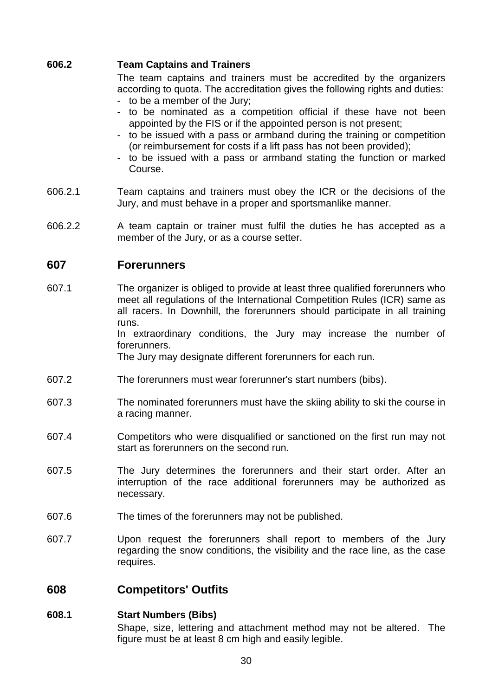#### **606.2 Team Captains and Trainers**

 The team captains and trainers must be accredited by the organizers according to quota. The accreditation gives the following rights and duties:

- to be a member of the Jury;
- to be nominated as a competition official if these have not been appointed by the FIS or if the appointed person is not present;
- to be issued with a pass or armband during the training or competition (or reimbursement for costs if a lift pass has not been provided);
- to be issued with a pass or armband stating the function or marked Course.
- 606.2.1 Team captains and trainers must obey the ICR or the decisions of the Jury, and must behave in a proper and sportsmanlike manner.
- 606.2.2 A team captain or trainer must fulfil the duties he has accepted as a member of the Jury, or as a course setter.

# **607 Forerunners**

607.1 The organizer is obliged to provide at least three qualified forerunners who meet all regulations of the International Competition Rules (ICR) same as all racers. In Downhill, the forerunners should participate in all training runs.

 In extraordinary conditions, the Jury may increase the number of forerunners.

The Jury may designate different forerunners for each run.

- 607.2 The forerunners must wear forerunner's start numbers (bibs).
- 607.3 The nominated forerunners must have the skiing ability to ski the course in a racing manner.
- 607.4 Competitors who were disqualified or sanctioned on the first run may not start as forerunners on the second run.
- 607.5 The Jury determines the forerunners and their start order. After an interruption of the race additional forerunners may be authorized as necessary.
- 607.6 The times of the forerunners may not be published.
- 607.7 Upon request the forerunners shall report to members of the Jury regarding the snow conditions, the visibility and the race line, as the case requires.

# **608 Competitors' Outfits**

#### **608.1 Start Numbers (Bibs)**

 Shape, size, lettering and attachment method may not be altered. The figure must be at least 8 cm high and easily legible.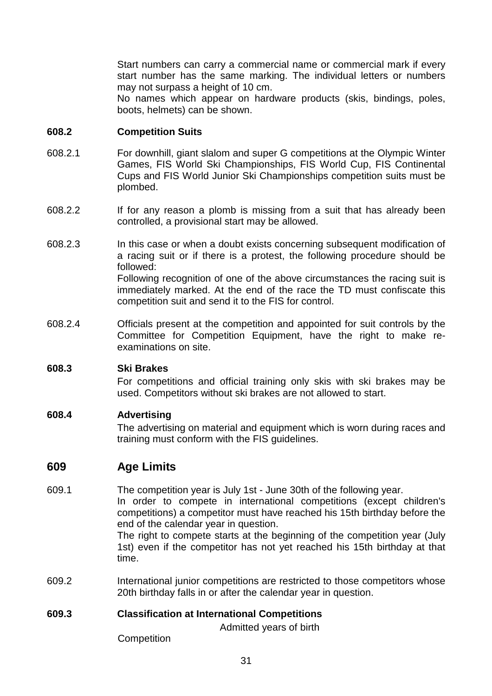Start numbers can carry a commercial name or commercial mark if every start number has the same marking. The individual letters or numbers may not surpass a height of 10 cm.

 No names which appear on hardware products (skis, bindings, poles, boots, helmets) can be shown.

#### **608.2 Competition Suits**

- 608.2.1 For downhill, giant slalom and super G competitions at the Olympic Winter Games, FIS World Ski Championships, FIS World Cup, FIS Continental Cups and FIS World Junior Ski Championships competition suits must be plombed.
- 608.2.2 If for any reason a plomb is missing from a suit that has already been controlled, a provisional start may be allowed.
- 608.2.3 In this case or when a doubt exists concerning subsequent modification of a racing suit or if there is a protest, the following procedure should be followed: Following recognition of one of the above circumstances the racing suit is immediately marked. At the end of the race the TD must confiscate this competition suit and send it to the FIS for control.
- 608.2.4 Officials present at the competition and appointed for suit controls by the Committee for Competition Equipment, have the right to make reexaminations on site.

#### **608.3 Ski Brakes**

 For competitions and official training only skis with ski brakes may be used. Competitors without ski brakes are not allowed to start.

### **608.4 Advertising**

 The advertising on material and equipment which is worn during races and training must conform with the FIS guidelines.

# **609 Age Limits**

609.1 The competition year is July 1st - June 30th of the following year.

 In order to compete in international competitions (except children's competitions) a competitor must have reached his 15th birthday before the end of the calendar year in question.

 The right to compete starts at the beginning of the competition year (July 1st) even if the competitor has not yet reached his 15th birthday at that time.

609.2 International junior competitions are restricted to those competitors whose 20th birthday falls in or after the calendar year in question.

#### **609.3 Classification at International Competitions**

Admitted years of birth

**Competition**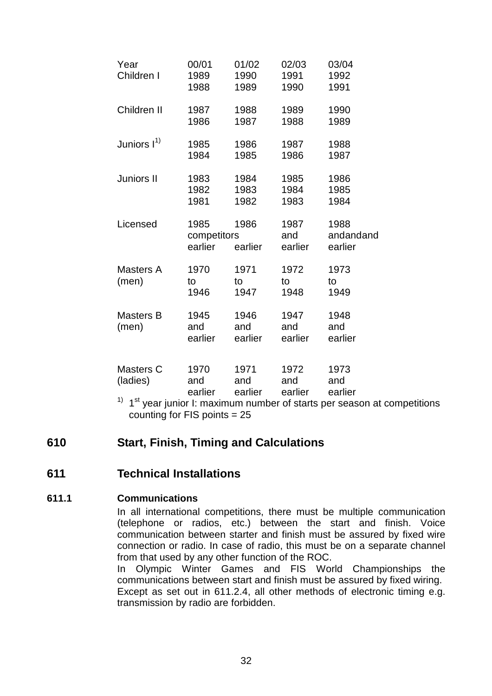| Year                      | 00/01                          | 01/02                  | 02/03                  | 03/04                        |
|---------------------------|--------------------------------|------------------------|------------------------|------------------------------|
| Children I                | 1989<br>1988                   | 1990<br>1989           | 1991<br>1990           | 1992<br>1991                 |
| Children II               | 1987<br>1986                   | 1988<br>1987           | 1989<br>1988           | 1990<br>1989                 |
| Juniors $I^{(1)}$         | 1985<br>1984                   | 1986<br>1985           | 1987<br>1986           | 1988<br>1987                 |
| Juniors II                | 1983<br>1982<br>1981           | 1984<br>1983<br>1982   | 1985<br>1984<br>1983   | 1986<br>1985<br>1984         |
| Licensed                  | 1985<br>competitors<br>earlier | 1986<br>earlier        | 1987<br>and<br>earlier | 1988<br>andandand<br>earlier |
| Masters A<br>(men)        | 1970<br>to<br>1946             | 1971<br>to<br>1947     | 1972<br>to<br>1948     | 1973<br>to<br>1949           |
| <b>Masters B</b><br>(men) | 1945<br>and<br>earlier         | 1946<br>and<br>earlier | 1947<br>and<br>earlier | 1948<br>and<br>earlier       |
| Masters C<br>(ladies)     | 1970<br>and<br>earlier         | 1971<br>and<br>earlier | 1972<br>and<br>earlier | 1973<br>and<br>earlier       |

 $1)$  1<sup>st</sup> year junior I: maximum number of starts per season at competitions counting for FIS points = 25

# **610 Start, Finish, Timing and Calculations**

# **611 Technical Installations**

# **611.1 Communications**

 In all international competitions, there must be multiple communication (telephone or radios, etc.) between the start and finish. Voice communication between starter and finish must be assured by fixed wire connection or radio. In case of radio, this must be on a separate channel from that used by any other function of the ROC.

 In Olympic Winter Games and FIS World Championships the communications between start and finish must be assured by fixed wiring. Except as set out in 611.2.4, all other methods of electronic timing e.g. transmission by radio are forbidden.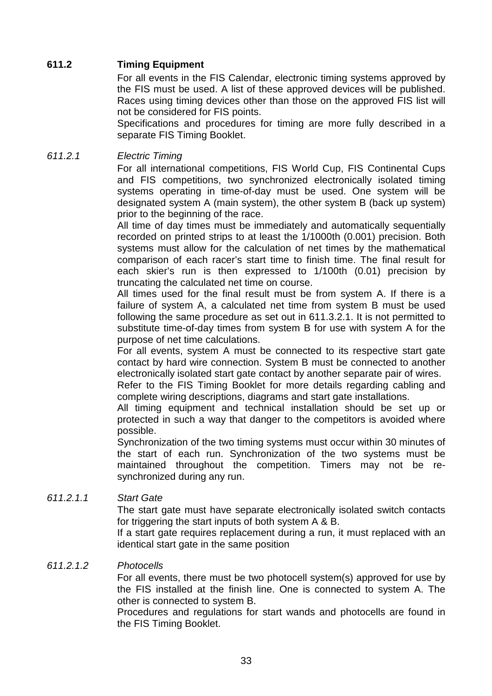## **611.2 Timing Equipment**

 For all events in the FIS Calendar, electronic timing systems approved by the FIS must be used. A list of these approved devices will be published. Races using timing devices other than those on the approved FIS list will not be considered for FIS points.

 Specifications and procedures for timing are more fully described in a separate FIS Timing Booklet.

### 611.2.1 Electric Timing

 For all international competitions, FIS World Cup, FIS Continental Cups and FIS competitions, two synchronized electronically isolated timing systems operating in time-of-day must be used. One system will be designated system A (main system), the other system B (back up system) prior to the beginning of the race.

 All time of day times must be immediately and automatically sequentially recorded on printed strips to at least the 1/1000th (0.001) precision. Both systems must allow for the calculation of net times by the mathematical comparison of each racer's start time to finish time. The final result for each skier's run is then expressed to 1/100th (0.01) precision by truncating the calculated net time on course.

 All times used for the final result must be from system A. If there is a failure of system A, a calculated net time from system B must be used following the same procedure as set out in 611.3.2.1. It is not permitted to substitute time-of-day times from system B for use with system A for the purpose of net time calculations.

 For all events, system A must be connected to its respective start gate contact by hard wire connection. System B must be connected to another electronically isolated start gate contact by another separate pair of wires.

 Refer to the FIS Timing Booklet for more details regarding cabling and complete wiring descriptions, diagrams and start gate installations.

 All timing equipment and technical installation should be set up or protected in such a way that danger to the competitors is avoided where possible.

 Synchronization of the two timing systems must occur within 30 minutes of the start of each run. Synchronization of the two systems must be maintained throughout the competition. Timers may not be resynchronized during any run.

#### 611.2.1.1 Start Gate

 The start gate must have separate electronically isolated switch contacts for triggering the start inputs of both system A & B.

 If a start gate requires replacement during a run, it must replaced with an identical start gate in the same position

### 611.2.1.2 Photocells

 For all events, there must be two photocell system(s) approved for use by the FIS installed at the finish line. One is connected to system A. The other is connected to system B.

 Procedures and regulations for start wands and photocells are found in the FIS Timing Booklet.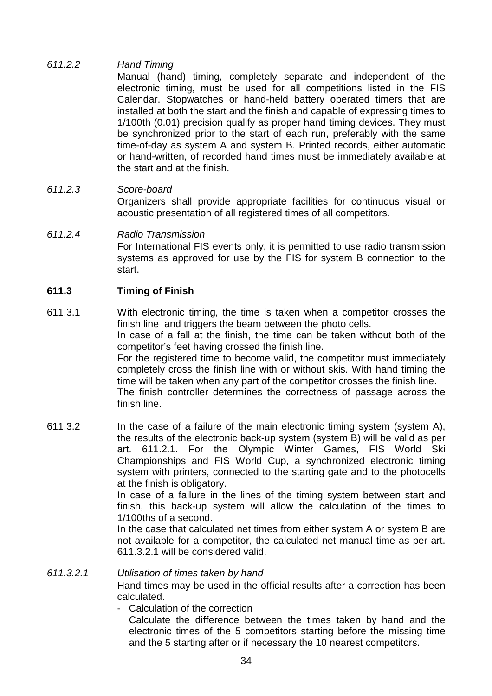# 611.2.2 Hand Timing

 Manual (hand) timing, completely separate and independent of the electronic timing, must be used for all competitions listed in the FIS Calendar. Stopwatches or hand-held battery operated timers that are installed at both the start and the finish and capable of expressing times to 1/100th (0.01) precision qualify as proper hand timing devices. They must be synchronized prior to the start of each run, preferably with the same time-of-day as system A and system B. Printed records, either automatic or hand-written, of recorded hand times must be immediately available at the start and at the finish.

## 611.2.3 Score-board

 Organizers shall provide appropriate facilities for continuous visual or acoustic presentation of all registered times of all competitors.

#### 611.2.4 Radio Transmission For International FIS events only, it is permitted to use radio transmission systems as approved for use by the FIS for system B connection to the start.

## **611.3 Timing of Finish**

611.3.1 With electronic timing, the time is taken when a competitor crosses the finish line and triggers the beam between the photo cells. In case of a fall at the finish, the time can be taken without both of the competitor's feet having crossed the finish line. For the registered time to become valid, the competitor must immediately completely cross the finish line with or without skis. With hand timing the time will be taken when any part of the competitor crosses the finish line. The finish controller determines the correctness of passage across the finish line. 611.3.2 In the case of a failure of the main electronic timing system (system A),

the results of the electronic back-up system (system B) will be valid as per art. 611.2.1. For the Olympic Winter Games, FIS World Ski Championships and FIS World Cup, a synchronized electronic timing system with printers, connected to the starting gate and to the photocells at the finish is obligatory.

 In case of a failure in the lines of the timing system between start and finish, this back-up system will allow the calculation of the times to 1/100ths of a second.

 In the case that calculated net times from either system A or system B are not available for a competitor, the calculated net manual time as per art. 611.3.2.1 will be considered valid.

611.3.2.1 Utilisation of times taken by hand Hand times may be used in the official results after a correction has been calculated.

- Calculation of the correction

 Calculate the difference between the times taken by hand and the electronic times of the 5 competitors starting before the missing time and the 5 starting after or if necessary the 10 nearest competitors.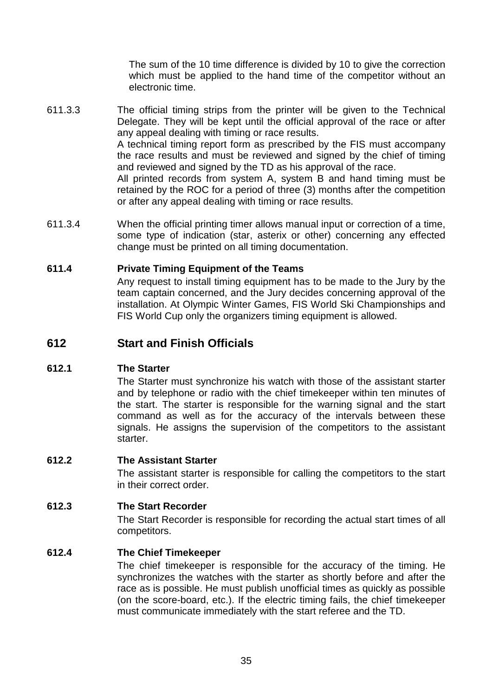The sum of the 10 time difference is divided by 10 to give the correction which must be applied to the hand time of the competitor without an electronic time.

611.3.3 The official timing strips from the printer will be given to the Technical Delegate. They will be kept until the official approval of the race or after any appeal dealing with timing or race results. A technical timing report form as prescribed by the FIS must accompany the race results and must be reviewed and signed by the chief of timing and reviewed and signed by the TD as his approval of the race. All printed records from system A, system B and hand timing must be

retained by the ROC for a period of three (3) months after the competition or after any appeal dealing with timing or race results.

611.3.4 When the official printing timer allows manual input or correction of a time, some type of indication (star, asterix or other) concerning any effected change must be printed on all timing documentation.

## **611.4 Private Timing Equipment of the Teams**

 Any request to install timing equipment has to be made to the Jury by the team captain concerned, and the Jury decides concerning approval of the installation. At Olympic Winter Games, FIS World Ski Championships and FIS World Cup only the organizers timing equipment is allowed.

# **612 Start and Finish Officials**

## **612.1 The Starter**

 The Starter must synchronize his watch with those of the assistant starter and by telephone or radio with the chief timekeeper within ten minutes of the start. The starter is responsible for the warning signal and the start command as well as for the accuracy of the intervals between these signals. He assigns the supervision of the competitors to the assistant starter.

## **612.2 The Assistant Starter**

 The assistant starter is responsible for calling the competitors to the start in their correct order.

#### **612.3 The Start Recorder**

 The Start Recorder is responsible for recording the actual start times of all competitors.

#### **612.4 The Chief Timekeeper**

 The chief timekeeper is responsible for the accuracy of the timing. He synchronizes the watches with the starter as shortly before and after the race as is possible. He must publish unofficial times as quickly as possible (on the score-board, etc.). If the electric timing fails, the chief timekeeper must communicate immediately with the start referee and the TD.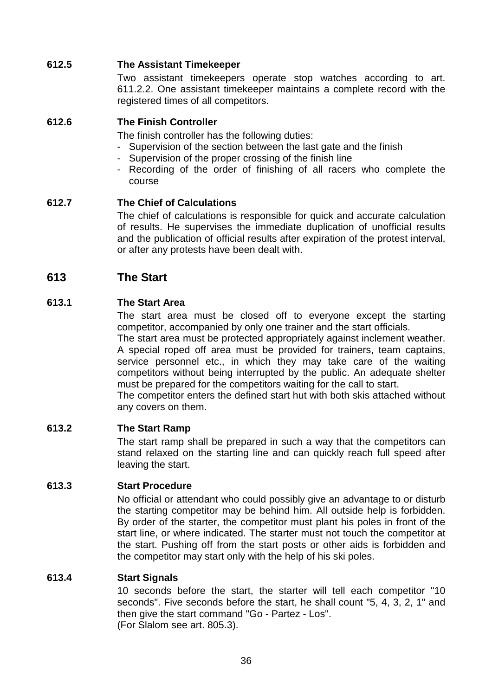## **612.5 The Assistant Timekeeper**

 Two assistant timekeepers operate stop watches according to art. 611.2.2. One assistant timekeeper maintains a complete record with the registered times of all competitors.

## **612.6 The Finish Controller**

The finish controller has the following duties:

- Supervision of the section between the last gate and the finish
- Supervision of the proper crossing of the finish line
- Recording of the order of finishing of all racers who complete the course

## **612.7 The Chief of Calculations**

 The chief of calculations is responsible for quick and accurate calculation of results. He supervises the immediate duplication of unofficial results and the publication of official results after expiration of the protest interval, or after any protests have been dealt with.

# **613 The Start**

## **613.1 The Start Area**

 The start area must be closed off to everyone except the starting competitor, accompanied by only one trainer and the start officials.

 The start area must be protected appropriately against inclement weather. A special roped off area must be provided for trainers, team captains, service personnel etc., in which they may take care of the waiting competitors without being interrupted by the public. An adequate shelter must be prepared for the competitors waiting for the call to start.

 The competitor enters the defined start hut with both skis attached without any covers on them.

## **613.2 The Start Ramp**

 The start ramp shall be prepared in such a way that the competitors can stand relaxed on the starting line and can quickly reach full speed after leaving the start.

## **613.3 Start Procedure**

 No official or attendant who could possibly give an advantage to or disturb the starting competitor may be behind him. All outside help is forbidden. By order of the starter, the competitor must plant his poles in front of the start line, or where indicated. The starter must not touch the competitor at the start. Pushing off from the start posts or other aids is forbidden and the competitor may start only with the help of his ski poles.

## **613.4 Start Signals**

 10 seconds before the start, the starter will tell each competitor "10 seconds". Five seconds before the start, he shall count "5, 4, 3, 2, 1" and then give the start command "Go - Partez - Los". (For Slalom see art. 805.3).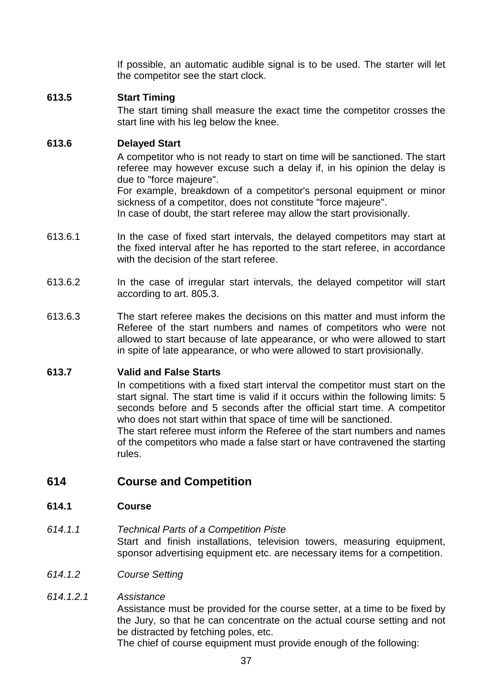If possible, an automatic audible signal is to be used. The starter will let the competitor see the start clock.

## **613.5 Start Timing**

 The start timing shall measure the exact time the competitor crosses the start line with his leg below the knee.

## **613.6 Delayed Start**

 A competitor who is not ready to start on time will be sanctioned. The start referee may however excuse such a delay if, in his opinion the delay is due to "force majeure".

 For example, breakdown of a competitor's personal equipment or minor sickness of a competitor, does not constitute "force majeure".

In case of doubt, the start referee may allow the start provisionally.

- 613.6.1 In the case of fixed start intervals, the delayed competitors may start at the fixed interval after he has reported to the start referee, in accordance with the decision of the start referee.
- 613.6.2 In the case of irregular start intervals, the delayed competitor will start according to art. 805.3.
- 613.6.3 The start referee makes the decisions on this matter and must inform the Referee of the start numbers and names of competitors who were not allowed to start because of late appearance, or who were allowed to start in spite of late appearance, or who were allowed to start provisionally.

# **613.7 Valid and False Starts**

 In competitions with a fixed start interval the competitor must start on the start signal. The start time is valid if it occurs within the following limits: 5 seconds before and 5 seconds after the official start time. A competitor who does not start within that space of time will be sanctioned.

 The start referee must inform the Referee of the start numbers and names of the competitors who made a false start or have contravened the starting rules.

# **614 Course and Competition**

## **614.1 Course**

- 614.1.1 Technical Parts of a Competition Piste Start and finish installations, television towers, measuring equipment, sponsor advertising equipment etc. are necessary items for a competition.
- 614.1.2 Course Setting

## 614.1.2.1 Assistance

 Assistance must be provided for the course setter, at a time to be fixed by the Jury, so that he can concentrate on the actual course setting and not be distracted by fetching poles, etc.

The chief of course equipment must provide enough of the following: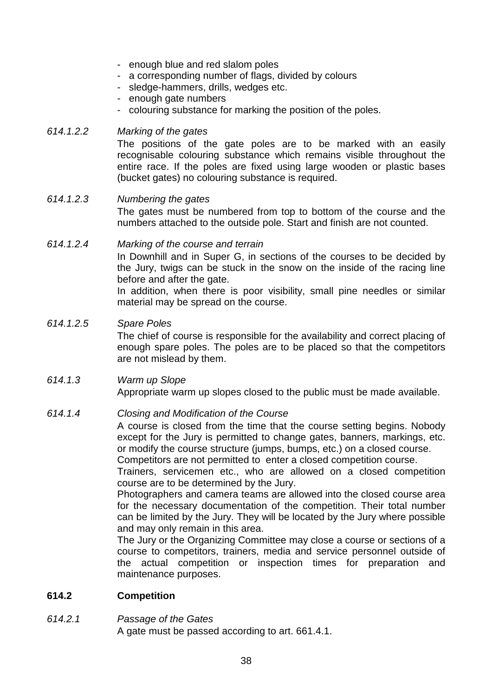- enough blue and red slalom poles
- a corresponding number of flags, divided by colours
- sledge-hammers, drills, wedges etc.
- enough gate numbers
- colouring substance for marking the position of the poles.

### 614.1.2.2 Marking of the gates

 The positions of the gate poles are to be marked with an easily recognisable colouring substance which remains visible throughout the entire race. If the poles are fixed using large wooden or plastic bases (bucket gates) no colouring substance is required.

# 614.1.2.3 Numbering the gates The gates must be numbered from top to bottom of the course and the numbers attached to the outside pole. Start and finish are not counted.

#### 614.1.2.4 Marking of the course and terrain In Downhill and in Super G, in sections of the courses to be decided by the Jury, twigs can be stuck in the snow on the inside of the racing line before and after the gate.

 In addition, when there is poor visibility, small pine needles or similar material may be spread on the course.

#### 614.1.2.5 Spare Poles

 The chief of course is responsible for the availability and correct placing of enough spare poles. The poles are to be placed so that the competitors are not mislead by them.

## 614.1.3 Warm up Slope

Appropriate warm up slopes closed to the public must be made available.

## 614.1.4 Closing and Modification of the Course

 A course is closed from the time that the course setting begins. Nobody except for the Jury is permitted to change gates, banners, markings, etc. or modify the course structure (jumps, bumps, etc.) on a closed course. Competitors are not permitted to enter a closed competition course.

 Trainers, servicemen etc., who are allowed on a closed competition course are to be determined by the Jury.

 Photographers and camera teams are allowed into the closed course area for the necessary documentation of the competition. Their total number can be limited by the Jury. They will be located by the Jury where possible and may only remain in this area.

 The Jury or the Organizing Committee may close a course or sections of a course to competitors, trainers, media and service personnel outside of the actual competition or inspection times for preparation and maintenance purposes.

## **614.2 Competition**

## 614.2.1 Passage of the Gates

A gate must be passed according to art. 661.4.1.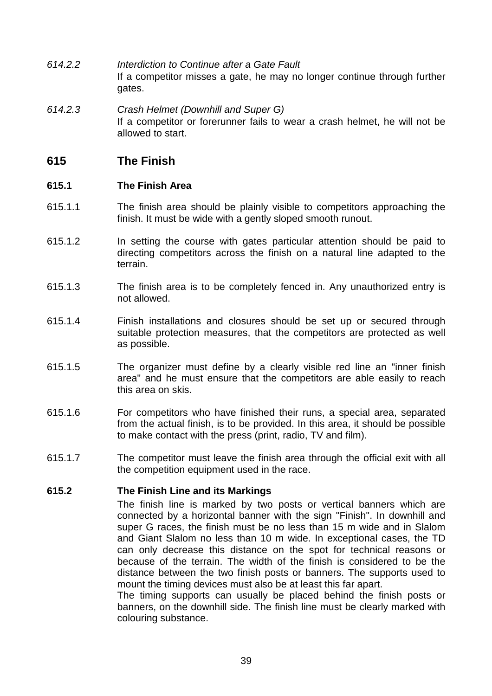- 614.2.2 Interdiction to Continue after a Gate Fault If a competitor misses a gate, he may no longer continue through further gates.
- 614.2.3 Crash Helmet (Downhill and Super G) If a competitor or forerunner fails to wear a crash helmet, he will not be allowed to start.

# **615 The Finish**

## **615.1 The Finish Area**

- 615.1.1 The finish area should be plainly visible to competitors approaching the finish. It must be wide with a gently sloped smooth runout.
- 615.1.2 In setting the course with gates particular attention should be paid to directing competitors across the finish on a natural line adapted to the terrain.
- 615.1.3 The finish area is to be completely fenced in. Any unauthorized entry is not allowed.
- 615.1.4 Finish installations and closures should be set up or secured through suitable protection measures, that the competitors are protected as well as possible.
- 615.1.5 The organizer must define by a clearly visible red line an "inner finish area" and he must ensure that the competitors are able easily to reach this area on skis.
- 615.1.6 For competitors who have finished their runs, a special area, separated from the actual finish, is to be provided. In this area, it should be possible to make contact with the press (print, radio, TV and film).
- 615.1.7 The competitor must leave the finish area through the official exit with all the competition equipment used in the race.

# **615.2 The Finish Line and its Markings**

 The finish line is marked by two posts or vertical banners which are connected by a horizontal banner with the sign "Finish". In downhill and super G races, the finish must be no less than 15 m wide and in Slalom and Giant Slalom no less than 10 m wide. In exceptional cases, the TD can only decrease this distance on the spot for technical reasons or because of the terrain. The width of the finish is considered to be the distance between the two finish posts or banners. The supports used to mount the timing devices must also be at least this far apart.

 The timing supports can usually be placed behind the finish posts or banners, on the downhill side. The finish line must be clearly marked with colouring substance.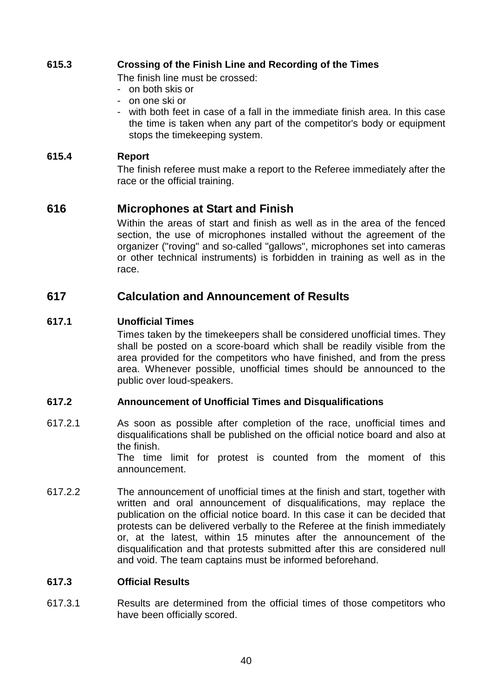# **615.3 Crossing of the Finish Line and Recording of the Times**

The finish line must be crossed:

- on both skis or
- on one ski or
- with both feet in case of a fall in the immediate finish area. In this case the time is taken when any part of the competitor's body or equipment stops the timekeeping system.

## **615.4 Report**

 The finish referee must make a report to the Referee immediately after the race or the official training.

# **616 Microphones at Start and Finish**

 Within the areas of start and finish as well as in the area of the fenced section, the use of microphones installed without the agreement of the organizer ("roving" and so-called "gallows", microphones set into cameras or other technical instruments) is forbidden in training as well as in the race.

# **617 Calculation and Announcement of Results**

## **617.1 Unofficial Times**

 Times taken by the timekeepers shall be considered unofficial times. They shall be posted on a score-board which shall be readily visible from the area provided for the competitors who have finished, and from the press area. Whenever possible, unofficial times should be announced to the public over loud-speakers.

# **617.2 Announcement of Unofficial Times and Disqualifications**

- 617.2.1 As soon as possible after completion of the race, unofficial times and disqualifications shall be published on the official notice board and also at the finish. The time limit for protest is counted from the moment of this announcement.
- 617.2.2 The announcement of unofficial times at the finish and start, together with written and oral announcement of disqualifications, may replace the publication on the official notice board. In this case it can be decided that protests can be delivered verbally to the Referee at the finish immediately or, at the latest, within 15 minutes after the announcement of the disqualification and that protests submitted after this are considered null and void. The team captains must be informed beforehand.

## **617.3 Official Results**

617.3.1 Results are determined from the official times of those competitors who have been officially scored.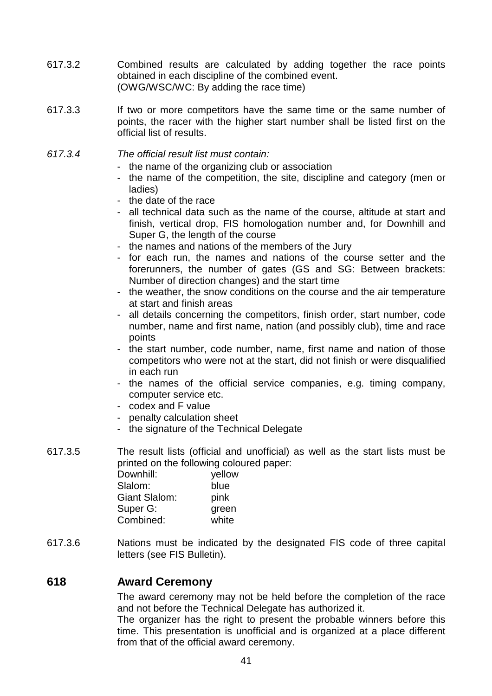- 617.3.2 Combined results are calculated by adding together the race points obtained in each discipline of the combined event. (OWG/WSC/WC: By adding the race time)
- 617.3.3 If two or more competitors have the same time or the same number of points, the racer with the higher start number shall be listed first on the official list of results.
- 617.3.4 The official result list must contain:
	- the name of the organizing club or association
	- the name of the competition, the site, discipline and category (men or ladies)
	- the date of the race
	- all technical data such as the name of the course, altitude at start and finish, vertical drop, FIS homologation number and, for Downhill and Super G, the length of the course
	- the names and nations of the members of the Jury
	- for each run, the names and nations of the course setter and the forerunners, the number of gates (GS and SG: Between brackets: Number of direction changes) and the start time
	- the weather, the snow conditions on the course and the air temperature at start and finish areas
	- all details concerning the competitors, finish order, start number, code number, name and first name, nation (and possibly club), time and race points
	- the start number, code number, name, first name and nation of those competitors who were not at the start, did not finish or were disqualified in each run
	- the names of the official service companies, e.g. timing company, computer service etc.
	- codex and F value
	- penalty calculation sheet
	- the signature of the Technical Delegate
- 617.3.5 The result lists (official and unofficial) as well as the start lists must be printed on the following coloured paper:

| Downhill:     | yellow |
|---------------|--------|
| Slalom:       | blue   |
| Giant Slalom: | pink   |
| Super G:      | green  |
| Combined:     | white  |

617.3.6 Nations must be indicated by the designated FIS code of three capital letters (see FIS Bulletin).

## **618 Award Ceremony**

 The award ceremony may not be held before the completion of the race and not before the Technical Delegate has authorized it.

The organizer has the right to present the probable winners before this time. This presentation is unofficial and is organized at a place different from that of the official award ceremony.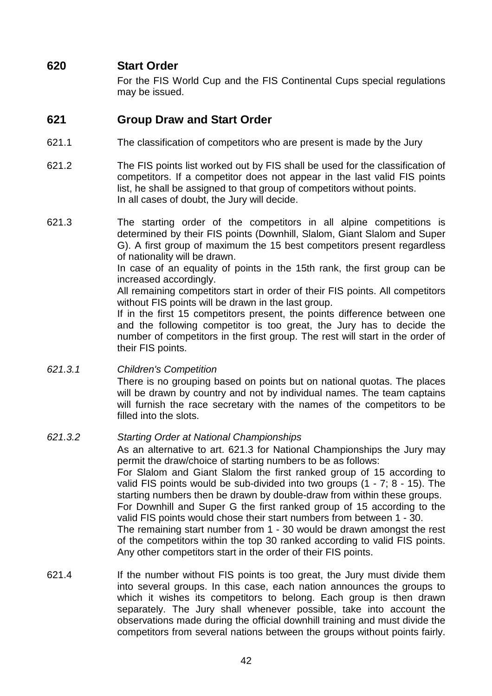# **620 Start Order**

 For the FIS World Cup and the FIS Continental Cups special regulations may be issued.

# **621 Group Draw and Start Order**

- 621.1 The classification of competitors who are present is made by the Jury
- 621.2 The FIS points list worked out by FIS shall be used for the classification of competitors. If a competitor does not appear in the last valid FIS points list, he shall be assigned to that group of competitors without points. In all cases of doubt, the Jury will decide.
- 621.3 The starting order of the competitors in all alpine competitions is determined by their FIS points (Downhill, Slalom, Giant Slalom and Super G). A first group of maximum the 15 best competitors present regardless of nationality will be drawn.

 In case of an equality of points in the 15th rank, the first group can be increased accordingly.

 All remaining competitors start in order of their FIS points. All competitors without FIS points will be drawn in the last group.

 If in the first 15 competitors present, the points difference between one and the following competitor is too great, the Jury has to decide the number of competitors in the first group. The rest will start in the order of their FIS points.

621.3.1 Children's Competition

 There is no grouping based on points but on national quotas. The places will be drawn by country and not by individual names. The team captains will furnish the race secretary with the names of the competitors to be filled into the slots.

#### 621.3.2 Starting Order at National Championships

 As an alternative to art. 621.3 for National Championships the Jury may permit the draw/choice of starting numbers to be as follows: For Slalom and Giant Slalom the first ranked group of 15 according to valid FIS points would be sub-divided into two groups (1 - 7; 8 - 15). The starting numbers then be drawn by double-draw from within these groups. For Downhill and Super G the first ranked group of 15 according to the valid FIS points would chose their start numbers from between 1 - 30. The remaining start number from 1 - 30 would be drawn amongst the rest of the competitors within the top 30 ranked according to valid FIS points. Any other competitors start in the order of their FIS points.

621.4 If the number without FIS points is too great, the Jury must divide them into several groups. In this case, each nation announces the groups to which it wishes its competitors to belong. Each group is then drawn separately. The Jury shall whenever possible, take into account the observations made during the official downhill training and must divide the competitors from several nations between the groups without points fairly.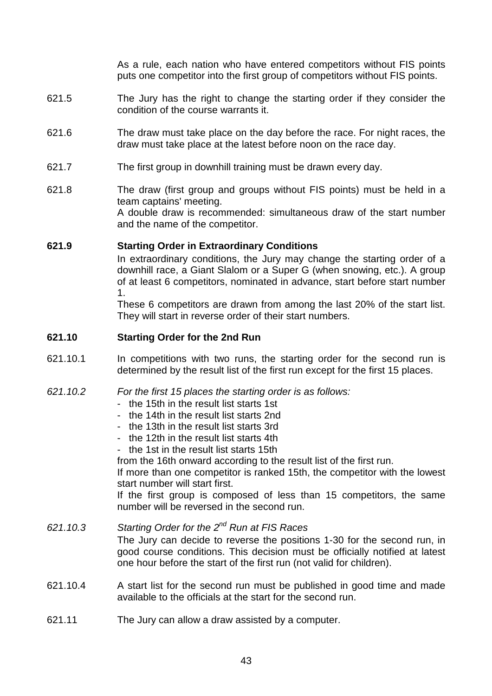As a rule, each nation who have entered competitors without FIS points puts one competitor into the first group of competitors without FIS points.

- 621.5 The Jury has the right to change the starting order if they consider the condition of the course warrants it.
- 621.6 The draw must take place on the day before the race. For night races, the draw must take place at the latest before noon on the race day.
- 621.7 The first group in downhill training must be drawn every day.
- 621.8 The draw (first group and groups without FIS points) must be held in a team captains' meeting. A double draw is recommended: simultaneous draw of the start number and the name of the competitor.

#### **621.9 Starting Order in Extraordinary Conditions**

 In extraordinary conditions, the Jury may change the starting order of a downhill race, a Giant Slalom or a Super G (when snowing, etc.). A group of at least 6 competitors, nominated in advance, start before start number 1.

 These 6 competitors are drawn from among the last 20% of the start list. They will start in reverse order of their start numbers.

#### **621.10 Starting Order for the 2nd Run**

- 621.10.1 In competitions with two runs, the starting order for the second run is determined by the result list of the first run except for the first 15 places.
- 621.10.2 For the first 15 places the starting order is as follows:
	- the 15th in the result list starts 1st
	- the 14th in the result list starts 2nd
	- the 13th in the result list starts 3rd
	- the 12th in the result list starts 4th
	- the 1st in the result list starts 15th

from the 16th onward according to the result list of the first run.

 If more than one competitor is ranked 15th, the competitor with the lowest start number will start first.

 If the first group is composed of less than 15 competitors, the same number will be reversed in the second run.

- 621.10.3 Starting Order for the  $2^{nd}$  Run at FIS Races The Jury can decide to reverse the positions 1-30 for the second run, in good course conditions. This decision must be officially notified at latest one hour before the start of the first run (not valid for children).
- 621.10.4 A start list for the second run must be published in good time and made available to the officials at the start for the second run.
- 621.11 The Jury can allow a draw assisted by a computer.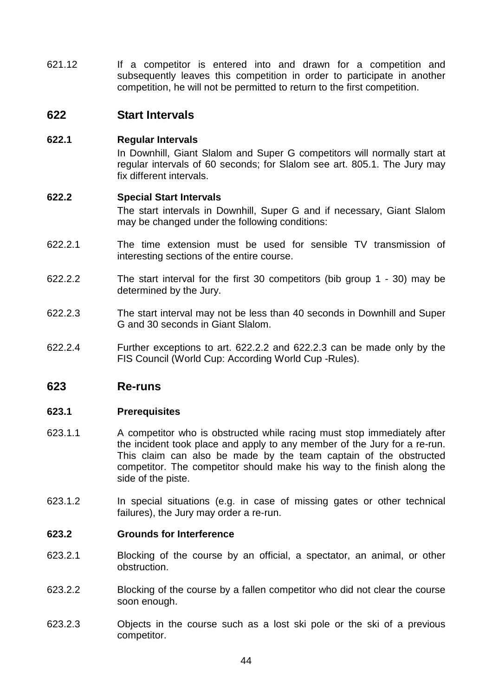621.12 If a competitor is entered into and drawn for a competition and subsequently leaves this competition in order to participate in another competition, he will not be permitted to return to the first competition.

## **622 Start Intervals**

## **622.1 Regular Intervals**

 In Downhill, Giant Slalom and Super G competitors will normally start at regular intervals of 60 seconds; for Slalom see art. 805.1. The Jury may fix different intervals.

#### **622.2 Special Start Intervals**

 The start intervals in Downhill, Super G and if necessary, Giant Slalom may be changed under the following conditions:

- 622.2.1 The time extension must be used for sensible TV transmission of interesting sections of the entire course.
- 622.2.2 The start interval for the first 30 competitors (bib group 1 30) may be determined by the Jury.
- 622.2.3 The start interval may not be less than 40 seconds in Downhill and Super G and 30 seconds in Giant Slalom.
- 622.2.4 Further exceptions to art. 622.2.2 and 622.2.3 can be made only by the FIS Council (World Cup: According World Cup -Rules).

# **623 Re-runs**

#### **623.1 Prerequisites**

- 623.1.1 A competitor who is obstructed while racing must stop immediately after the incident took place and apply to any member of the Jury for a re-run. This claim can also be made by the team captain of the obstructed competitor. The competitor should make his way to the finish along the side of the piste.
- 623.1.2 In special situations (e.g. in case of missing gates or other technical failures), the Jury may order a re-run.

#### **623.2 Grounds for Interference**

- 623.2.1 Blocking of the course by an official, a spectator, an animal, or other obstruction.
- 623.2.2 Blocking of the course by a fallen competitor who did not clear the course soon enough.
- 623.2.3 Objects in the course such as a lost ski pole or the ski of a previous competitor.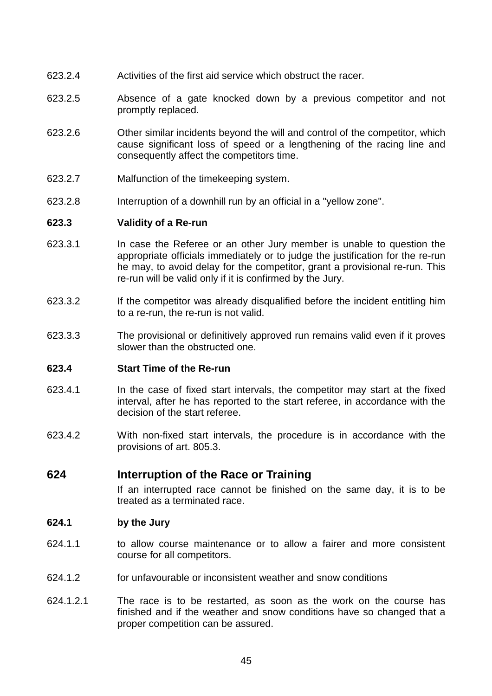- 623.2.4 Activities of the first aid service which obstruct the racer.
- 623.2.5 Absence of a gate knocked down by a previous competitor and not promptly replaced.
- 623.2.6 Other similar incidents beyond the will and control of the competitor, which cause significant loss of speed or a lengthening of the racing line and consequently affect the competitors time.
- 623.2.7 Malfunction of the timekeeping system.
- 623.2.8 Interruption of a downhill run by an official in a "yellow zone".

#### **623.3 Validity of a Re-run**

- 623.3.1 In case the Referee or an other Jury member is unable to question the appropriate officials immediately or to judge the justification for the re-run he may, to avoid delay for the competitor, grant a provisional re-run. This re-run will be valid only if it is confirmed by the Jury.
- 623.3.2 If the competitor was already disqualified before the incident entitling him to a re-run, the re-run is not valid.
- 623.3.3 The provisional or definitively approved run remains valid even if it proves slower than the obstructed one.

## **623.4 Start Time of the Re-run**

- 623.4.1 In the case of fixed start intervals, the competitor may start at the fixed interval, after he has reported to the start referee, in accordance with the decision of the start referee.
- 623.4.2 With non-fixed start intervals, the procedure is in accordance with the provisions of art. 805.3.

## **624 Interruption of the Race or Training**

 If an interrupted race cannot be finished on the same day, it is to be treated as a terminated race.

#### **624.1 by the Jury**

- 624.1.1 to allow course maintenance or to allow a fairer and more consistent course for all competitors.
- 624.1.2 for unfavourable or inconsistent weather and snow conditions
- 624.1.2.1 The race is to be restarted, as soon as the work on the course has finished and if the weather and snow conditions have so changed that a proper competition can be assured.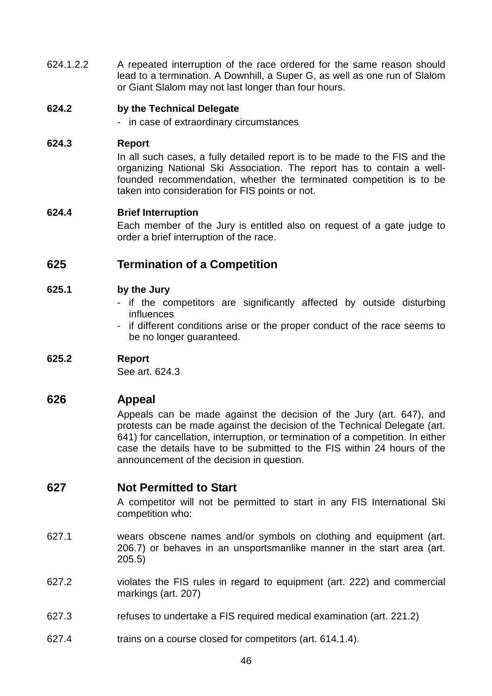624.1.2.2 A repeated interruption of the race ordered for the same reason should lead to a termination. A Downhill, a Super G, as well as one run of Slalom or Giant Slalom may not last longer than four hours.

## **624.2 by the Technical Delegate**

- in case of extraordinary circumstances

## **624.3 Report**

 In all such cases, a fully detailed report is to be made to the FIS and the organizing National Ski Association. The report has to contain a wellfounded recommendation, whether the terminated competition is to be taken into consideration for FIS points or not.

## **624.4 Brief Interruption**

 Each member of the Jury is entitled also on request of a gate judge to order a brief interruption of the race.

# **625 Termination of a Competition**

## **625.1 by the Jury**

- if the competitors are significantly affected by outside disturbing influences
- if different conditions arise or the proper conduct of the race seems to be no longer guaranteed.

# **625.2 Report**

See art. 624.3

# **626 Appeal**

 Appeals can be made against the decision of the Jury (art. 647), and protests can be made against the decision of the Technical Delegate (art. 641) for cancellation, interruption, or termination of a competition. In either case the details have to be submitted to the FIS within 24 hours of the announcement of the decision in question.

# **627 Not Permitted to Start**

 A competitor will not be permitted to start in any FIS International Ski competition who:

- 627.1 wears obscene names and/or symbols on clothing and equipment (art. 206.7) or behaves in an unsportsmanlike manner in the start area (art. 205.5)
- 627.2 violates the FIS rules in regard to equipment (art. 222) and commercial markings (art. 207)
- 627.3 refuses to undertake a FIS required medical examination (art. 221.2)
- 627.4 trains on a course closed for competitors (art. 614.1.4).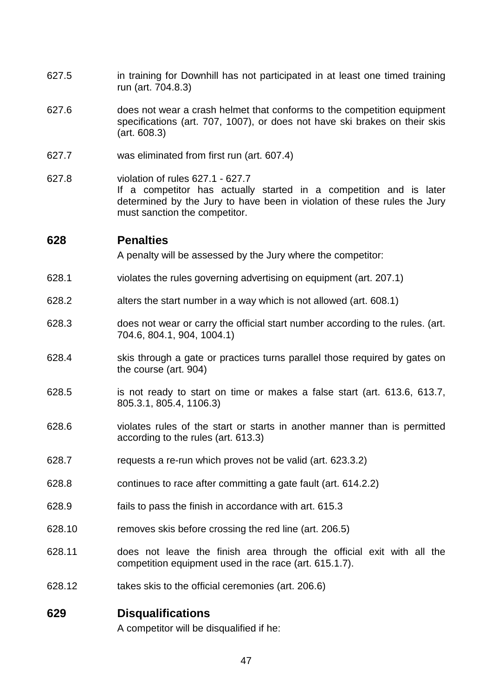- 627.5 in training for Downhill has not participated in at least one timed training run (art. 704.8.3)
- 627.6 does not wear a crash helmet that conforms to the competition equipment specifications (art. 707, 1007), or does not have ski brakes on their skis (art. 608.3)
- 627.7 was eliminated from first run (art. 607.4)
- 627.8 violation of rules 627.1 627.7 If a competitor has actually started in a competition and is later determined by the Jury to have been in violation of these rules the Jury must sanction the competitor.

## **628 Penalties**

A penalty will be assessed by the Jury where the competitor:

- 628.1 violates the rules governing advertising on equipment (art. 207.1)
- 628.2 alters the start number in a way which is not allowed (art. 608.1)
- 628.3 does not wear or carry the official start number according to the rules. (art. 704.6, 804.1, 904, 1004.1)
- 628.4 skis through a gate or practices turns parallel those required by gates on the course (art. 904)
- 628.5 is not ready to start on time or makes a false start (art. 613.6, 613.7, 805.3.1, 805.4, 1106.3)
- 628.6 violates rules of the start or starts in another manner than is permitted according to the rules (art. 613.3)
- 628.7 requests a re-run which proves not be valid (art. 623.3.2)
- 628.8 continues to race after committing a gate fault (art. 614.2.2)
- 628.9 fails to pass the finish in accordance with art. 615.3
- 628.10 removes skis before crossing the red line (art. 206.5)
- 628.11 does not leave the finish area through the official exit with all the competition equipment used in the race (art. 615.1.7).
- 628.12 takes skis to the official ceremonies (art. 206.6)

# **629 Disqualifications**

A competitor will be disqualified if he: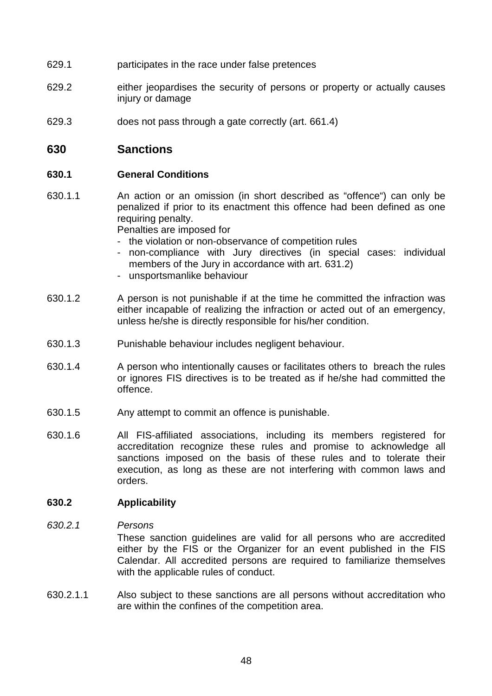- 629.1 participates in the race under false pretences
- 629.2 either jeopardises the security of persons or property or actually causes injury or damage
- 629.3 does not pass through a gate correctly (art. 661.4)

# **630 Sanctions**

#### **630.1 General Conditions**

630.1.1 An action or an omission (in short described as "offence") can only be penalized if prior to its enactment this offence had been defined as one requiring penalty.

Penalties are imposed for

- the violation or non-observance of competition rules
- non-compliance with Jury directives (in special cases: individual members of the Jury in accordance with art. 631.2)
- unsportsmanlike behaviour
- 630.1.2 A person is not punishable if at the time he committed the infraction was either incapable of realizing the infraction or acted out of an emergency, unless he/she is directly responsible for his/her condition.
- 630.1.3 Punishable behaviour includes negligent behaviour.
- 630.1.4 A person who intentionally causes or facilitates others to breach the rules or ignores FIS directives is to be treated as if he/she had committed the offence.
- 630.1.5 Any attempt to commit an offence is punishable.
- 630.1.6 All FIS-affiliated associations, including its members registered for accreditation recognize these rules and promise to acknowledge all sanctions imposed on the basis of these rules and to tolerate their execution, as long as these are not interfering with common laws and orders.

#### **630.2 Applicability**

#### 630.2.1 Persons

 These sanction guidelines are valid for all persons who are accredited either by the FIS or the Organizer for an event published in the FIS Calendar. All accredited persons are required to familiarize themselves with the applicable rules of conduct.

630.2.1.1 Also subject to these sanctions are all persons without accreditation who are within the confines of the competition area.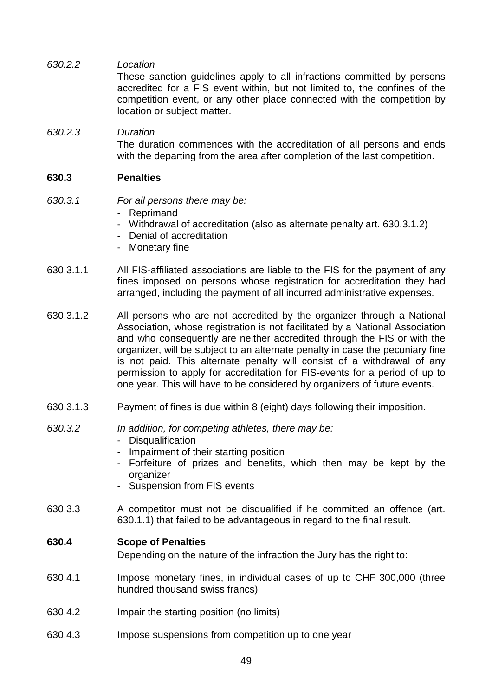630.2.2 Location

 These sanction guidelines apply to all infractions committed by persons accredited for a FIS event within, but not limited to, the confines of the competition event, or any other place connected with the competition by location or subject matter.

# 630.2.3 Duration

 The duration commences with the accreditation of all persons and ends with the departing from the area after completion of the last competition.

## **630.3 Penalties**

## 630.3.1 For all persons there may be:

- Reprimand
- Withdrawal of accreditation (also as alternate penalty art. 630.3.1.2)
- Denial of accreditation
- Monetary fine
- 630.3.1.1 All FIS-affiliated associations are liable to the FIS for the payment of any fines imposed on persons whose registration for accreditation they had arranged, including the payment of all incurred administrative expenses.
- 630.3.1.2 All persons who are not accredited by the organizer through a National Association, whose registration is not facilitated by a National Association and who consequently are neither accredited through the FIS or with the organizer, will be subject to an alternate penalty in case the pecuniary fine is not paid. This alternate penalty will consist of a withdrawal of any permission to apply for accreditation for FIS-events for a period of up to one year. This will have to be considered by organizers of future events.
- 630.3.1.3 Payment of fines is due within 8 (eight) days following their imposition.

#### 630.3.2 In addition, for competing athletes, there may be:

- Disqualification
- Impairment of their starting position
- Forfeiture of prizes and benefits, which then may be kept by the organizer
- Suspension from FIS events
- 630.3.3 A competitor must not be disqualified if he committed an offence (art. 630.1.1) that failed to be advantageous in regard to the final result.

## **630.4 Scope of Penalties**

Depending on the nature of the infraction the Jury has the right to:

- 630.4.1 Impose monetary fines, in individual cases of up to CHF 300,000 (three hundred thousand swiss francs)
- 630.4.2 Impair the starting position (no limits)
- 630.4.3 Impose suspensions from competition up to one year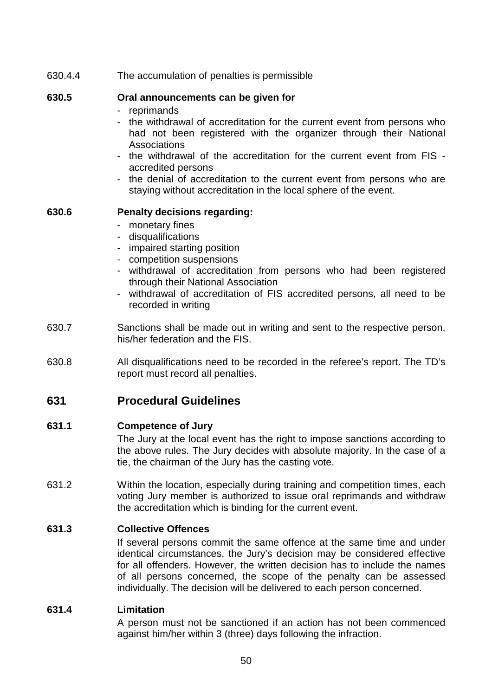630.4.4 The accumulation of penalties is permissible

## **630.5 Oral announcements can be given for**

- reprimands
- the withdrawal of accreditation for the current event from persons who had not been registered with the organizer through their National **Associations**
- the withdrawal of the accreditation for the current event from FIS accredited persons
- the denial of accreditation to the current event from persons who are staying without accreditation in the local sphere of the event.

## **630.6 Penalty decisions regarding:**

- monetary fines
- disqualifications
- impaired starting position
- competition suspensions
- withdrawal of accreditation from persons who had been registered through their National Association
- withdrawal of accreditation of FIS accredited persons, all need to be recorded in writing
- 630.7 Sanctions shall be made out in writing and sent to the respective person, his/her federation and the FIS.
- 630.8 All disqualifications need to be recorded in the referee's report. The TD's report must record all penalties.

# **631 Procedural Guidelines**

## **631.1 Competence of Jury**

 The Jury at the local event has the right to impose sanctions according to the above rules. The Jury decides with absolute majority. In the case of a tie, the chairman of the Jury has the casting vote.

631.2 Within the location, especially during training and competition times, each voting Jury member is authorized to issue oral reprimands and withdraw the accreditation which is binding for the current event.

# **631.3 Collective Offences**

 If several persons commit the same offence at the same time and under identical circumstances, the Jury's decision may be considered effective for all offenders. However, the written decision has to include the names of all persons concerned, the scope of the penalty can be assessed individually. The decision will be delivered to each person concerned.

## **631.4 Limitation**

 A person must not be sanctioned if an action has not been commenced against him/her within 3 (three) days following the infraction.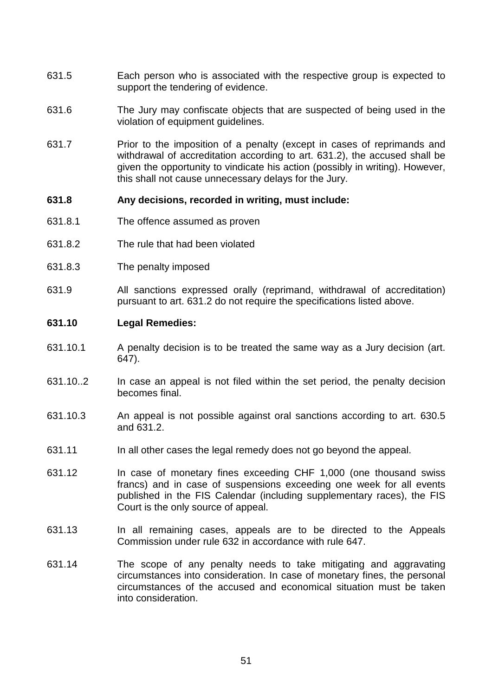- 631.5 Each person who is associated with the respective group is expected to support the tendering of evidence.
- 631.6 The Jury may confiscate objects that are suspected of being used in the violation of equipment guidelines.
- 631.7 Prior to the imposition of a penalty (except in cases of reprimands and withdrawal of accreditation according to art. 631.2), the accused shall be given the opportunity to vindicate his action (possibly in writing). However, this shall not cause unnecessary delays for the Jury.

#### **631.8 Any decisions, recorded in writing, must include:**

- 631.8.1 The offence assumed as proven
- 631.8.2 The rule that had been violated
- 631.8.3 The penalty imposed
- 631.9 All sanctions expressed orally (reprimand, withdrawal of accreditation) pursuant to art. 631.2 do not require the specifications listed above.

#### **631.10 Legal Remedies:**

- 631.10.1 A penalty decision is to be treated the same way as a Jury decision (art. 647).
- 631.10..2 In case an appeal is not filed within the set period, the penalty decision becomes final.
- 631.10.3 An appeal is not possible against oral sanctions according to art. 630.5 and 631.2.
- 631.11 In all other cases the legal remedy does not go beyond the appeal.
- 631.12 In case of monetary fines exceeding CHF 1,000 (one thousand swiss francs) and in case of suspensions exceeding one week for all events published in the FIS Calendar (including supplementary races), the FIS Court is the only source of appeal.
- 631.13 In all remaining cases, appeals are to be directed to the Appeals Commission under rule 632 in accordance with rule 647.
- 631.14 The scope of any penalty needs to take mitigating and aggravating circumstances into consideration. In case of monetary fines, the personal circumstances of the accused and economical situation must be taken into consideration.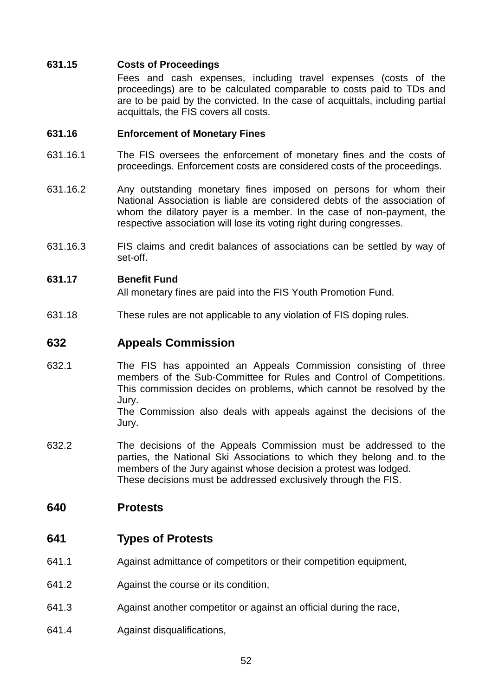## **631.15 Costs of Proceedings**

 Fees and cash expenses, including travel expenses (costs of the proceedings) are to be calculated comparable to costs paid to TDs and are to be paid by the convicted. In the case of acquittals, including partial acquittals, the FIS covers all costs.

### **631.16 Enforcement of Monetary Fines**

- 631.16.1 The FIS oversees the enforcement of monetary fines and the costs of proceedings. Enforcement costs are considered costs of the proceedings.
- 631.16.2 Any outstanding monetary fines imposed on persons for whom their National Association is liable are considered debts of the association of whom the dilatory payer is a member. In the case of non-payment, the respective association will lose its voting right during congresses.
- 631.16.3 FIS claims and credit balances of associations can be settled by way of set-off.

## **631.17 Benefit Fund**

All monetary fines are paid into the FIS Youth Promotion Fund.

631.18 These rules are not applicable to any violation of FIS doping rules.

# **632 Appeals Commission**

- 632.1 The FIS has appointed an Appeals Commission consisting of three members of the Sub-Committee for Rules and Control of Competitions. This commission decides on problems, which cannot be resolved by the Jury. The Commission also deals with appeals against the decisions of the Jury.
- 632.2 The decisions of the Appeals Commission must be addressed to the parties, the National Ski Associations to which they belong and to the members of the Jury against whose decision a protest was lodged. These decisions must be addressed exclusively through the FIS.

# **640 Protests**

# **641 Types of Protests**

- 641.1 Against admittance of competitors or their competition equipment,
- 641.2 Against the course or its condition,
- 641.3 Against another competitor or against an official during the race,
- 641.4 Against disqualifications,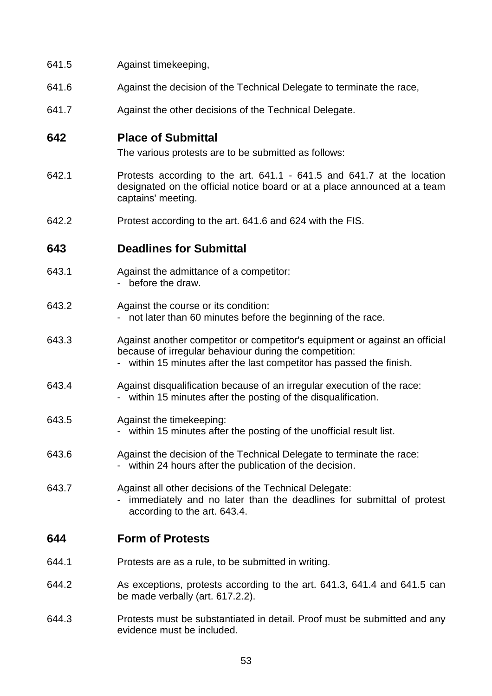- 641.5 Against timekeeping,
- 641.6 Against the decision of the Technical Delegate to terminate the race,
- 641.7 Against the other decisions of the Technical Delegate.

# **642 Place of Submittal**

The various protests are to be submitted as follows:

- 642.1 Protests according to the art. 641.1 641.5 and 641.7 at the location designated on the official notice board or at a place announced at a team captains' meeting.
- 642.2 Protest according to the art. 641.6 and 624 with the FIS.

# **643 Deadlines for Submittal**

- 643.1 Against the admittance of a competitor:
	- before the draw.
- 643.2 Against the course or its condition: - not later than 60 minutes before the beginning of the race.
- 643.3 Against another competitor or competitor's equipment or against an official because of irregular behaviour during the competition:
	- within 15 minutes after the last competitor has passed the finish.
- 643.4 Against disqualification because of an irregular execution of the race: within 15 minutes after the posting of the disqualification.
- 643.5 Against the timekeeping:
	- within 15 minutes after the posting of the unofficial result list.
- 643.6 Against the decision of the Technical Delegate to terminate the race: - within 24 hours after the publication of the decision.
- 643.7 Against all other decisions of the Technical Delegate:
	- immediately and no later than the deadlines for submittal of protest according to the art. 643.4.

# **644 Form of Protests**

- 644.1 Protests are as a rule, to be submitted in writing.
- 644.2 As exceptions, protests according to the art. 641.3, 641.4 and 641.5 can be made verbally (art. 617.2.2).
- 644.3 Protests must be substantiated in detail. Proof must be submitted and any evidence must be included.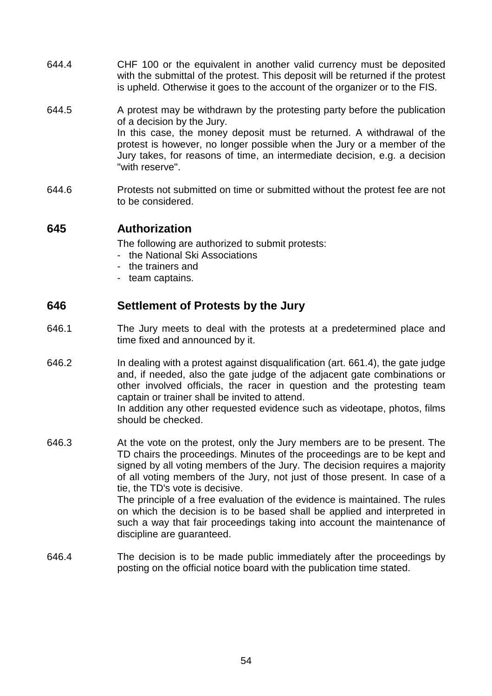- 644.4 CHF 100 or the equivalent in another valid currency must be deposited with the submittal of the protest. This deposit will be returned if the protest is upheld. Otherwise it goes to the account of the organizer or to the FIS.
- 644.5 A protest may be withdrawn by the protesting party before the publication of a decision by the Jury. In this case, the money deposit must be returned. A withdrawal of the protest is however, no longer possible when the Jury or a member of the Jury takes, for reasons of time, an intermediate decision, e.g. a decision "with reserve".
- 644.6 Protests not submitted on time or submitted without the protest fee are not to be considered.

# **645 Authorization**

The following are authorized to submit protests:

- the National Ski Associations
- the trainers and
- team captains.

# **646 Settlement of Protests by the Jury**

- 646.1 The Jury meets to deal with the protests at a predetermined place and time fixed and announced by it.
- 646.2 In dealing with a protest against disqualification (art. 661.4), the gate judge and, if needed, also the gate judge of the adjacent gate combinations or other involved officials, the racer in question and the protesting team captain or trainer shall be invited to attend. In addition any other requested evidence such as videotape, photos, films should be checked.
- 646.3 At the vote on the protest, only the Jury members are to be present. The TD chairs the proceedings. Minutes of the proceedings are to be kept and signed by all voting members of the Jury. The decision requires a majority of all voting members of the Jury, not just of those present. In case of a tie, the TD's vote is decisive. The principle of a free evaluation of the evidence is maintained. The rules on which the decision is to be based shall be applied and interpreted in such a way that fair proceedings taking into account the maintenance of discipline are guaranteed.
- 646.4 The decision is to be made public immediately after the proceedings by posting on the official notice board with the publication time stated.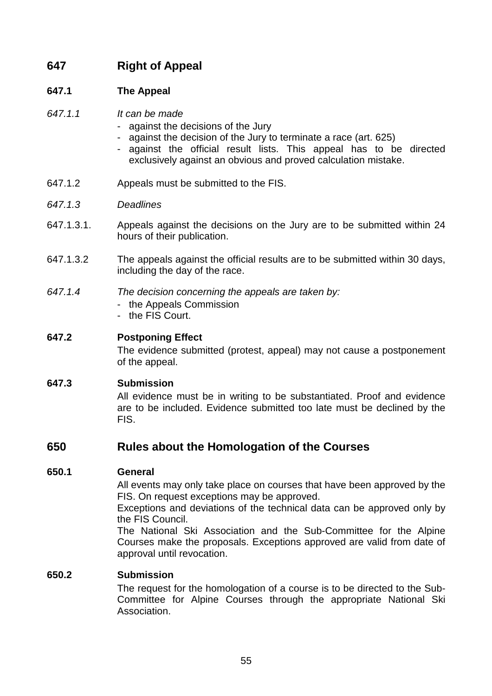# **647 Right of Appeal**

# **647.1 The Appeal**

- 647.1.1 It can be made
	- against the decisions of the Jury
	- against the decision of the Jury to terminate a race (art. 625)
	- against the official result lists. This appeal has to be directed exclusively against an obvious and proved calculation mistake.
- 647.1.2 Appeals must be submitted to the FIS.
- 647.1.3 Deadlines
- 647.1.3.1. Appeals against the decisions on the Jury are to be submitted within 24 hours of their publication.
- 647.1.3.2 The appeals against the official results are to be submitted within 30 days, including the day of the race.

## 647.1.4 The decision concerning the appeals are taken by:

- the Appeals Commission
- the FIS Court.

## **647.2 Postponing Effect**

 The evidence submitted (protest, appeal) may not cause a postponement of the appeal.

## **647.3 Submission**

 All evidence must be in writing to be substantiated. Proof and evidence are to be included. Evidence submitted too late must be declined by the FIS.

# **650 Rules about the Homologation of the Courses**

## **650.1 General**

 All events may only take place on courses that have been approved by the FIS. On request exceptions may be approved.

 Exceptions and deviations of the technical data can be approved only by the FIS Council.

 The National Ski Association and the Sub-Committee for the Alpine Courses make the proposals. Exceptions approved are valid from date of approval until revocation.

## **650.2 Submission**

 The request for the homologation of a course is to be directed to the Sub-Committee for Alpine Courses through the appropriate National Ski Association.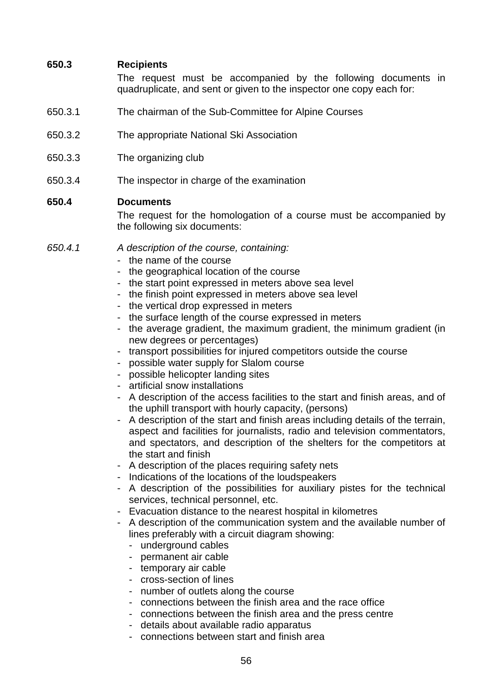## **650.3 Recipients**

 The request must be accompanied by the following documents in quadruplicate, and sent or given to the inspector one copy each for:

- 650.3.1 The chairman of the Sub-Committee for Alpine Courses
- 650.3.2 The appropriate National Ski Association
- 650.3.3 The organizing club
- 650.3.4 The inspector in charge of the examination

#### **650.4 Documents**

 The request for the homologation of a course must be accompanied by the following six documents:

- 650.4.1 A description of the course, containing: - the name of the course
	-
	- the geographical location of the course
	- the start point expressed in meters above sea level
	- the finish point expressed in meters above sea level
	- the vertical drop expressed in meters
	- the surface length of the course expressed in meters
	- the average gradient, the maximum gradient, the minimum gradient (in new degrees or percentages)
	- transport possibilities for injured competitors outside the course
	- possible water supply for Slalom course
	- possible helicopter landing sites
	- artificial snow installations
	- A description of the access facilities to the start and finish areas, and of the uphill transport with hourly capacity, (persons)
	- A description of the start and finish areas including details of the terrain, aspect and facilities for journalists, radio and television commentators, and spectators, and description of the shelters for the competitors at the start and finish
	- A description of the places requiring safety nets
	- Indications of the locations of the loudspeakers
	- A description of the possibilities for auxiliary pistes for the technical services, technical personnel, etc.
	- Evacuation distance to the nearest hospital in kilometres
	- A description of the communication system and the available number of lines preferably with a circuit diagram showing:
		- underground cables
		- permanent air cable
		- temporary air cable
		- cross-section of lines
		- number of outlets along the course
		- connections between the finish area and the race office
		- connections between the finish area and the press centre
		- details about available radio apparatus
		- connections between start and finish area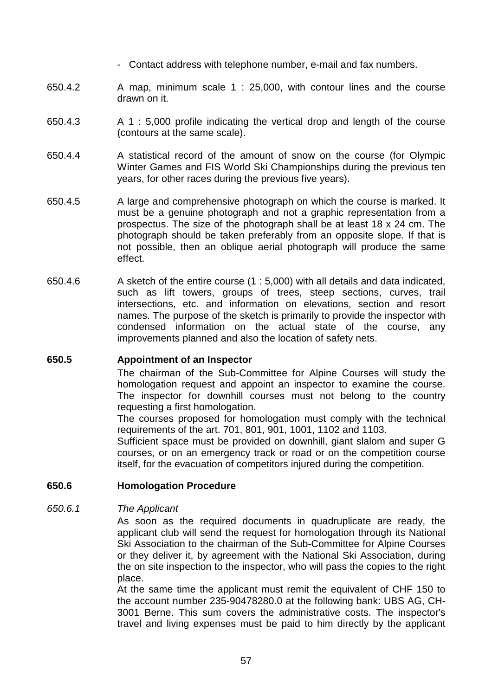- Contact address with telephone number, e-mail and fax numbers.
- 650.4.2 A map, minimum scale 1 : 25,000, with contour lines and the course drawn on it.
- 650.4.3 A 1 : 5,000 profile indicating the vertical drop and length of the course (contours at the same scale).
- 650.4.4 A statistical record of the amount of snow on the course (for Olympic Winter Games and FIS World Ski Championships during the previous ten years, for other races during the previous five years).
- 650.4.5 A large and comprehensive photograph on which the course is marked. It must be a genuine photograph and not a graphic representation from a prospectus. The size of the photograph shall be at least 18 x 24 cm. The photograph should be taken preferably from an opposite slope. If that is not possible, then an oblique aerial photograph will produce the same effect.
- 650.4.6 A sketch of the entire course (1 : 5,000) with all details and data indicated, such as lift towers, groups of trees, steep sections, curves, trail intersections, etc. and information on elevations, section and resort names. The purpose of the sketch is primarily to provide the inspector with condensed information on the actual state of the course, any improvements planned and also the location of safety nets.

#### **650.5 Appointment of an Inspector**

 The chairman of the Sub-Committee for Alpine Courses will study the homologation request and appoint an inspector to examine the course. The inspector for downhill courses must not belong to the country requesting a first homologation.

 The courses proposed for homologation must comply with the technical requirements of the art. 701, 801, 901, 1001, 1102 and 1103.

 Sufficient space must be provided on downhill, giant slalom and super G courses, or on an emergency track or road or on the competition course itself, for the evacuation of competitors injured during the competition.

#### **650.6 Homologation Procedure**

#### 650.6.1 The Applicant

 As soon as the required documents in quadruplicate are ready, the applicant club will send the request for homologation through its National Ski Association to the chairman of the Sub-Committee for Alpine Courses or they deliver it, by agreement with the National Ski Association, during the on site inspection to the inspector, who will pass the copies to the right place.

 At the same time the applicant must remit the equivalent of CHF 150 to the account number 235-90478280.0 at the following bank: UBS AG, CH-3001 Berne. This sum covers the administrative costs. The inspector's travel and living expenses must be paid to him directly by the applicant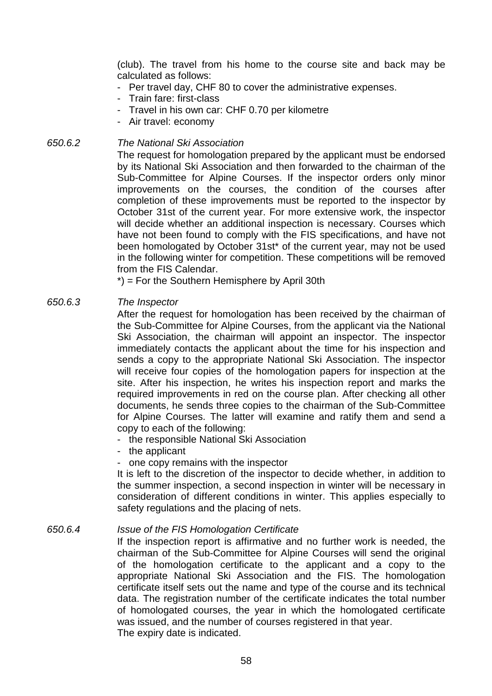(club). The travel from his home to the course site and back may be calculated as follows:

- Per travel day, CHF 80 to cover the administrative expenses.
- Train fare: first-class
- Travel in his own car: CHF 0.70 per kilometre
- Air travel: economy

# 650.6.2 The National Ski Association

 The request for homologation prepared by the applicant must be endorsed by its National Ski Association and then forwarded to the chairman of the Sub-Committee for Alpine Courses. If the inspector orders only minor improvements on the courses, the condition of the courses after completion of these improvements must be reported to the inspector by October 31st of the current year. For more extensive work, the inspector will decide whether an additional inspection is necessary. Courses which have not been found to comply with the FIS specifications, and have not been homologated by October 31st\* of the current year, may not be used in the following winter for competition. These competitions will be removed from the FIS Calendar.

\*) = For the Southern Hemisphere by April 30th

#### 650.6.3 The Inspector

 After the request for homologation has been received by the chairman of the Sub-Committee for Alpine Courses, from the applicant via the National Ski Association, the chairman will appoint an inspector. The inspector immediately contacts the applicant about the time for his inspection and sends a copy to the appropriate National Ski Association. The inspector will receive four copies of the homologation papers for inspection at the site. After his inspection, he writes his inspection report and marks the required improvements in red on the course plan. After checking all other documents, he sends three copies to the chairman of the Sub-Committee for Alpine Courses. The latter will examine and ratify them and send a copy to each of the following:

- the responsible National Ski Association
- the applicant
- one copy remains with the inspector

 It is left to the discretion of the inspector to decide whether, in addition to the summer inspection, a second inspection in winter will be necessary in consideration of different conditions in winter. This applies especially to safety regulations and the placing of nets.

#### 650.6.4 Issue of the FIS Homologation Certificate

 If the inspection report is affirmative and no further work is needed, the chairman of the Sub-Committee for Alpine Courses will send the original of the homologation certificate to the applicant and a copy to the appropriate National Ski Association and the FIS. The homologation certificate itself sets out the name and type of the course and its technical data. The registration number of the certificate indicates the total number of homologated courses, the year in which the homologated certificate was issued, and the number of courses registered in that year. The expiry date is indicated.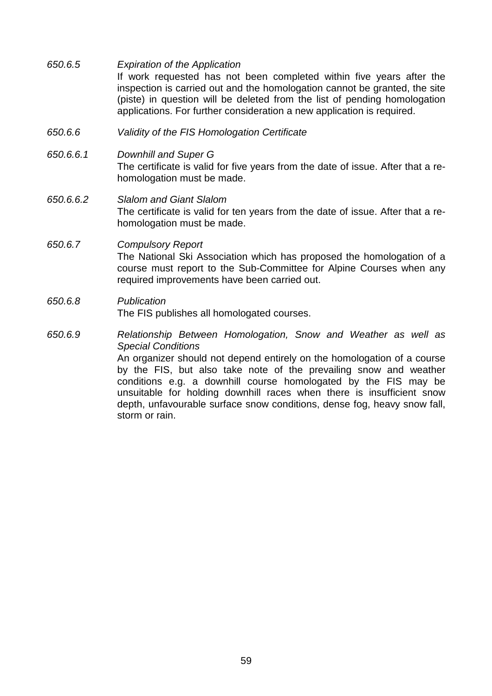| 650.6.5   | <b>Expiration of the Application</b><br>If work requested has not been completed within five years after the<br>inspection is carried out and the homologation cannot be granted, the site<br>(piste) in question will be deleted from the list of pending homologation<br>applications. For further consideration a new application is required. |
|-----------|---------------------------------------------------------------------------------------------------------------------------------------------------------------------------------------------------------------------------------------------------------------------------------------------------------------------------------------------------|
| 650.6.6   | Validity of the FIS Homologation Certificate                                                                                                                                                                                                                                                                                                      |
| 650.6.6.1 | Downhill and Super G<br>The certificate is valid for five years from the date of issue. After that a re-<br>homologation must be made.                                                                                                                                                                                                            |
| 650.6.6.2 | <b>Slalom and Giant Slalom</b><br>The certificate is valid for ten years from the date of issue. After that a re-<br>homologation must be made.                                                                                                                                                                                                   |

## 650.6.7 Compulsory Report The National Ski Association which has proposed the homologation of a course must report to the Sub-Committee for Alpine Courses when any required improvements have been carried out.

### 650.6.8 Publication The FIS publishes all homologated courses.

650.6.9 Relationship Between Homologation, Snow and Weather as well as Special Conditions

> An organizer should not depend entirely on the homologation of a course by the FIS, but also take note of the prevailing snow and weather conditions e.g. a downhill course homologated by the FIS may be unsuitable for holding downhill races when there is insufficient snow depth, unfavourable surface snow conditions, dense fog, heavy snow fall, storm or rain.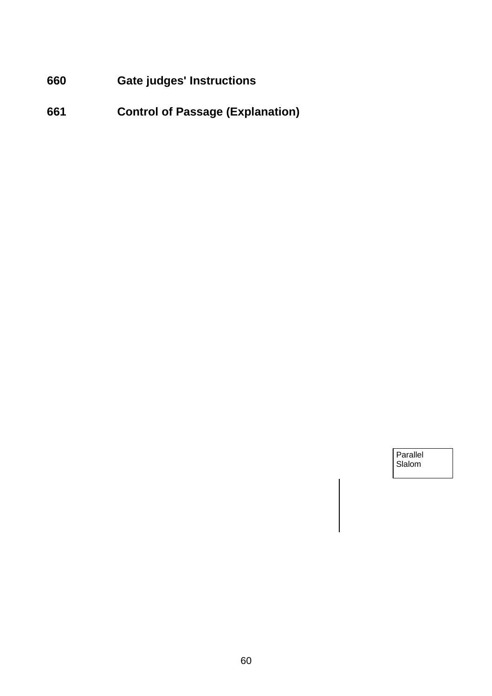**660 Gate judges' Instructions** 

**661 Control of Passage (Explanation)** 

**Parallel Slalom**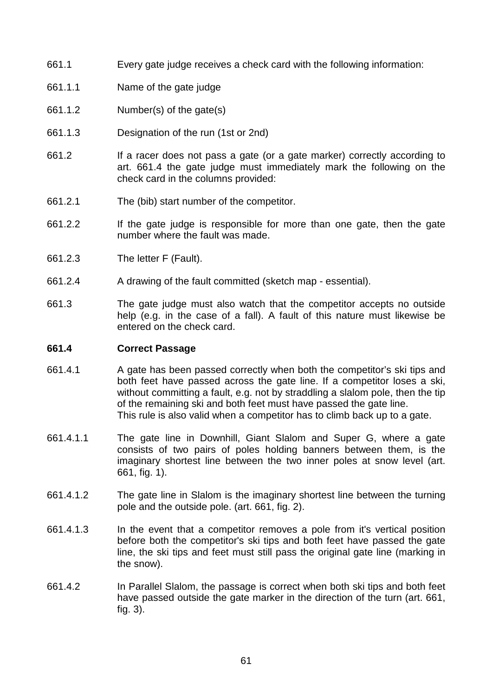- 661.1 Every gate judge receives a check card with the following information:
- 661.1.1 Name of the gate judge
- 661.1.2 Number(s) of the gate(s)
- 661.1.3 Designation of the run (1st or 2nd)
- 661.2 If a racer does not pass a gate (or a gate marker) correctly according to art. 661.4 the gate judge must immediately mark the following on the check card in the columns provided:
- 661.2.1 The (bib) start number of the competitor.
- 661.2.2 If the gate judge is responsible for more than one gate, then the gate number where the fault was made.
- 661.2.3 The letter F (Fault).
- 661.2.4 A drawing of the fault committed (sketch map essential).
- 661.3 The gate judge must also watch that the competitor accepts no outside help (e.g. in the case of a fall). A fault of this nature must likewise be entered on the check card.

#### **661.4 Correct Passage**

- 661.4.1 A gate has been passed correctly when both the competitor's ski tips and both feet have passed across the gate line. If a competitor loses a ski, without committing a fault, e.g. not by straddling a slalom pole, then the tip of the remaining ski and both feet must have passed the gate line. This rule is also valid when a competitor has to climb back up to a gate.
- 661.4.1.1 The gate line in Downhill, Giant Slalom and Super G, where a gate consists of two pairs of poles holding banners between them, is the imaginary shortest line between the two inner poles at snow level (art. 661, fig. 1).
- 661.4.1.2 The gate line in Slalom is the imaginary shortest line between the turning pole and the outside pole. (art. 661, fig. 2).
- 661.4.1.3 In the event that a competitor removes a pole from it's vertical position before both the competitor's ski tips and both feet have passed the gate line, the ski tips and feet must still pass the original gate line (marking in the snow).
- 661.4.2 In Parallel Slalom, the passage is correct when both ski tips and both feet have passed outside the gate marker in the direction of the turn (art. 661, fig. 3).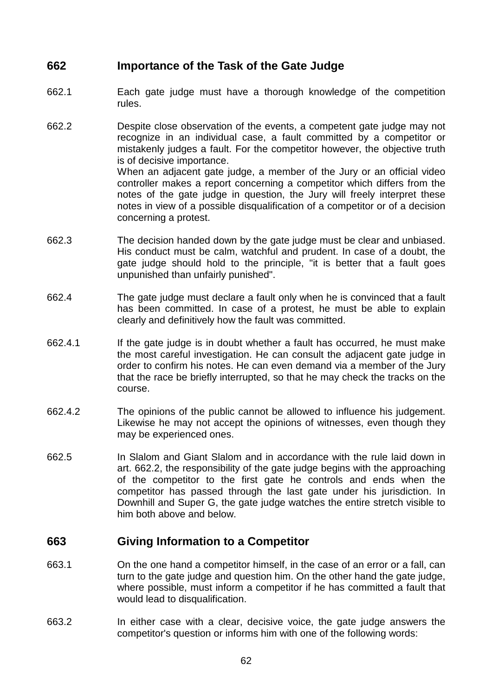# **662 Importance of the Task of the Gate Judge**

- 662.1 Each gate judge must have a thorough knowledge of the competition rules.
- 662.2 Despite close observation of the events, a competent gate judge may not recognize in an individual case, a fault committed by a competitor or mistakenly judges a fault. For the competitor however, the objective truth is of decisive importance. When an adjacent gate judge, a member of the Jury or an official video controller makes a report concerning a competitor which differs from the notes of the gate judge in question, the Jury will freely interpret these notes in view of a possible disqualification of a competitor or of a decision concerning a protest.
- 662.3 The decision handed down by the gate judge must be clear and unbiased. His conduct must be calm, watchful and prudent. In case of a doubt, the gate judge should hold to the principle, "it is better that a fault goes unpunished than unfairly punished".
- 662.4 The gate judge must declare a fault only when he is convinced that a fault has been committed. In case of a protest, he must be able to explain clearly and definitively how the fault was committed.
- 662.4.1 If the gate judge is in doubt whether a fault has occurred, he must make the most careful investigation. He can consult the adjacent gate judge in order to confirm his notes. He can even demand via a member of the Jury that the race be briefly interrupted, so that he may check the tracks on the course.
- 662.4.2 The opinions of the public cannot be allowed to influence his judgement. Likewise he may not accept the opinions of witnesses, even though they may be experienced ones.
- 662.5 In Slalom and Giant Slalom and in accordance with the rule laid down in art. 662.2, the responsibility of the gate judge begins with the approaching of the competitor to the first gate he controls and ends when the competitor has passed through the last gate under his jurisdiction. In Downhill and Super G, the gate judge watches the entire stretch visible to him both above and below.

# **663 Giving Information to a Competitor**

- 663.1 On the one hand a competitor himself, in the case of an error or a fall, can turn to the gate judge and question him. On the other hand the gate judge, where possible, must inform a competitor if he has committed a fault that would lead to disqualification.
- 663.2 In either case with a clear, decisive voice, the gate judge answers the competitor's question or informs him with one of the following words: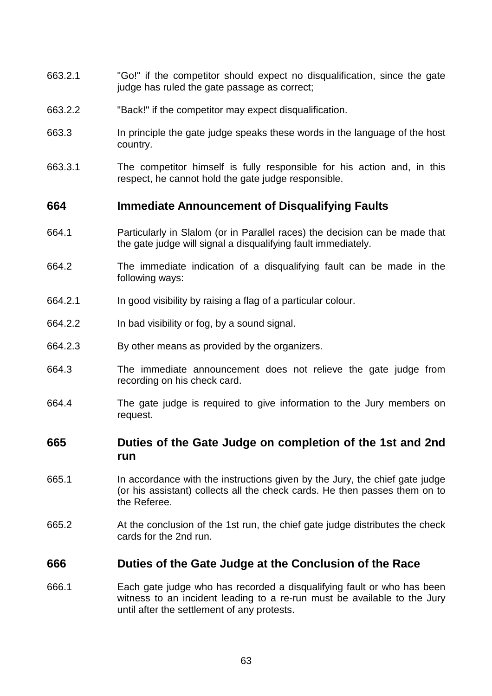- 663.2.1 "Go!" if the competitor should expect no disqualification, since the gate judge has ruled the gate passage as correct:
- 663.2.2 "Back!" if the competitor may expect disqualification.
- 663.3 In principle the gate judge speaks these words in the language of the host country.
- 663.3.1 The competitor himself is fully responsible for his action and, in this respect, he cannot hold the gate judge responsible.

# **664 Immediate Announcement of Disqualifying Faults**

- 664.1 Particularly in Slalom (or in Parallel races) the decision can be made that the gate judge will signal a disqualifying fault immediately.
- 664.2 The immediate indication of a disqualifying fault can be made in the following ways:
- 664.2.1 In good visibility by raising a flag of a particular colour.
- 664.2.2 In bad visibility or fog, by a sound signal.
- 664.2.3 By other means as provided by the organizers.
- 664.3 The immediate announcement does not relieve the gate judge from recording on his check card.
- 664.4 The gate judge is required to give information to the Jury members on request.

# **665 Duties of the Gate Judge on completion of the 1st and 2nd run**

- 665.1 In accordance with the instructions given by the Jury, the chief gate judge (or his assistant) collects all the check cards. He then passes them on to the Referee.
- 665.2 At the conclusion of the 1st run, the chief gate judge distributes the check cards for the 2nd run.

# **666 Duties of the Gate Judge at the Conclusion of the Race**

666.1 Each gate judge who has recorded a disqualifying fault or who has been witness to an incident leading to a re-run must be available to the Jury until after the settlement of any protests.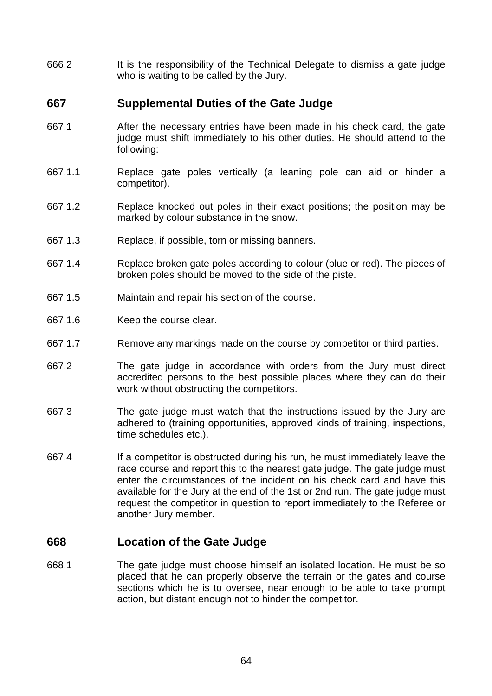666.2 It is the responsibility of the Technical Delegate to dismiss a gate judge who is waiting to be called by the Jury.

# **667 Supplemental Duties of the Gate Judge**

- 667.1 After the necessary entries have been made in his check card, the gate judge must shift immediately to his other duties. He should attend to the following:
- 667.1.1 Replace gate poles vertically (a leaning pole can aid or hinder a competitor).
- 667.1.2 Replace knocked out poles in their exact positions; the position may be marked by colour substance in the snow.
- 667.1.3 Replace, if possible, torn or missing banners.
- 667.1.4 Replace broken gate poles according to colour (blue or red). The pieces of broken poles should be moved to the side of the piste.
- 667.1.5 Maintain and repair his section of the course.
- 667.1.6 Keep the course clear.
- 667.1.7 Remove any markings made on the course by competitor or third parties.
- 667.2 The gate judge in accordance with orders from the Jury must direct accredited persons to the best possible places where they can do their work without obstructing the competitors.
- 667.3 The gate judge must watch that the instructions issued by the Jury are adhered to (training opportunities, approved kinds of training, inspections, time schedules etc.).
- 667.4 If a competitor is obstructed during his run, he must immediately leave the race course and report this to the nearest gate judge. The gate judge must enter the circumstances of the incident on his check card and have this available for the Jury at the end of the 1st or 2nd run. The gate judge must request the competitor in question to report immediately to the Referee or another Jury member.

# **668 Location of the Gate Judge**

668.1 The gate judge must choose himself an isolated location. He must be so placed that he can properly observe the terrain or the gates and course sections which he is to oversee, near enough to be able to take prompt action, but distant enough not to hinder the competitor.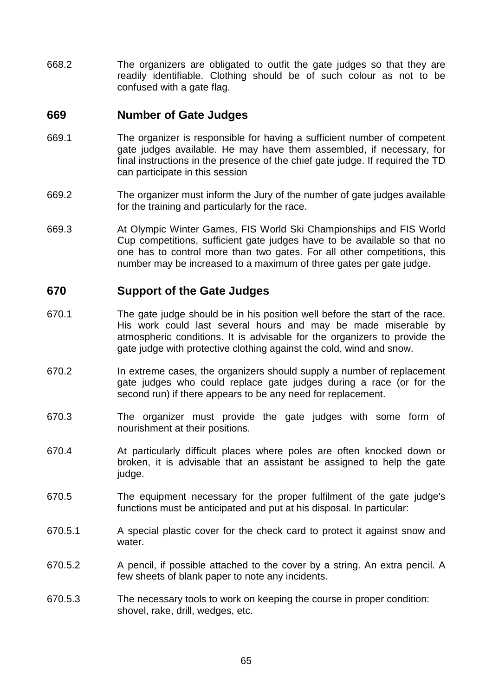668.2 The organizers are obligated to outfit the gate judges so that they are readily identifiable. Clothing should be of such colour as not to be confused with a gate flag.

# **669 Number of Gate Judges**

- 669.1 The organizer is responsible for having a sufficient number of competent gate judges available. He may have them assembled, if necessary, for final instructions in the presence of the chief gate judge. If required the TD can participate in this session
- 669.2 The organizer must inform the Jury of the number of gate judges available for the training and particularly for the race.
- 669.3 At Olympic Winter Games, FIS World Ski Championships and FIS World Cup competitions, sufficient gate judges have to be available so that no one has to control more than two gates. For all other competitions, this number may be increased to a maximum of three gates per gate judge.

# **670 Support of the Gate Judges**

- 670.1 The gate judge should be in his position well before the start of the race. His work could last several hours and may be made miserable by atmospheric conditions. It is advisable for the organizers to provide the gate judge with protective clothing against the cold, wind and snow.
- 670.2 In extreme cases, the organizers should supply a number of replacement gate judges who could replace gate judges during a race (or for the second run) if there appears to be any need for replacement.
- 670.3 The organizer must provide the gate judges with some form of nourishment at their positions.
- 670.4 At particularly difficult places where poles are often knocked down or broken, it is advisable that an assistant be assigned to help the gate judge.
- 670.5 The equipment necessary for the proper fulfilment of the gate judge's functions must be anticipated and put at his disposal. In particular:
- 670.5.1 A special plastic cover for the check card to protect it against snow and water.
- 670.5.2 A pencil, if possible attached to the cover by a string. An extra pencil. A few sheets of blank paper to note any incidents.
- 670.5.3 The necessary tools to work on keeping the course in proper condition: shovel, rake, drill, wedges, etc.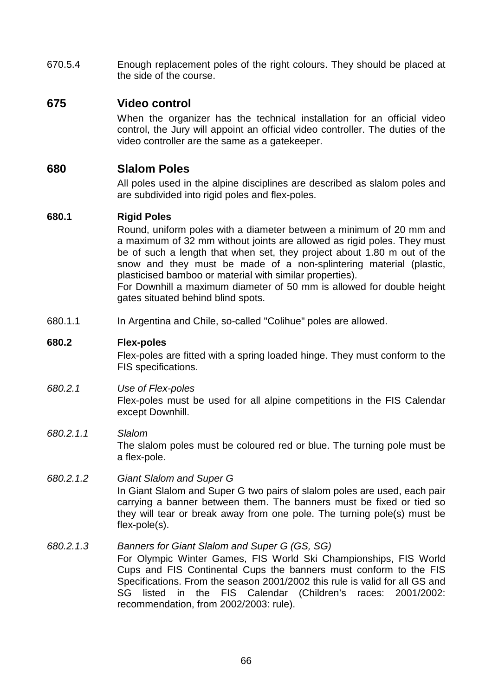670.5.4 Enough replacement poles of the right colours. They should be placed at the side of the course.

# **675 Video control**

 When the organizer has the technical installation for an official video control, the Jury will appoint an official video controller. The duties of the video controller are the same as a gatekeeper.

# **680 Slalom Poles**

 All poles used in the alpine disciplines are described as slalom poles and are subdivided into rigid poles and flex-poles.

## **680.1 Rigid Poles**

 Round, uniform poles with a diameter between a minimum of 20 mm and a maximum of 32 mm without joints are allowed as rigid poles. They must be of such a length that when set, they project about 1.80 m out of the snow and they must be made of a non-splintering material (plastic, plasticised bamboo or material with similar properties).

 For Downhill a maximum diameter of 50 mm is allowed for double height gates situated behind blind spots.

680.1.1 In Argentina and Chile, so-called "Colihue" poles are allowed.

## **680.2 Flex-poles**

 Flex-poles are fitted with a spring loaded hinge. They must conform to the FIS specifications.

## 680.2.1 Use of Flex-poles

 Flex-poles must be used for all alpine competitions in the FIS Calendar except Downhill.

## 680.2.1.1 Slalom

 The slalom poles must be coloured red or blue. The turning pole must be a flex-pole.

# 680.2.1.2 Giant Slalom and Super G

 In Giant Slalom and Super G two pairs of slalom poles are used, each pair carrying a banner between them. The banners must be fixed or tied so they will tear or break away from one pole. The turning pole(s) must be flex-pole(s).

## 680.2.1.3 Banners for Giant Slalom and Super G (GS, SG)

 For Olympic Winter Games, FIS World Ski Championships, FIS World Cups and FIS Continental Cups the banners must conform to the FIS Specifications. From the season 2001/2002 this rule is valid for all GS and SG listed in the FIS Calendar (Children's races: 2001/2002: recommendation, from 2002/2003: rule).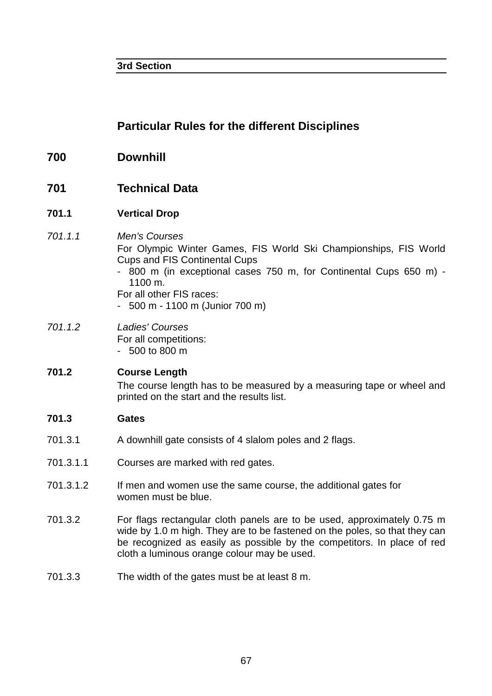**3rd Section** 

# **Particular Rules for the different Disciplines**

- **700 Downhill**
- **701 Technical Data**
- **701.1 Vertical Drop**

#### 701.1.1 Men's Courses For Olympic Winter Games, FIS World Ski Championships, FIS World Cups and FIS Continental Cups - 800 m (in exceptional cases 750 m, for Continental Cups 650 m) - 1100 m. For all other FIS races: - 500 m - 1100 m (Junior 700 m)

701.1.2 Ladies' Courses For all competitions: - 500 to 800 m

# **701.2 Course Length**  The course length has to be measured by a measuring tape or wheel and printed on the start and the results list.

## **701.3 Gates**

- 701.3.1 A downhill gate consists of 4 slalom poles and 2 flags.
- 701.3.1.1 Courses are marked with red gates.
- 701.3.1.2 If men and women use the same course, the additional gates for women must be blue.
- 701.3.2 For flags rectangular cloth panels are to be used, approximately 0.75 m wide by 1.0 m high. They are to be fastened on the poles, so that they can be recognized as easily as possible by the competitors. In place of red cloth a luminous orange colour may be used.
- 701.3.3 The width of the gates must be at least 8 m.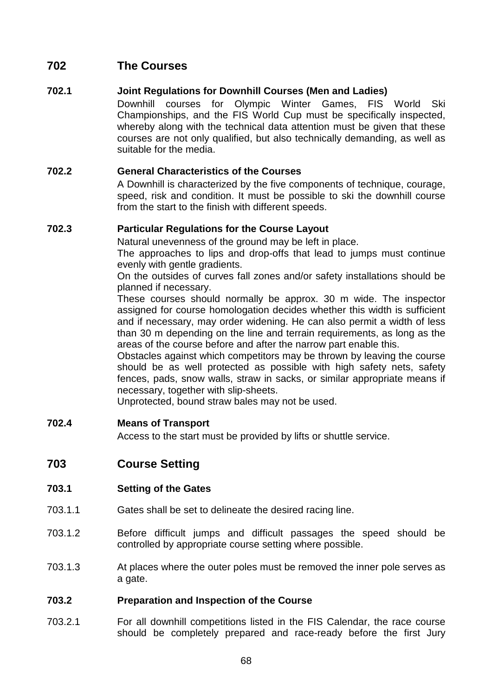# **702 The Courses**

# **702.1 Joint Regulations for Downhill Courses (Men and Ladies)**

 Downhill courses for Olympic Winter Games, FIS World Ski Championships, and the FIS World Cup must be specifically inspected, whereby along with the technical data attention must be given that these courses are not only qualified, but also technically demanding, as well as suitable for the media.

### **702.2 General Characteristics of the Courses**

 A Downhill is characterized by the five components of technique, courage, speed, risk and condition. It must be possible to ski the downhill course from the start to the finish with different speeds.

### **702.3 Particular Regulations for the Course Layout**

Natural unevenness of the ground may be left in place.

 The approaches to lips and drop-offs that lead to jumps must continue evenly with gentle gradients.

 On the outsides of curves fall zones and/or safety installations should be planned if necessary.

 These courses should normally be approx. 30 m wide. The inspector assigned for course homologation decides whether this width is sufficient and if necessary, may order widening. He can also permit a width of less than 30 m depending on the line and terrain requirements, as long as the areas of the course before and after the narrow part enable this.

 Obstacles against which competitors may be thrown by leaving the course should be as well protected as possible with high safety nets, safety fences, pads, snow walls, straw in sacks, or similar appropriate means if necessary, together with slip-sheets.

Unprotected, bound straw bales may not be used.

### **702.4 Means of Transport**

Access to the start must be provided by lifts or shuttle service.

# **703 Course Setting**

### **703.1 Setting of the Gates**

- 703.1.1 Gates shall be set to delineate the desired racing line.
- 703.1.2 Before difficult jumps and difficult passages the speed should be controlled by appropriate course setting where possible.
- 703.1.3 At places where the outer poles must be removed the inner pole serves as a gate.

### **703.2 Preparation and Inspection of the Course**

703.2.1 For all downhill competitions listed in the FIS Calendar, the race course should be completely prepared and race-ready before the first Jury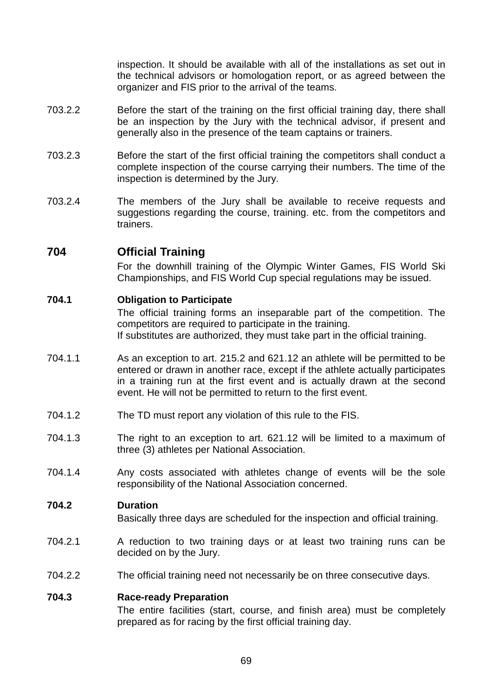inspection. It should be available with all of the installations as set out in the technical advisors or homologation report, or as agreed between the organizer and FIS prior to the arrival of the teams.

- 703.2.2 Before the start of the training on the first official training day, there shall be an inspection by the Jury with the technical advisor, if present and generally also in the presence of the team captains or trainers.
- 703.2.3 Before the start of the first official training the competitors shall conduct a complete inspection of the course carrying their numbers. The time of the inspection is determined by the Jury.
- 703.2.4 The members of the Jury shall be available to receive requests and suggestions regarding the course, training. etc. from the competitors and trainers.

# **704 Official Training**

 For the downhill training of the Olympic Winter Games, FIS World Ski Championships, and FIS World Cup special regulations may be issued.

### **704.1 Obligation to Participate**

 The official training forms an inseparable part of the competition. The competitors are required to participate in the training. If substitutes are authorized, they must take part in the official training.

- 704.1.1 As an exception to art. 215.2 and 621.12 an athlete will be permitted to be entered or drawn in another race, except if the athlete actually participates in a training run at the first event and is actually drawn at the second event. He will not be permitted to return to the first event.
- 704.1.2 The TD must report any violation of this rule to the FIS.
- 704.1.3 The right to an exception to art. 621.12 will be limited to a maximum of three (3) athletes per National Association.
- 704.1.4 Any costs associated with athletes change of events will be the sole responsibility of the National Association concerned.

### **704.2 Duration**

Basically three days are scheduled for the inspection and official training.

- 704.2.1 A reduction to two training days or at least two training runs can be decided on by the Jury.
- 704.2.2 The official training need not necessarily be on three consecutive days.

#### **704.3 Race-ready Preparation**

 The entire facilities (start, course, and finish area) must be completely prepared as for racing by the first official training day.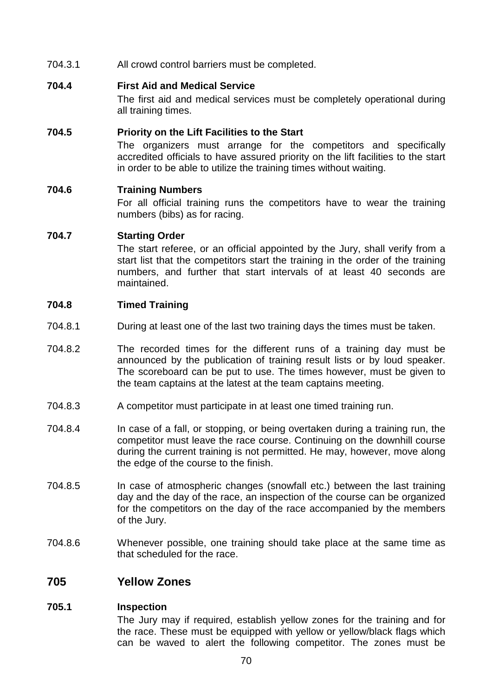704.3.1 All crowd control barriers must be completed.

### **704.4 First Aid and Medical Service**

 The first aid and medical services must be completely operational during all training times.

### **704.5 Priority on the Lift Facilities to the Start**

 The organizers must arrange for the competitors and specifically accredited officials to have assured priority on the lift facilities to the start in order to be able to utilize the training times without waiting.

### **704.6 Training Numbers**

 For all official training runs the competitors have to wear the training numbers (bibs) as for racing.

### **704.7 Starting Order**

 The start referee, or an official appointed by the Jury, shall verify from a start list that the competitors start the training in the order of the training numbers, and further that start intervals of at least 40 seconds are maintained.

### **704.8 Timed Training**

- 704.8.1 During at least one of the last two training days the times must be taken.
- 704.8.2 The recorded times for the different runs of a training day must be announced by the publication of training result lists or by loud speaker. The scoreboard can be put to use. The times however, must be given to the team captains at the latest at the team captains meeting.
- 704.8.3 A competitor must participate in at least one timed training run.
- 704.8.4 In case of a fall, or stopping, or being overtaken during a training run, the competitor must leave the race course. Continuing on the downhill course during the current training is not permitted. He may, however, move along the edge of the course to the finish.
- 704.8.5 In case of atmospheric changes (snowfall etc.) between the last training day and the day of the race, an inspection of the course can be organized for the competitors on the day of the race accompanied by the members of the Jury.
- 704.8.6 Whenever possible, one training should take place at the same time as that scheduled for the race.

# **705 Yellow Zones**

# **705.1 Inspection**

 The Jury may if required, establish yellow zones for the training and for the race. These must be equipped with yellow or yellow/black flags which can be waved to alert the following competitor. The zones must be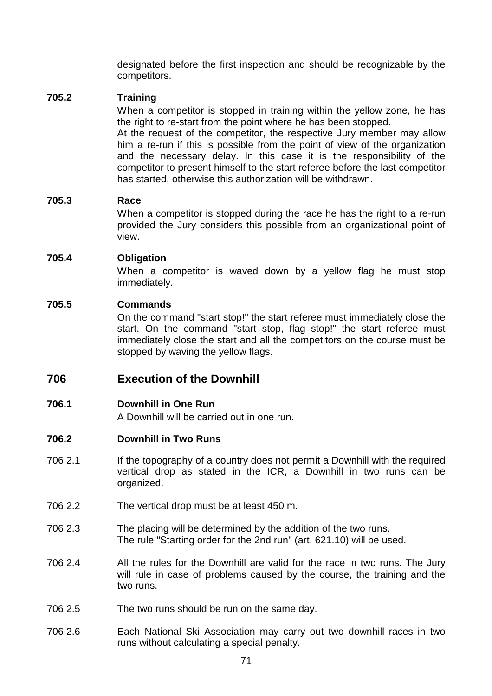designated before the first inspection and should be recognizable by the competitors.

### **705.2 Training**

 When a competitor is stopped in training within the yellow zone, he has the right to re-start from the point where he has been stopped.

 At the request of the competitor, the respective Jury member may allow him a re-run if this is possible from the point of view of the organization and the necessary delay. In this case it is the responsibility of the competitor to present himself to the start referee before the last competitor has started, otherwise this authorization will be withdrawn.

#### **705.3 Race**

 When a competitor is stopped during the race he has the right to a re-run provided the Jury considers this possible from an organizational point of view.

### **705.4 Obligation**

 When a competitor is waved down by a yellow flag he must stop immediately.

### **705.5 Commands**

 On the command "start stop!" the start referee must immediately close the start. On the command "start stop, flag stop!" the start referee must immediately close the start and all the competitors on the course must be stopped by waving the yellow flags.

# **706 Execution of the Downhill**

### **706.1 Downhill in One Run**

A Downhill will be carried out in one run.

#### **706.2 Downhill in Two Runs**

- 706.2.1 If the topography of a country does not permit a Downhill with the required vertical drop as stated in the ICR, a Downhill in two runs can be organized.
- 706.2.2 The vertical drop must be at least 450 m.
- 706.2.3 The placing will be determined by the addition of the two runs. The rule "Starting order for the 2nd run" (art. 621.10) will be used.
- 706.2.4 All the rules for the Downhill are valid for the race in two runs. The Jury will rule in case of problems caused by the course, the training and the two runs.
- 706.2.5 The two runs should be run on the same day.
- 706.2.6 Each National Ski Association may carry out two downhill races in two runs without calculating a special penalty.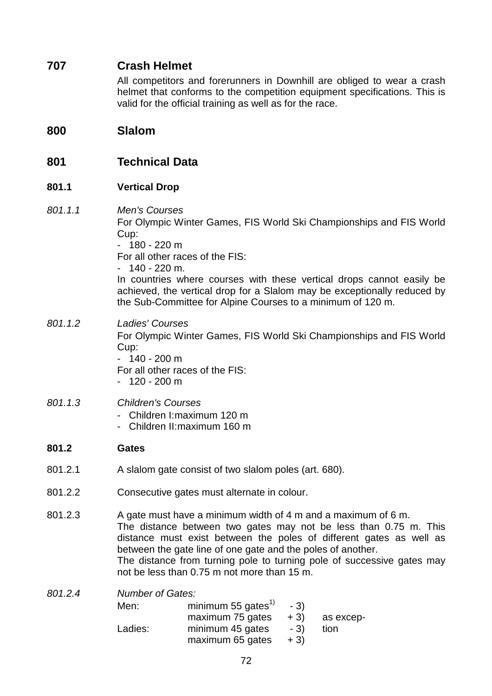# **707 Crash Helmet**

 All competitors and forerunners in Downhill are obliged to wear a crash helmet that conforms to the competition equipment specifications. This is valid for the official training as well as for the race.

# **800 Slalom**

# **801 Technical Data**

### **801.1 Vertical Drop**

801.1.1 Men's Courses For Olympic Winter Games, FIS World Ski Championships and FIS World Cup:  $-180 - 220$  m

For all other races of the FIS:

 $-140 - 220$  m.

 In countries where courses with these vertical drops cannot easily be achieved, the vertical drop for a Slalom may be exceptionally reduced by the Sub-Committee for Alpine Courses to a minimum of 120 m.

# 801.1.2 Ladies' Courses

 For Olympic Winter Games, FIS World Ski Championships and FIS World Cup:

 $-140 - 200$  m

For all other races of the FIS:

 $-120 - 200$  m

# 801.1.3 Children's Courses

- Children I: maximum 120 m
- Children II: maximum 160 m

### **801.2 Gates**

- 801.2.1 A slalom gate consist of two slalom poles (art. 680).
- 801.2.2 Consecutive gates must alternate in colour.
- 801.2.3 A gate must have a minimum width of 4 m and a maximum of 6 m. The distance between two gates may not be less than 0.75 m. This distance must exist between the poles of different gates as well as between the gate line of one gate and the poles of another. The distance from turning pole to turning pole of successive gates may not be less than 0.75 m not more than 15 m.

| 801.2.4 | <b>Number of Gates:</b> |                                |       |           |  |  |
|---------|-------------------------|--------------------------------|-------|-----------|--|--|
|         | Men:                    | minimum 55 gates <sup>1)</sup> | $-3)$ |           |  |  |
|         |                         | maximum 75 gates               | $+3)$ | as excep- |  |  |
|         | Ladies:                 | minimum 45 gates               | $-3)$ | tion      |  |  |
|         |                         | maximum 65 gates               | $+3)$ |           |  |  |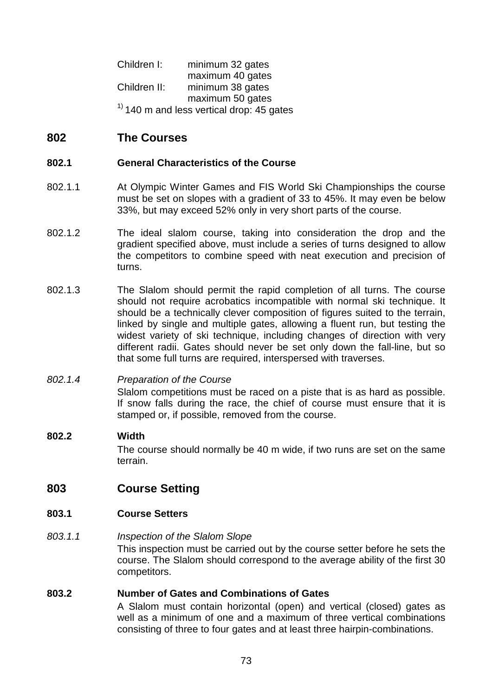Children I: minimum 32 gates maximum 40 gates Children II: minimum 38 gates maximum 50 gates  $<sup>1</sup>$  140 m and less vertical drop: 45 gates</sup>

# **802 The Courses**

### **802.1 General Characteristics of the Course**

- 802.1.1 At Olympic Winter Games and FIS World Ski Championships the course must be set on slopes with a gradient of 33 to 45%. It may even be below 33%, but may exceed 52% only in very short parts of the course.
- 802.1.2 The ideal slalom course, taking into consideration the drop and the gradient specified above, must include a series of turns designed to allow the competitors to combine speed with neat execution and precision of turns.
- 802.1.3 The Slalom should permit the rapid completion of all turns. The course should not require acrobatics incompatible with normal ski technique. It should be a technically clever composition of figures suited to the terrain, linked by single and multiple gates, allowing a fluent run, but testing the widest variety of ski technique, including changes of direction with very different radii. Gates should never be set only down the fall-line, but so that some full turns are required, interspersed with traverses.

### 802.1.4 Preparation of the Course

 Slalom competitions must be raced on a piste that is as hard as possible. If snow falls during the race, the chief of course must ensure that it is stamped or, if possible, removed from the course.

### **802.2 Width**

 The course should normally be 40 m wide, if two runs are set on the same terrain.

# **803 Course Setting**

### **803.1 Course Setters**

### 803.1.1 **Inspection of the Slalom Slope**

 This inspection must be carried out by the course setter before he sets the course. The Slalom should correspond to the average ability of the first 30 competitors.

#### **803.2 Number of Gates and Combinations of Gates**

 A Slalom must contain horizontal (open) and vertical (closed) gates as well as a minimum of one and a maximum of three vertical combinations consisting of three to four gates and at least three hairpin-combinations.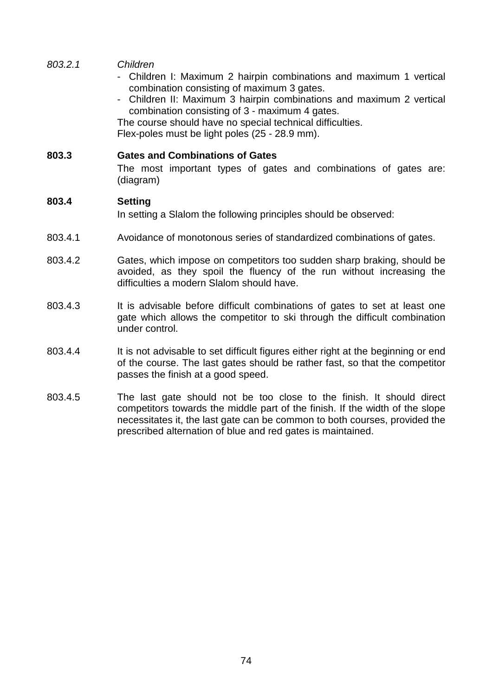- 803.2.1 Children
	- Children I: Maximum 2 hairpin combinations and maximum 1 vertical combination consisting of maximum 3 gates.
	- Children II: Maximum 3 hairpin combinations and maximum 2 vertical combination consisting of 3 - maximum 4 gates.

 The course should have no special technical difficulties. Flex-poles must be light poles (25 - 28.9 mm).

### **803.3 Gates and Combinations of Gates**

 The most important types of gates and combinations of gates are: (diagram)

#### **803.4 Setting**

In setting a Slalom the following principles should be observed:

- 803.4.1 Avoidance of monotonous series of standardized combinations of gates.
- 803.4.2 Gates, which impose on competitors too sudden sharp braking, should be avoided, as they spoil the fluency of the run without increasing the difficulties a modern Slalom should have.
- 803.4.3 It is advisable before difficult combinations of gates to set at least one gate which allows the competitor to ski through the difficult combination under control.
- 803.4.4 It is not advisable to set difficult figures either right at the beginning or end of the course. The last gates should be rather fast, so that the competitor passes the finish at a good speed.
- 803.4.5 The last gate should not be too close to the finish. It should direct competitors towards the middle part of the finish. If the width of the slope necessitates it, the last gate can be common to both courses, provided the prescribed alternation of blue and red gates is maintained.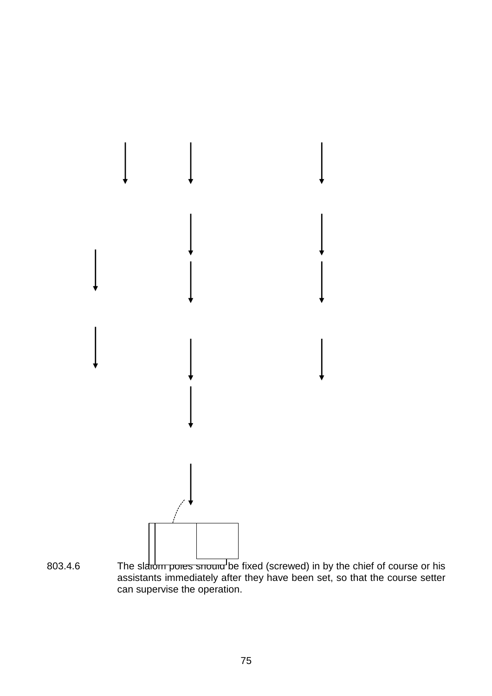

803.4.6 The slarom poles should be fixed (screwed) in by the chief of course or his assistants immediately after they have been set, so that the course setter can supervise the operation.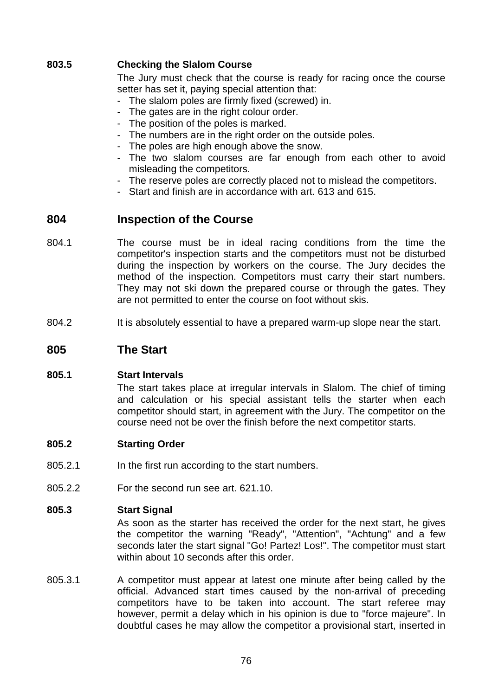### **803.5 Checking the Slalom Course**

 The Jury must check that the course is ready for racing once the course setter has set it, paying special attention that:

- The slalom poles are firmly fixed (screwed) in.
- The gates are in the right colour order.
- The position of the poles is marked.
- The numbers are in the right order on the outside poles.
- The poles are high enough above the snow.
- The two slalom courses are far enough from each other to avoid misleading the competitors.
- The reserve poles are correctly placed not to mislead the competitors.
- Start and finish are in accordance with art. 613 and 615.

# **804 Inspection of the Course**

- 804.1 The course must be in ideal racing conditions from the time the competitor's inspection starts and the competitors must not be disturbed during the inspection by workers on the course. The Jury decides the method of the inspection. Competitors must carry their start numbers. They may not ski down the prepared course or through the gates. They are not permitted to enter the course on foot without skis.
- 804.2 It is absolutely essential to have a prepared warm-up slope near the start.

# **805 The Start**

### **805.1 Start Intervals**

 The start takes place at irregular intervals in Slalom. The chief of timing and calculation or his special assistant tells the starter when each competitor should start, in agreement with the Jury. The competitor on the course need not be over the finish before the next competitor starts.

#### **805.2 Starting Order**

- 805.2.1 In the first run according to the start numbers.
- 805.2.2 For the second run see art. 621.10.

#### **805.3 Start Signal**

 As soon as the starter has received the order for the next start, he gives the competitor the warning "Ready", "Attention", "Achtung" and a few seconds later the start signal "Go! Partez! Los!". The competitor must start within about 10 seconds after this order.

805.3.1 A competitor must appear at latest one minute after being called by the official. Advanced start times caused by the non-arrival of preceding competitors have to be taken into account. The start referee may however, permit a delay which in his opinion is due to "force majeure". In doubtful cases he may allow the competitor a provisional start, inserted in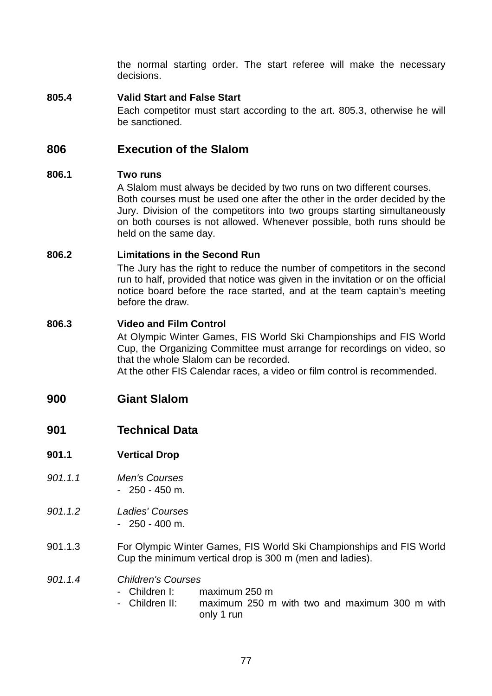the normal starting order. The start referee will make the necessary decisions.

# **805.4 Valid Start and False Start**

 Each competitor must start according to the art. 805.3, otherwise he will be sanctioned.

# **806 Execution of the Slalom**

### **806.1 Two runs**

 A Slalom must always be decided by two runs on two different courses. Both courses must be used one after the other in the order decided by the Jury. Division of the competitors into two groups starting simultaneously on both courses is not allowed. Whenever possible, both runs should be held on the same day.

### **806.2 Limitations in the Second Run**

 The Jury has the right to reduce the number of competitors in the second run to half, provided that notice was given in the invitation or on the official notice board before the race started, and at the team captain's meeting before the draw.

### **806.3 Video and Film Control**

 At Olympic Winter Games, FIS World Ski Championships and FIS World Cup, the Organizing Committee must arrange for recordings on video, so that the whole Slalom can be recorded. At the other FIS Calendar races, a video or film control is recommended.

# **900 Giant Slalom**

- **901 Technical Data**
- **901.1 Vertical Drop**
- 901.1.1 Men's Courses - 250 - 450 m.
- 901.1.2 Ladies' Courses - 250 - 400 m.
- 901.1.3 For Olympic Winter Games, FIS World Ski Championships and FIS World Cup the minimum vertical drop is 300 m (men and ladies).
- 901.1.4 Children's Courses
	- Children I: maximum 250 m
	- Children II: maximum 250 m with two and maximum 300 m with only 1 run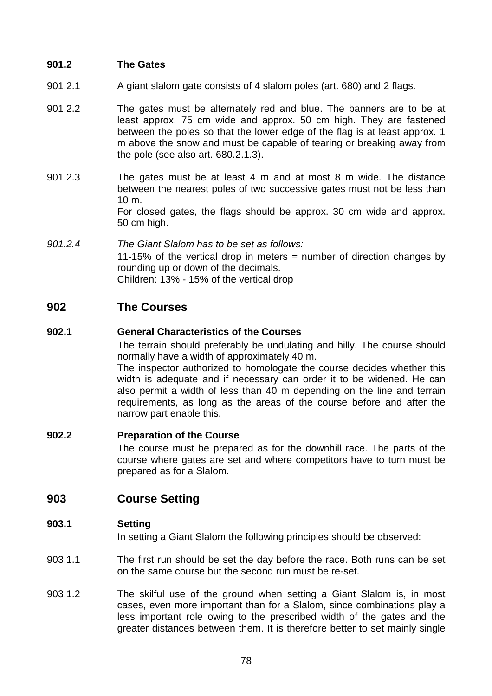### **901.2 The Gates**

- 901.2.1 A giant slalom gate consists of 4 slalom poles (art. 680) and 2 flags.
- 901.2.2 The gates must be alternately red and blue. The banners are to be at least approx. 75 cm wide and approx. 50 cm high. They are fastened between the poles so that the lower edge of the flag is at least approx. 1 m above the snow and must be capable of tearing or breaking away from the pole (see also art. 680.2.1.3).
- 901.2.3 The gates must be at least 4 m and at most 8 m wide. The distance between the nearest poles of two successive gates must not be less than 10 m. For closed gates, the flags should be approx. 30 cm wide and approx. 50 cm high.
- 901.2.4 The Giant Slalom has to be set as follows: 11-15% of the vertical drop in meters = number of direction changes by rounding up or down of the decimals. Children: 13% - 15% of the vertical drop

# **902 The Courses**

# **902.1 General Characteristics of the Courses**

 The terrain should preferably be undulating and hilly. The course should normally have a width of approximately 40 m.

 The inspector authorized to homologate the course decides whether this width is adequate and if necessary can order it to be widened. He can also permit a width of less than 40 m depending on the line and terrain requirements, as long as the areas of the course before and after the narrow part enable this.

### **902.2 Preparation of the Course**

 The course must be prepared as for the downhill race. The parts of the course where gates are set and where competitors have to turn must be prepared as for a Slalom.

# **903 Course Setting**

### **903.1 Setting**

In setting a Giant Slalom the following principles should be observed:

- 903.1.1 The first run should be set the day before the race. Both runs can be set on the same course but the second run must be re-set.
- 903.1.2 The skilful use of the ground when setting a Giant Slalom is, in most cases, even more important than for a Slalom, since combinations play a less important role owing to the prescribed width of the gates and the greater distances between them. It is therefore better to set mainly single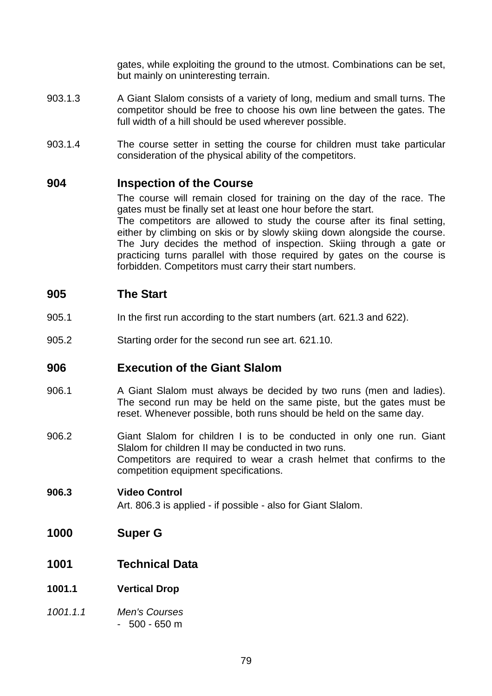gates, while exploiting the ground to the utmost. Combinations can be set, but mainly on uninteresting terrain.

- 903.1.3 A Giant Slalom consists of a variety of long, medium and small turns. The competitor should be free to choose his own line between the gates. The full width of a hill should be used wherever possible.
- 903.1.4 The course setter in setting the course for children must take particular consideration of the physical ability of the competitors.

# **904 Inspection of the Course**

 The course will remain closed for training on the day of the race. The gates must be finally set at least one hour before the start. The competitors are allowed to study the course after its final setting, either by climbing on skis or by slowly skiing down alongside the course. The Jury decides the method of inspection. Skiing through a gate or practicing turns parallel with those required by gates on the course is forbidden. Competitors must carry their start numbers.

# **905 The Start**

- 905.1 In the first run according to the start numbers (art. 621.3 and 622).
- 905.2 Starting order for the second run see art. 621.10.

# **906 Execution of the Giant Slalom**

- 906.1 A Giant Slalom must always be decided by two runs (men and ladies). The second run may be held on the same piste, but the gates must be reset. Whenever possible, both runs should be held on the same day.
- 906.2 Giant Slalom for children I is to be conducted in only one run. Giant Slalom for children II may be conducted in two runs. Competitors are required to wear a crash helmet that confirms to the competition equipment specifications.

# **906.3 Video Control**

Art. 806.3 is applied - if possible - also for Giant Slalom.

- **1000 Super G**
- **1001 Technical Data**
- **1001.1 Vertical Drop**
- 1001.1.1 Men's Courses  $-500 - 650$  m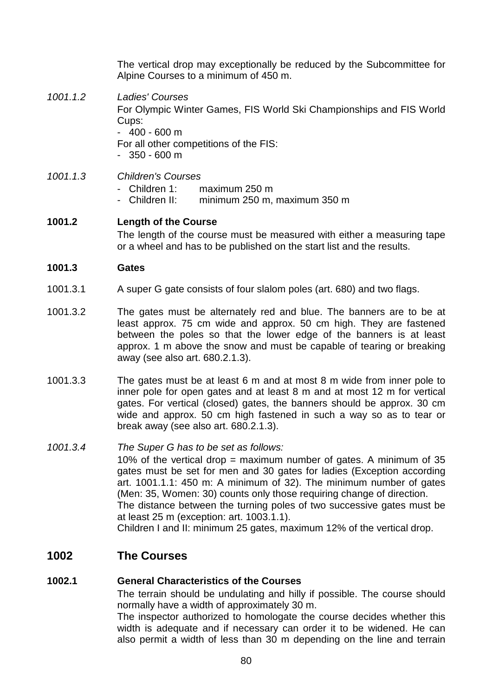The vertical drop may exceptionally be reduced by the Subcommittee for Alpine Courses to a minimum of 450 m.

- 1001.1.2 Ladies' Courses For Olympic Winter Games, FIS World Ski Championships and FIS World Cups:  $-400 - 600$  m For all other competitions of the FIS:  $-350 - 600$  m
- 1001.1.3 Children's Courses
	- Children 1: maximum 250 m
	- Children II: minimum 250 m, maximum 350 m

# **1001.2 Length of the Course**

 The length of the course must be measured with either a measuring tape or a wheel and has to be published on the start list and the results.

#### **1001.3 Gates**

- 1001.3.1 A super G gate consists of four slalom poles (art. 680) and two flags.
- 1001.3.2 The gates must be alternately red and blue. The banners are to be at least approx. 75 cm wide and approx. 50 cm high. They are fastened between the poles so that the lower edge of the banners is at least approx. 1 m above the snow and must be capable of tearing or breaking away (see also art. 680.2.1.3).
- 1001.3.3 The gates must be at least 6 m and at most 8 m wide from inner pole to inner pole for open gates and at least 8 m and at most 12 m for vertical gates. For vertical (closed) gates, the banners should be approx. 30 cm wide and approx. 50 cm high fastened in such a way so as to tear or break away (see also art. 680.2.1.3).
- 1001.3.4 The Super G has to be set as follows: 10% of the vertical drop = maximum number of gates. A minimum of 35 gates must be set for men and 30 gates for ladies (Exception according art. 1001.1.1: 450 m: A minimum of 32). The minimum number of gates (Men: 35, Women: 30) counts only those requiring change of direction. The distance between the turning poles of two successive gates must be at least 25 m (exception: art. 1003.1.1). Children I and II: minimum 25 gates, maximum 12% of the vertical drop.

# **1002 The Courses**

### **1002.1 General Characteristics of the Courses**

 The terrain should be undulating and hilly if possible. The course should normally have a width of approximately 30 m.

 The inspector authorized to homologate the course decides whether this width is adequate and if necessary can order it to be widened. He can also permit a width of less than 30 m depending on the line and terrain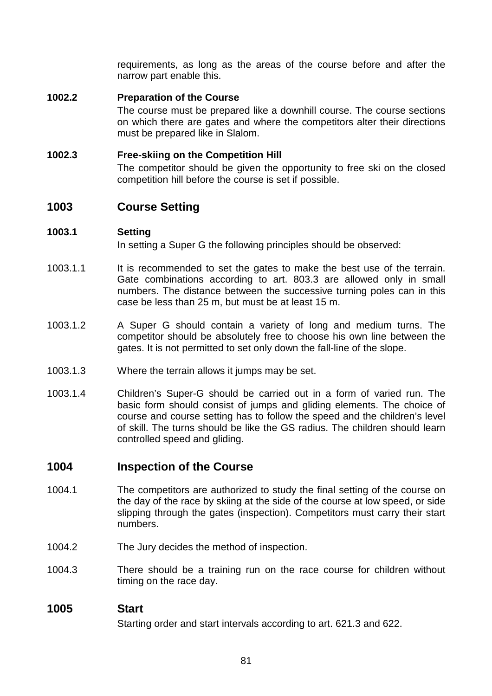requirements, as long as the areas of the course before and after the narrow part enable this.

# **1002.2 Preparation of the Course**

 The course must be prepared like a downhill course. The course sections on which there are gates and where the competitors alter their directions must be prepared like in Slalom.

### **1002.3 Free-skiing on the Competition Hill**

 The competitor should be given the opportunity to free ski on the closed competition hill before the course is set if possible.

# **1003 Course Setting**

### **1003.1 Setting**

In setting a Super G the following principles should be observed:

- 1003.1.1 It is recommended to set the gates to make the best use of the terrain. Gate combinations according to art. 803.3 are allowed only in small numbers. The distance between the successive turning poles can in this case be less than 25 m, but must be at least 15 m.
- 1003.1.2 A Super G should contain a variety of long and medium turns. The competitor should be absolutely free to choose his own line between the gates. It is not permitted to set only down the fall-line of the slope.
- 1003.1.3 Where the terrain allows it jumps may be set.
- 1003.1.4 Children's Super-G should be carried out in a form of varied run. The basic form should consist of jumps and gliding elements. The choice of course and course setting has to follow the speed and the children's level of skill. The turns should be like the GS radius. The children should learn controlled speed and gliding.

# **1004 Inspection of the Course**

- 1004.1 The competitors are authorized to study the final setting of the course on the day of the race by skiing at the side of the course at low speed, or side slipping through the gates (inspection). Competitors must carry their start numbers.
- 1004.2 The Jury decides the method of inspection.
- 1004.3 There should be a training run on the race course for children without timing on the race day.

### **1005 Start**

Starting order and start intervals according to art. 621.3 and 622.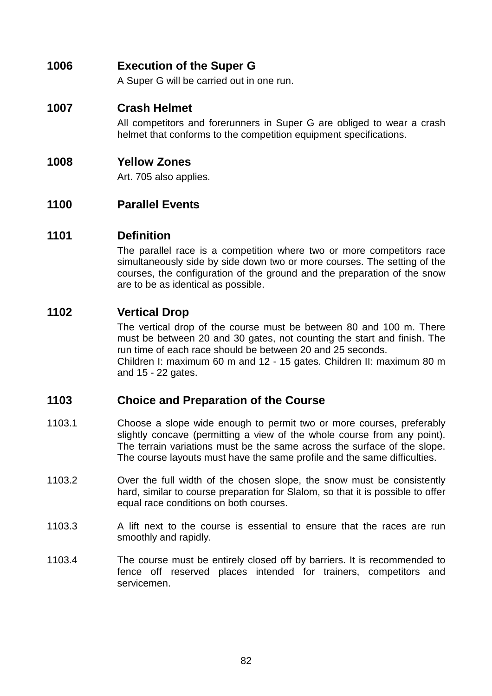# **1006 Execution of the Super G**

A Super G will be carried out in one run.

# **1007 Crash Helmet**

 All competitors and forerunners in Super G are obliged to wear a crash helmet that conforms to the competition equipment specifications.

# **1008 Yellow Zones**

Art. 705 also applies.

# **1100 Parallel Events**

# **1101 Definition**

 The parallel race is a competition where two or more competitors race simultaneously side by side down two or more courses. The setting of the courses, the configuration of the ground and the preparation of the snow are to be as identical as possible.

# **1102 Vertical Drop**

 The vertical drop of the course must be between 80 and 100 m. There must be between 20 and 30 gates, not counting the start and finish. The run time of each race should be between 20 and 25 seconds. Children I: maximum 60 m and 12 - 15 gates. Children II: maximum 80 m and 15 - 22 gates.

# **1103 Choice and Preparation of the Course**

- 1103.1 Choose a slope wide enough to permit two or more courses, preferably slightly concave (permitting a view of the whole course from any point). The terrain variations must be the same across the surface of the slope. The course layouts must have the same profile and the same difficulties.
- 1103.2 Over the full width of the chosen slope, the snow must be consistently hard, similar to course preparation for Slalom, so that it is possible to offer equal race conditions on both courses.
- 1103.3 A lift next to the course is essential to ensure that the races are run smoothly and rapidly.
- 1103.4 The course must be entirely closed off by barriers. It is recommended to fence off reserved places intended for trainers, competitors and servicemen.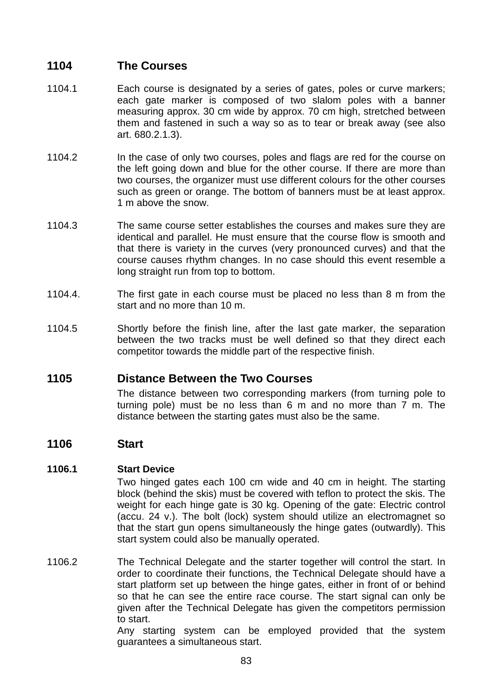# **1104 The Courses**

- 1104.1 Each course is designated by a series of gates, poles or curve markers; each gate marker is composed of two slalom poles with a banner measuring approx. 30 cm wide by approx. 70 cm high, stretched between them and fastened in such a way so as to tear or break away (see also art. 680.2.1.3).
- 1104.2 In the case of only two courses, poles and flags are red for the course on the left going down and blue for the other course. If there are more than two courses, the organizer must use different colours for the other courses such as green or orange. The bottom of banners must be at least approx. 1 m above the snow.
- 1104.3 The same course setter establishes the courses and makes sure they are identical and parallel. He must ensure that the course flow is smooth and that there is variety in the curves (very pronounced curves) and that the course causes rhythm changes. In no case should this event resemble a long straight run from top to bottom.
- 1104.4. The first gate in each course must be placed no less than 8 m from the start and no more than 10 m.
- 1104.5 Shortly before the finish line, after the last gate marker, the separation between the two tracks must be well defined so that they direct each competitor towards the middle part of the respective finish.

# **1105 Distance Between the Two Courses**

 The distance between two corresponding markers (from turning pole to turning pole) must be no less than 6 m and no more than 7 m. The distance between the starting gates must also be the same.

# **1106 Start**

### **1106.1 Start Device**

 Two hinged gates each 100 cm wide and 40 cm in height. The starting block (behind the skis) must be covered with teflon to protect the skis. The weight for each hinge gate is 30 kg. Opening of the gate: Electric control (accu. 24 v.). The bolt (lock) system should utilize an electromagnet so that the start gun opens simultaneously the hinge gates (outwardly). This start system could also be manually operated.

1106.2 The Technical Delegate and the starter together will control the start. In order to coordinate their functions, the Technical Delegate should have a start platform set up between the hinge gates, either in front of or behind so that he can see the entire race course. The start signal can only be given after the Technical Delegate has given the competitors permission to start.

 Any starting system can be employed provided that the system guarantees a simultaneous start.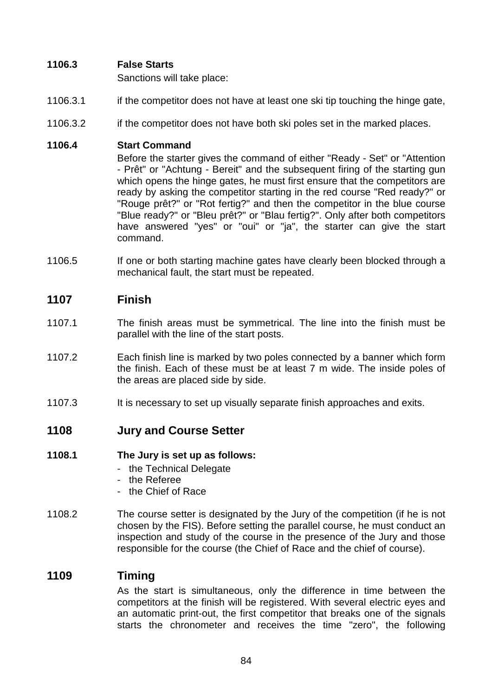# **1106.3 False Starts**

Sanctions will take place:

- 1106.3.1 if the competitor does not have at least one ski tip touching the hinge gate,
- 1106.3.2 if the competitor does not have both ski poles set in the marked places.

### **1106.4 Start Command**

 Before the starter gives the command of either "Ready - Set" or "Attention - Prêt" or "Achtung - Bereit" and the subsequent firing of the starting gun which opens the hinge gates, he must first ensure that the competitors are ready by asking the competitor starting in the red course "Red ready?" or "Rouge prêt?" or "Rot fertig?" and then the competitor in the blue course "Blue ready?" or "Bleu prêt?" or "Blau fertig?". Only after both competitors have answered "yes" or "oui" or "ja", the starter can give the start command.

1106.5 If one or both starting machine gates have clearly been blocked through a mechanical fault, the start must be repeated.

# **1107 Finish**

- 1107.1 The finish areas must be symmetrical. The line into the finish must be parallel with the line of the start posts.
- 1107.2 Each finish line is marked by two poles connected by a banner which form the finish. Each of these must be at least 7 m wide. The inside poles of the areas are placed side by side.
- 1107.3 It is necessary to set up visually separate finish approaches and exits.

# **1108 Jury and Course Setter**

### **1108.1 The Jury is set up as follows:**

- the Technical Delegate
- the Referee
- the Chief of Race
- 1108.2 The course setter is designated by the Jury of the competition (if he is not chosen by the FIS). Before setting the parallel course, he must conduct an inspection and study of the course in the presence of the Jury and those responsible for the course (the Chief of Race and the chief of course).

# **1109 Timing**

 As the start is simultaneous, only the difference in time between the competitors at the finish will be registered. With several electric eyes and an automatic print-out, the first competitor that breaks one of the signals starts the chronometer and receives the time "zero", the following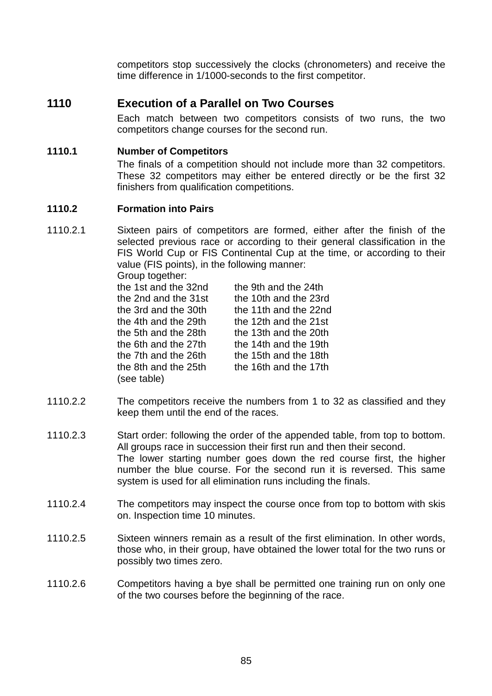competitors stop successively the clocks (chronometers) and receive the time difference in 1/1000-seconds to the first competitor.

# **1110 Execution of a Parallel on Two Courses**

 Each match between two competitors consists of two runs, the two competitors change courses for the second run.

# **1110.1 Number of Competitors**

 The finals of a competition should not include more than 32 competitors. These 32 competitors may either be entered directly or be the first 32 finishers from qualification competitions.

### **1110.2 Formation into Pairs**

1110.2.1 Sixteen pairs of competitors are formed, either after the finish of the selected previous race or according to their general classification in the FIS World Cup or FIS Continental Cup at the time, or according to their value (FIS points), in the following manner: Group together:

| OIVUP IVYVIIVI.      |                       |
|----------------------|-----------------------|
| the 1st and the 32nd | the 9th and the 24th  |
| the 2nd and the 31st | the 10th and the 23rd |
| the 3rd and the 30th | the 11th and the 22nd |
| the 4th and the 29th | the 12th and the 21st |
| the 5th and the 28th | the 13th and the 20th |
| the 6th and the 27th | the 14th and the 19th |
| the 7th and the 26th | the 15th and the 18th |
| the 8th and the 25th | the 16th and the 17th |
| (see table)          |                       |
|                      |                       |

- 1110.2.2 The competitors receive the numbers from 1 to 32 as classified and they keep them until the end of the races.
- 1110.2.3 Start order: following the order of the appended table, from top to bottom. All groups race in succession their first run and then their second. The lower starting number goes down the red course first, the higher number the blue course. For the second run it is reversed. This same system is used for all elimination runs including the finals.
- 1110.2.4 The competitors may inspect the course once from top to bottom with skis on. Inspection time 10 minutes.
- 1110.2.5 Sixteen winners remain as a result of the first elimination. In other words, those who, in their group, have obtained the lower total for the two runs or possibly two times zero.
- 1110.2.6 Competitors having a bye shall be permitted one training run on only one of the two courses before the beginning of the race.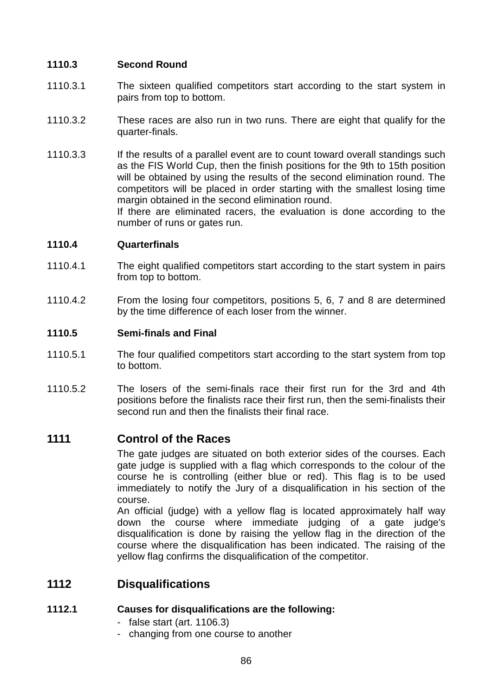### **1110.3 Second Round**

- 1110.3.1 The sixteen qualified competitors start according to the start system in pairs from top to bottom.
- 1110.3.2 These races are also run in two runs. There are eight that qualify for the quarter-finals.
- 1110.3.3 If the results of a parallel event are to count toward overall standings such as the FIS World Cup, then the finish positions for the 9th to 15th position will be obtained by using the results of the second elimination round. The competitors will be placed in order starting with the smallest losing time margin obtained in the second elimination round.

 If there are eliminated racers, the evaluation is done according to the number of runs or gates run.

### **1110.4 Quarterfinals**

- 1110.4.1 The eight qualified competitors start according to the start system in pairs from top to bottom.
- 1110.4.2 From the losing four competitors, positions 5, 6, 7 and 8 are determined by the time difference of each loser from the winner.

### **1110.5 Semi-finals and Final**

- 1110.5.1 The four qualified competitors start according to the start system from top to bottom.
- 1110.5.2 The losers of the semi-finals race their first run for the 3rd and 4th positions before the finalists race their first run, then the semi-finalists their second run and then the finalists their final race.

# **1111 Control of the Races**

 The gate judges are situated on both exterior sides of the courses. Each gate judge is supplied with a flag which corresponds to the colour of the course he is controlling (either blue or red). This flag is to be used immediately to notify the Jury of a disqualification in his section of the course.

 An official (judge) with a yellow flag is located approximately half way down the course where immediate judging of a gate judge's disqualification is done by raising the yellow flag in the direction of the course where the disqualification has been indicated. The raising of the yellow flag confirms the disqualification of the competitor.

# **1112 Disqualifications**

### **1112.1 Causes for disqualifications are the following:**

- false start (art. 1106.3)
- changing from one course to another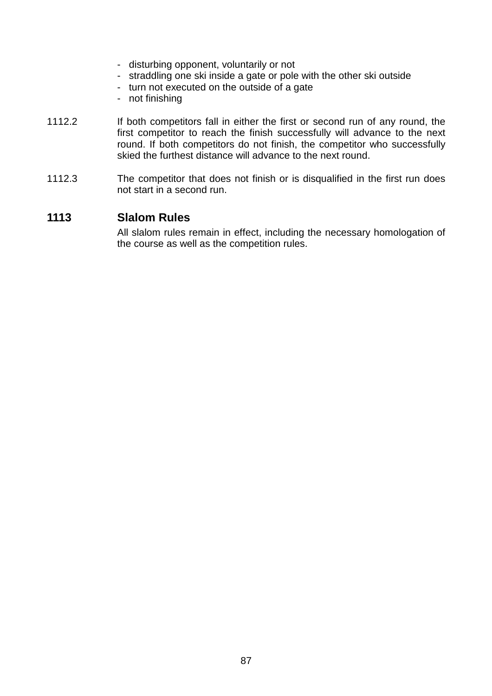- disturbing opponent, voluntarily or not
- straddling one ski inside a gate or pole with the other ski outside
- turn not executed on the outside of a gate
- not finishing
- 1112.2 If both competitors fall in either the first or second run of any round, the first competitor to reach the finish successfully will advance to the next round. If both competitors do not finish, the competitor who successfully skied the furthest distance will advance to the next round.
- 1112.3 The competitor that does not finish or is disqualified in the first run does not start in a second run.

# **1113 Slalom Rules**

 All slalom rules remain in effect, including the necessary homologation of the course as well as the competition rules.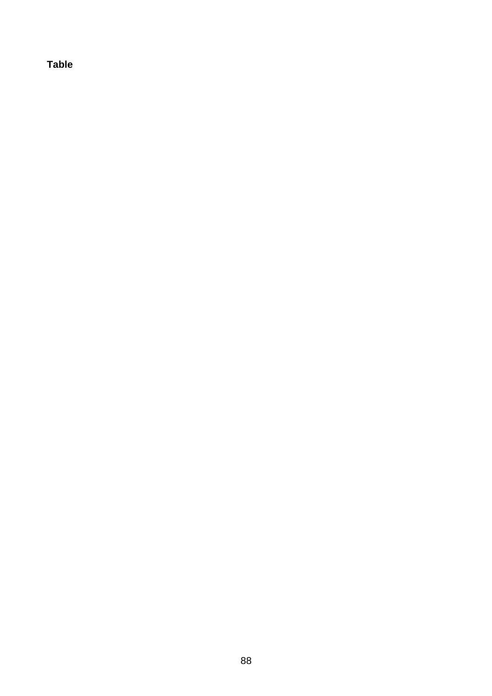**Table**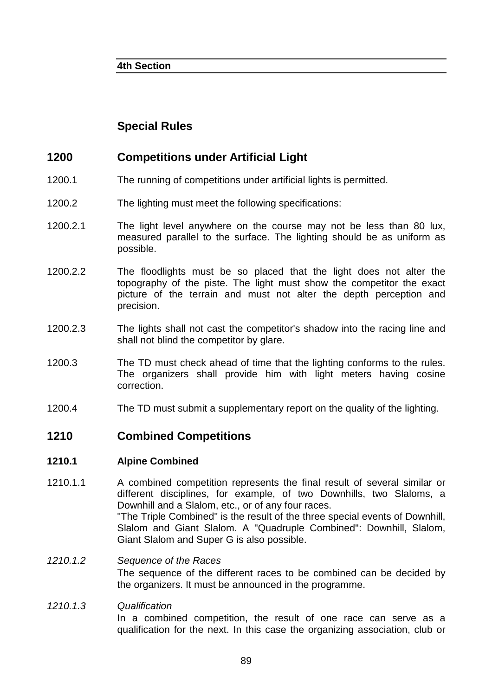# **Special Rules**

# **1200 Competitions under Artificial Light**

- 1200.1 The running of competitions under artificial lights is permitted.
- 1200.2 The lighting must meet the following specifications:
- 1200.2.1 The light level anywhere on the course may not be less than 80 lux, measured parallel to the surface. The lighting should be as uniform as possible.
- 1200.2.2 The floodlights must be so placed that the light does not alter the topography of the piste. The light must show the competitor the exact picture of the terrain and must not alter the depth perception and precision.
- 1200.2.3 The lights shall not cast the competitor's shadow into the racing line and shall not blind the competitor by glare.
- 1200.3 The TD must check ahead of time that the lighting conforms to the rules. The organizers shall provide him with light meters having cosine correction.
- 1200.4 The TD must submit a supplementary report on the quality of the lighting.

# **1210 Combined Competitions**

### **1210.1 Alpine Combined**

- 1210.1.1 A combined competition represents the final result of several similar or different disciplines, for example, of two Downhills, two Slaloms, a Downhill and a Slalom, etc., or of any four races. "The Triple Combined" is the result of the three special events of Downhill, Slalom and Giant Slalom. A "Quadruple Combined": Downhill, Slalom, Giant Slalom and Super G is also possible.
- 1210.1.2 Sequence of the Races The sequence of the different races to be combined can be decided by the organizers. It must be announced in the programme.

# 1210.1.3 Qualification In a combined competition, the result of one race can serve as a qualification for the next. In this case the organizing association, club or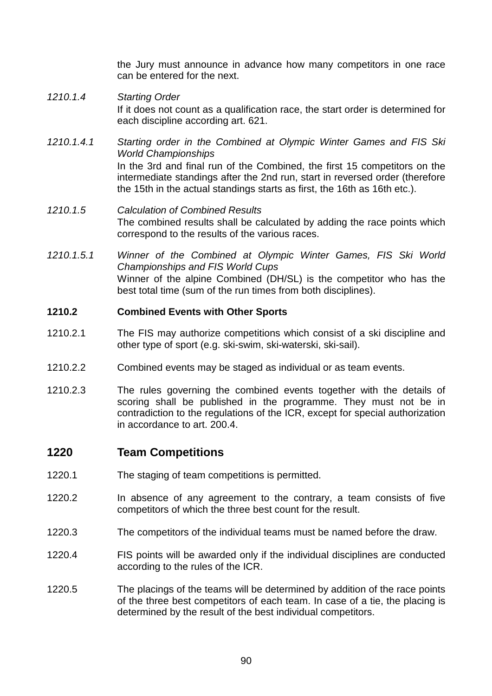the Jury must announce in advance how many competitors in one race can be entered for the next.

- 1210.1.4 Starting Order If it does not count as a qualification race, the start order is determined for each discipline according art. 621.
- 1210.1.4.1 Starting order in the Combined at Olympic Winter Games and FIS Ski World Championships In the 3rd and final run of the Combined, the first 15 competitors on the intermediate standings after the 2nd run, start in reversed order (therefore the 15th in the actual standings starts as first, the 16th as 16th etc.).
- 1210.1.5 Calculation of Combined Results The combined results shall be calculated by adding the race points which correspond to the results of the various races.
- 1210.1.5.1 Winner of the Combined at Olympic Winter Games, FIS Ski World Championships and FIS World Cups Winner of the alpine Combined (DH/SL) is the competitor who has the best total time (sum of the run times from both disciplines).

### **1210.2 Combined Events with Other Sports**

- 1210.2.1 The FIS may authorize competitions which consist of a ski discipline and other type of sport (e.g. ski-swim, ski-waterski, ski-sail).
- 1210.2.2 Combined events may be staged as individual or as team events.
- 1210.2.3 The rules governing the combined events together with the details of scoring shall be published in the programme. They must not be in contradiction to the regulations of the ICR, except for special authorization in accordance to art. 200.4.

# **1220 Team Competitions**

- 1220.1 The staging of team competitions is permitted.
- 1220.2 In absence of any agreement to the contrary, a team consists of five competitors of which the three best count for the result.
- 1220.3 The competitors of the individual teams must be named before the draw.
- 1220.4 FIS points will be awarded only if the individual disciplines are conducted according to the rules of the ICR.
- 1220.5 The placings of the teams will be determined by addition of the race points of the three best competitors of each team. In case of a tie, the placing is determined by the result of the best individual competitors.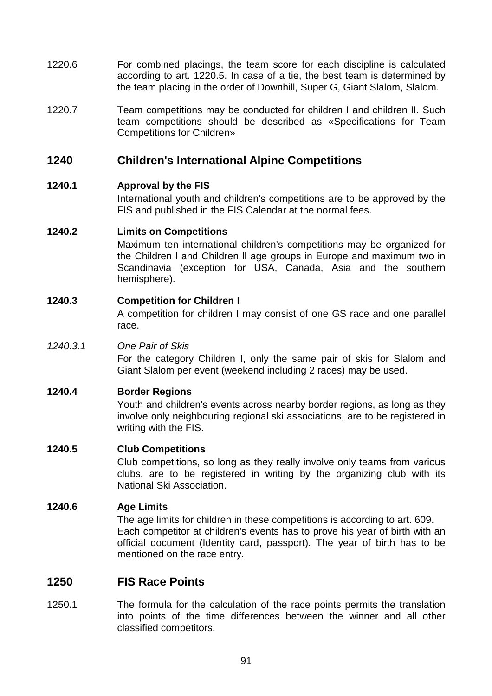- 1220.6 For combined placings, the team score for each discipline is calculated according to art. 1220.5. In case of a tie, the best team is determined by the team placing in the order of Downhill, Super G, Giant Slalom, Slalom.
- 1220.7 Team competitions may be conducted for children I and children II. Such team competitions should be described as «Specifications for Team Competitions for Children»

# **1240 Children's International Alpine Competitions**

### **1240.1 Approval by the FIS**

 International youth and children's competitions are to be approved by the FIS and published in the FIS Calendar at the normal fees.

### **1240.2 Limits on Competitions**

 Maximum ten international children's competitions may be organized for the Children l and Children ll age groups in Europe and maximum two in Scandinavia (exception for USA, Canada, Asia and the southern hemisphere).

### **1240.3 Competition for Children I**

 A competition for children I may consist of one GS race and one parallel race.

### 1240.3.1 One Pair of Skis

 For the category Children I, only the same pair of skis for Slalom and Giant Slalom per event (weekend including 2 races) may be used.

### **1240.4 Border Regions**

 Youth and children's events across nearby border regions, as long as they involve only neighbouring regional ski associations, are to be registered in writing with the FIS.

### **1240.5 Club Competitions**

 Club competitions, so long as they really involve only teams from various clubs, are to be registered in writing by the organizing club with its National Ski Association.

### **1240.6 Age Limits**

 The age limits for children in these competitions is according to art. 609. Each competitor at children's events has to prove his year of birth with an official document (Identity card, passport). The year of birth has to be mentioned on the race entry.

# **1250 FIS Race Points**

1250.1 The formula for the calculation of the race points permits the translation into points of the time differences between the winner and all other classified competitors.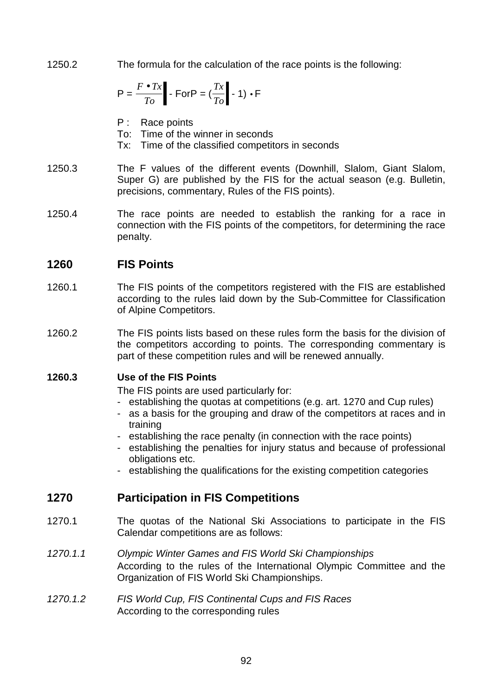1250.2 The formula for the calculation of the race points is the following:

$$
P = \frac{F \bullet Tx}{To} - ForP = (\frac{Tx}{To} - 1) \bullet F
$$

- P : Race points
- To: Time of the winner in seconds
- Tx: Time of the classified competitors in seconds
- 1250.3 The F values of the different events (Downhill, Slalom, Giant Slalom, Super G) are published by the FIS for the actual season (e.g. Bulletin, precisions, commentary, Rules of the FIS points).
- 1250.4 The race points are needed to establish the ranking for a race in connection with the FIS points of the competitors, for determining the race penalty.

# **1260 FIS Points**

- 1260.1 The FIS points of the competitors registered with the FIS are established according to the rules laid down by the Sub-Committee for Classification of Alpine Competitors.
- 1260.2 The FIS points lists based on these rules form the basis for the division of the competitors according to points. The corresponding commentary is part of these competition rules and will be renewed annually.

### **1260.3 Use of the FIS Points**

The FIS points are used particularly for:

- establishing the quotas at competitions (e.g. art. 1270 and Cup rules)
- as a basis for the grouping and draw of the competitors at races and in training
- establishing the race penalty (in connection with the race points)
- establishing the penalties for injury status and because of professional obligations etc.
- establishing the qualifications for the existing competition categories

# **1270 Participation in FIS Competitions**

- 1270.1 The quotas of the National Ski Associations to participate in the FIS Calendar competitions are as follows:
- 1270.1.1 Olympic Winter Games and FIS World Ski Championships According to the rules of the International Olympic Committee and the Organization of FIS World Ski Championships.
- 1270.1.2 FIS World Cup, FIS Continental Cups and FIS Races According to the corresponding rules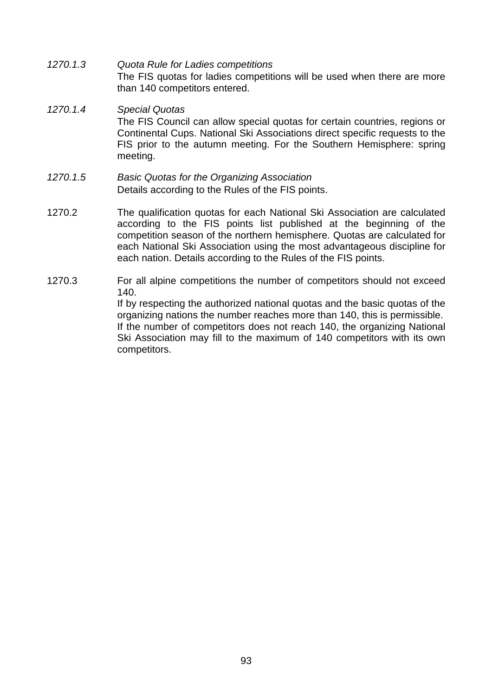1270.1.3 Quota Rule for Ladies competitions The FIS quotas for ladies competitions will be used when there are more than 140 competitors entered.

### 1270.1.4 Special Quotas The FIS Council can allow special quotas for certain countries, regions or Continental Cups. National Ski Associations direct specific requests to the FIS prior to the autumn meeting. For the Southern Hemisphere: spring meeting.

#### 1270.1.5 Basic Quotas for the Organizing Association Details according to the Rules of the FIS points.

- 1270.2 The qualification quotas for each National Ski Association are calculated according to the FIS points list published at the beginning of the competition season of the northern hemisphere. Quotas are calculated for each National Ski Association using the most advantageous discipline for each nation. Details according to the Rules of the FIS points.
- 1270.3 For all alpine competitions the number of competitors should not exceed 140. If by respecting the authorized national quotas and the basic quotas of the

organizing nations the number reaches more than 140, this is permissible. If the number of competitors does not reach 140, the organizing National Ski Association may fill to the maximum of 140 competitors with its own competitors.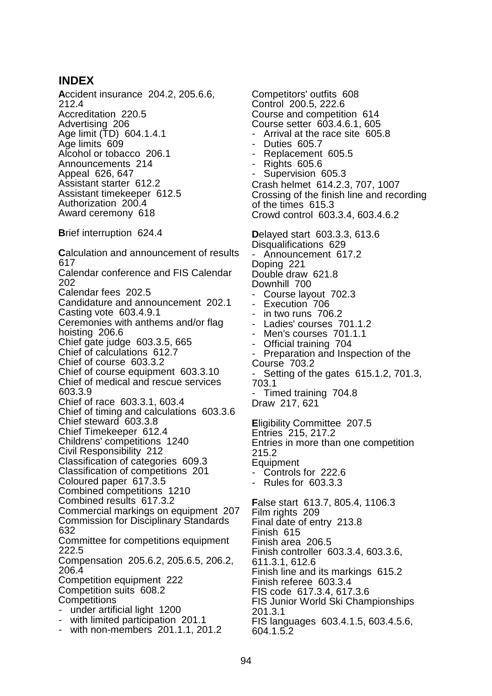### **INDEX**

**A**ccident insurance 204.2, 205.6.6, 212.4 Accreditation 220.5 Advertising 206 Age limit (TD) 604.1.4.1 Age limits 609 Alcohol or tobacco 206.1 Announcements 214 Appeal 626, 647 Assistant starter 612.2 Assistant timekeeper 612.5 Authorization 200.4 Award ceremony 618 **B**rief interruption 624.4 **C**alculation and announcement of results 617 Calendar conference and FIS Calendar 202 Calendar fees 202.5 Candidature and announcement 202.1 Casting vote 603.4.9.1 Ceremonies with anthems and/or flag hoisting 206.6 Chief gate judge 603.3.5, 665 Chief of calculations 612.7 Chief of course 603.3.2 Chief of course equipment 603.3.10 Chief of medical and rescue services 603.3.9 Chief of race 603.3.1, 603.4 Chief of timing and calculations 603.3.6 Chief steward 603.3.8 Chief Timekeeper 612.4 Childrens' competitions 1240 Civil Responsibility 212

Classification of categories 609.3

Classification of competitions 201 Coloured paper 617.3.5

Combined competitions 1210

Combined results 617.3.2

Commercial markings on equipment 207 Commission for Disciplinary Standards 632

Committee for competitions equipment 222.5

Compensation 205.6.2, 205.6.5, 206.2, 206.4

Competition equipment 222 Competition suits 608.2 **Competitions** 

- under artificial light 1200
- with limited participation 201.1
- with non-members 201.1.1, 201.2

Competitors' outfits 608 Control 200.5, 222.6 Course and competition 614 Course setter 603.4.6.1, 605 Arrival at the race site 605.8 Duties 605.7 - Replacement 605.5 - Rights 605.6 Supervision 605.3 Crash helmet 614.2.3, 707, 1007 Crossing of the finish line and recording of the times 615.3 Crowd control 603.3.4, 603.4.6.2 **D**elayed start 603.3.3, 613.6 Disqualifications 629 - Announcement 617.2 Doping 221 Double draw 621.8 Downhill 700 Course layout 702.3 Execution 706 in two runs 706.2 Ladies' courses 701.1.2 Men's courses 701.1.1 - Official training 704 Preparation and Inspection of the Course 703.2 Setting of the gates 615.1.2, 701.3, 703.1 - Timed training 704.8 Draw 217, 621 **E**ligibility Committee 207.5 Entries 215, 217.2 Entries in more than one competition 215.2 Equipment Controls for 222.6 - Rules for 603.3.3 **F**alse start 613.7, 805.4, 1106.3 Film rights 209 Final date of entry 213.8 Finish 615 Finish area 206.5 Finish controller 603.3.4, 603.3.6, 611.3.1, 612.6 Finish line and its markings 615.2 Finish referee 603.3.4 FIS code 617.3.4, 617.3.6 FIS Junior World Ski Championships 201.3.1

FIS languages 603.4.1.5, 603.4.5.6, 604.1.5.2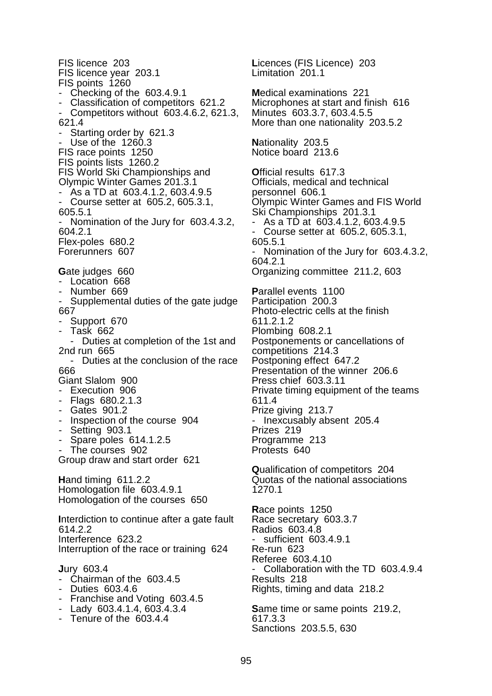FIS licence 203 FIS licence year 203.1 FIS points 1260 - Checking of the 603.4.9.1 - Classification of competitors 621.2 - Competitors without 603.4.6.2, 621.3, 621.4 Starting order by 621.3 Use of the 1260.3 FIS race points 1250 FIS points lists 1260.2 FIS World Ski Championships and Olympic Winter Games 201.3.1 - As a TD at 603.4.1.2, 603.4.9.5 - Course setter at 605.2, 605.3.1, 605.5.1 - Nomination of the Jury for 603.4.3.2, 604.2.1 Flex-poles 680.2 Forerunners 607 Gate judges 660 - Location 668 - Number 669 - Supplemental duties of the gate judge 667 - Support 670 - Task 662 - Duties at completion of the 1st and 2nd run 665 - Duties at the conclusion of the race 666 Giant Slalom 900 - Execution 906 - Flags 680.2.1.3 - Gates 901.2 - Inspection of the course 904 - Setting 903.1 - Spare poles 614.1.2.5 The courses 902 Group draw and start order 621 **H**and timing 611.2.2 Homologation file 603.4.9.1 Homologation of the courses 650 **I**nterdiction to continue after a gate fault 614.2.2 Interference 623.2 Interruption of the race or training 624 **J**ury 603.4 - Chairman of the 603.4.5 - Duties 603.4.6 - Franchise and Voting 603.4.5 - Lady 603.4.1.4, 603.4.3.4 - Tenure of the 603.4.4

**L**icences (FIS Licence) 203 Limitation 201.1 **M**edical examinations 221 Microphones at start and finish 616 Minutes 603.3.7, 603.4.5.5 More than one nationality 203.5.2 **N**ationality 203.5 Notice board 213.6 **O**fficial results 617.3 Officials, medical and technical personnel 606.1 Olympic Winter Games and FIS World Ski Championships 201.3.1 - As a TD at 603.4.1.2, 603.4.9.5 - Course setter at 605.2, 605.3.1, 605.5.1 - Nomination of the Jury for 603.4.3.2, 604.2.1 Organizing committee 211.2, 603 **P**arallel events 1100 Participation 200.3 Photo-electric cells at the finish 611.2.1.2 Plombing 608.2.1 Postponements or cancellations of competitions 214.3 Postponing effect 647.2 Presentation of the winner 206.6 Press chief 603.3.11 Private timing equipment of the teams 611.4 Prize giving 213.7 - Inexcusably absent 205.4 Prizes 219 Programme 213 Protests 640 **Q**ualification of competitors 204 Quotas of the national associations 1270.1 **R**ace points 1250 Race secretary 603.3.7 Radios 603.4.8 sufficient 603.4.9.1 Re-run 623 Referee 603.4.10 Collaboration with the TD 603.4.9.4 Results 218 Rights, timing and data 218.2 **S**ame time or same points 219.2, 617.3.3 Sanctions 203.5.5, 630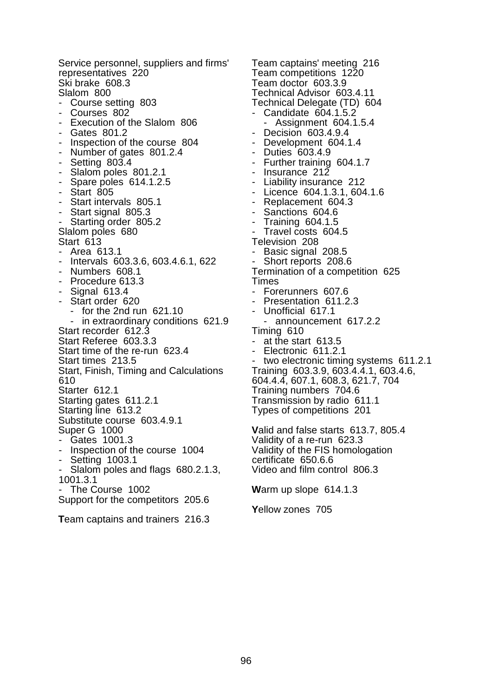Service personnel, suppliers and firms' representatives 220 Ski brake 608.3 Slalom 800 - Course setting 803 - Courses 802 - Execution of the Slalom 806 - Gates 801.2 - Inspection of the course 804 - Number of gates 801.2.4 **Setting 803.4** - Slalom poles 801.2.1 - Spare poles 614.1.2.5 - Start 805 - Start intervals 805.1 - Start signal 805.3 - Starting order 805.2 Slalom poles 680 Start 613 - Area 613.1 - Intervals 603.3.6, 603.4.6.1, 622 - Numbers 608.1 - Procedure 613.3 - Signal 613.4 - Start order 620 - for the 2nd run 621.10 - in extraordinary conditions 621.9 Start recorder 612.3 Start Referee 603.3.3 Start time of the re-run 623.4 Start times 213.5 Start, Finish, Timing and Calculations 610 Starter 612.1 Starting gates 611.2.1 Starting line 613.2 Substitute course 603.4.9.1 Super G 1000 - Gates 1001.3 Inspection of the course 1004 - Setting 1003.1 - Slalom poles and flags 680.2.1.3, 1001.3.1 - The Course 1002 Support for the competitors 205.6

**T**eam captains and trainers 216.3

Team captains' meeting 216 Team competitions 1220 Team doctor 603.3.9 Technical Advisor 603.4.11 Technical Delegate (TD) 604 - Candidate 604.1.5.2 - Assignment 604.1.5.4 - Decision 603.4.9.4 - Development 604.1.4 - Duties 603.4.9 - Further training 604.1.7 - Insurance 212 - Liability insurance 212 - Licence 604.1.3.1, 604.1.6 - Replacement 604.3<br>- Sanctions 604.6 - Sanctions 604.6<br>- Training 604.1.5 - Training 604.1.5 Travel costs 604.5 Television 208 - Basic signal 208.5 - Short reports 208.6 Termination of a competition 625 Times - Forerunners 607.6 - Presentation 611.2.3 Unofficial 617.1 - announcement 617.2.2 Timing 610 at the start 613.5 Electronic 611.2.1 two electronic timing systems 611.2.1 Training 603.3.9, 603.4.4.1, 603.4.6, 604.4.4, 607.1, 608.3, 621.7, 704 Training numbers 704.6 Transmission by radio 611.1 Types of competitions 201 **V**alid and false starts 613.7, 805.4 Validity of a re-run 623.3 Validity of the FIS homologation certificate 650.6.6 Video and film control 806.3 **W**arm up slope 614.1.3

**Y**ellow zones 705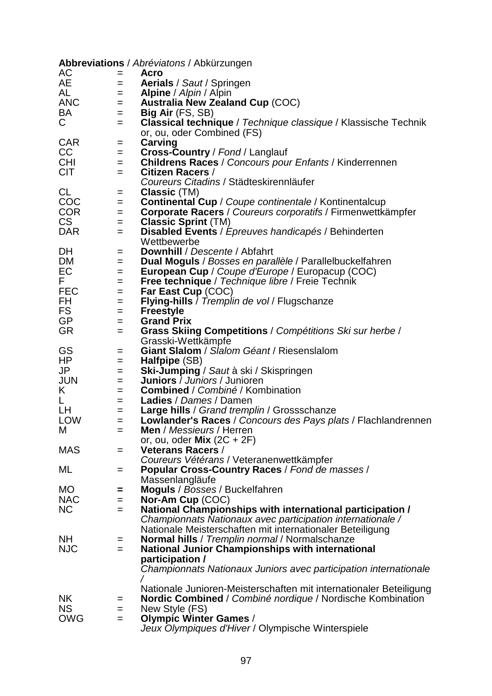|            |            | Abbreviations / Abréviatons / Abkürzungen                                                                                        |
|------------|------------|----------------------------------------------------------------------------------------------------------------------------------|
| AC         | $=$        | Acro                                                                                                                             |
| AE         | $=$        | <b>Aerials</b> / Saut / Springen                                                                                                 |
| AL         | $=$        | <b>Alpine</b> / <i>Alpin</i> / Alpin                                                                                             |
| <b>ANC</b> | $=$        | <b>Australia New Zealand Cup (COC)</b>                                                                                           |
| BA         | $=$        | <b>Big Air</b> (FS, SB)                                                                                                          |
| C          | =          | <b>Classical technique</b> / Technique classique / Klassische Technik                                                            |
|            |            | or, ou, oder Combined (FS)                                                                                                       |
| <b>CAR</b> | $=$        | Carving                                                                                                                          |
| CC         | $=$        | Cross-Country / Fond / Langlauf                                                                                                  |
| <b>CHI</b> | $=$        | <b>Childrens Races</b> / Concours pour Enfants / Kinderrennen                                                                    |
| <b>CIT</b> | $=$        | <b>Citizen Racers /</b><br>Coureurs Citadins / Städteskirennläufer                                                               |
| <b>CL</b>  |            |                                                                                                                                  |
| COC        | $=$        | Classic (TM)<br><b>Continental Cup</b> / Coupe continentale / Kontinentalcup                                                     |
| <b>COR</b> | $=$<br>$=$ | <b>Corporate Racers</b> / Coureurs corporatifs / Firmenwettkämpfer                                                               |
| CS         | $=$        | <b>Classic Sprint (TM)</b>                                                                                                       |
| DAR        | =          | <b>Disabled Events</b> / <i>Epreuves handicapés</i> / Behinderten                                                                |
|            |            | Wettbewerbe                                                                                                                      |
| DH         | =          | Downhill / Descente / Abfahrt                                                                                                    |
| DM         | $=$        | Dual Moguls / Bosses en parallèle / Parallelbuckelfahren                                                                         |
| EC         | =          | European Cup / Coupe d'Europe / Europacup (COC)                                                                                  |
| F.         | $=$        | Free technique / Technique libre / Freie Technik                                                                                 |
| <b>FEC</b> | $=$        | Far East Cup (COC)                                                                                                               |
| FH         | =          | <b>Flying-hills</b> / Tremplin de vol / Flugschanze                                                                              |
| FS         | =          | <b>Freestyle</b>                                                                                                                 |
| <b>GP</b>  | =          | <b>Grand Prix</b>                                                                                                                |
| <b>GR</b>  | $=$        | Grass Skiing Competitions / Compétitions Ski sur herbe /                                                                         |
|            |            | Grasski-Wettkämpfe                                                                                                               |
| GS         | =          | Giant Slalom / Slalom Géant / Riesenslalom                                                                                       |
| HP         | $=$        | Halfpipe (SB)                                                                                                                    |
| JP         | $=$        | <b>Ski-Jumping</b> / Saut à ski / Skispringen                                                                                    |
| <b>JUN</b> | $=$        | <b>Juniors</b> / <i>Juniors</i> / Junioren                                                                                       |
| K          | $=$        | Combined / Combiné / Kombination                                                                                                 |
| L.         | $=$        | <b>Ladies</b> / Dames / Damen                                                                                                    |
| LН         | $=$        | Large hills / Grand tremplin / Grossschanze                                                                                      |
| <b>LOW</b> | $=$        | Lowlander's Races / Concours des Pays plats / Flachlandrennen                                                                    |
| M          | =          | Men / Messieurs / Herren                                                                                                         |
|            |            | or, ou, oder $Mix (2C + 2F)$                                                                                                     |
| <b>MAS</b> | =          | <b>Veterans Racers /</b>                                                                                                         |
|            |            | Coureurs Vétérans / Veteranenwettkämpfer                                                                                         |
| ML         | =          | Popular Cross-Country Races / Fond de masses /                                                                                   |
|            |            | Massenlangläufe                                                                                                                  |
| <b>MO</b>  | =          | <b>Moguls</b> / Bosses / Buckelfahren                                                                                            |
| <b>NAC</b> | =          | Nor-Am Cup (COC)                                                                                                                 |
| <b>NC</b>  | $=$        | National Championships with international participation /                                                                        |
|            |            | Championnats Nationaux avec participation internationale /                                                                       |
|            |            | Nationale Meisterschaften mit internationaler Beteiligung                                                                        |
| <b>NH</b>  | =          | Normal hills / Tremplin normal / Normalschanze                                                                                   |
| <b>NJC</b> | $=$        | <b>National Junior Championships with international</b>                                                                          |
|            |            | participation /                                                                                                                  |
|            |            | Championnats Nationaux Juniors avec participation internationale                                                                 |
|            |            |                                                                                                                                  |
| <b>NK</b>  |            | Nationale Junioren-Meisterschaften mit internationaler Beteiligung<br>Nordic Combined / Combiné nordique / Nordische Kombination |
| <b>NS</b>  | =          | New Style (FS)                                                                                                                   |
| <b>OWG</b> | =<br>$=$   | <b>Olympic Winter Games /</b>                                                                                                    |
|            |            | Jeux Olympiques d'Hiver / Olympische Winterspiele                                                                                |
|            |            |                                                                                                                                  |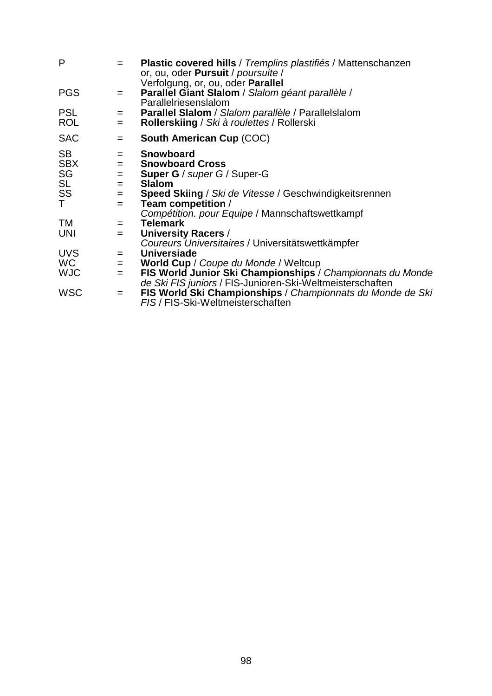| P          | $=$ | Plastic covered hills / Tremplins plastifiés / Mattenschanzen<br>or, ou, oder <b>Pursuit</b> / poursuite /<br>Verfolgung, or, ou, oder Parallel |
|------------|-----|-------------------------------------------------------------------------------------------------------------------------------------------------|
| <b>PGS</b> | $=$ | Parallel Giant Slalom / Slalom géant parallèle /<br>Parallelriesenslalom                                                                        |
| <b>PSL</b> | $=$ | Parallel Slalom / Slalom parallèle / Parallelslalom                                                                                             |
| <b>ROL</b> | $=$ | Rollerskiing / Ski à roulettes / Rollerski                                                                                                      |
| <b>SAC</b> | $=$ | <b>South American Cup (COC)</b>                                                                                                                 |
| <b>SB</b>  | $=$ | <b>Snowboard</b>                                                                                                                                |
| <b>SBX</b> | $=$ | <b>Snowboard Cross</b>                                                                                                                          |
| SG         | $=$ | <b>Super G</b> / super G / Super-G                                                                                                              |
| <b>SL</b>  | $=$ | <b>Slalom</b>                                                                                                                                   |
| SS<br>T    | $=$ | <b>Speed Skiing / Ski de Vitesse / Geschwindigkeitsrennen</b>                                                                                   |
|            | $=$ | Team competition /                                                                                                                              |
|            |     | Compétition. pour Equipe / Mannschaftswettkampf                                                                                                 |
| TM         | $=$ | <b>Telemark</b>                                                                                                                                 |
| UNI        | $=$ | University Racers /                                                                                                                             |
|            |     | Coureurs Universitaires / Universitätswettkämpfer                                                                                               |
| <b>UVS</b> | $=$ | <b>Universiade</b>                                                                                                                              |
| WC.        | $=$ | World Cup / Coupe du Monde / Weltcup                                                                                                            |
| <b>WJC</b> | $=$ | FIS World Junior Ski Championships / Championnats du Monde                                                                                      |
|            |     | de Ski FIS juniors / FIS-Junioren-Ski-Weltmeisterschaften                                                                                       |
| <b>WSC</b> | $=$ | FIS World Ski Championships / Championnats du Monde de Ski<br>FIS / FIS-Ski-Weltmeisterschaften                                                 |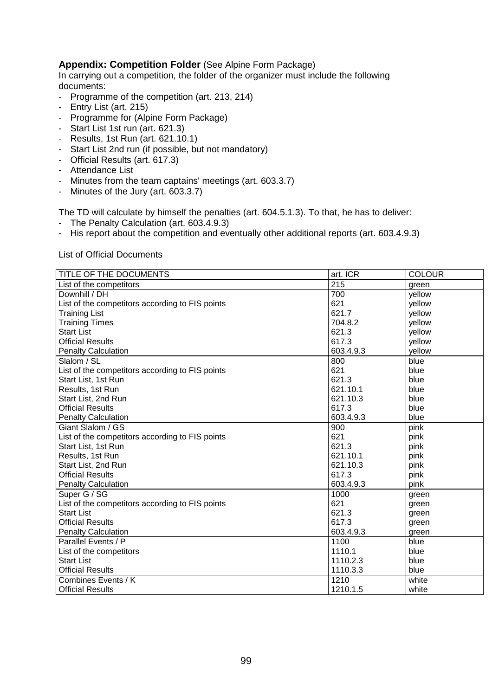### **Appendix: Competition Folder** (See Alpine Form Package)

In carrying out a competition, the folder of the organizer must include the following documents:

- Programme of the competition (art. 213, 214)
- Entry List (art. 215)
- Programme for (Alpine Form Package)
- Start List 1st run (art. 621.3)
- Results, 1st Run (art. 621.10.1)
- Start List 2nd run (if possible, but not mandatory)
- Official Results (art. 617.3)
- Attendance List
- Minutes from the team captains' meetings (art. 603.3.7)
- Minutes of the Jury (art. 603.3.7)

The TD will calculate by himself the penalties (art. 604.5.1.3). To that, he has to deliver:

- The Penalty Calculation (art. 603.4.9.3)
- His report about the competition and eventually other additional reports (art. 603.4.9.3)

List of Official Documents

| TITLE OF THE DOCUMENTS                          | art. ICR  | <b>COLOUR</b> |
|-------------------------------------------------|-----------|---------------|
| List of the competitors                         | 215       | green         |
| Downhill / DH                                   | 700       | yellow        |
| List of the competitors according to FIS points | 621       | yellow        |
| <b>Training List</b>                            | 621.7     | yellow        |
| <b>Training Times</b>                           | 704.8.2   | yellow        |
| <b>Start List</b>                               | 621.3     | yellow        |
| <b>Official Results</b>                         | 617.3     | yellow        |
| <b>Penalty Calculation</b>                      | 603.4.9.3 | yellow        |
| Slalom / SL                                     | 800       | blue          |
| List of the competitors according to FIS points | 621       | blue          |
| Start List, 1st Run                             | 621.3     | blue          |
| Results, 1st Run                                | 621.10.1  | blue          |
| Start List, 2nd Run                             | 621.10.3  | blue          |
| <b>Official Results</b>                         | 617.3     | blue          |
| <b>Penalty Calculation</b>                      | 603.4.9.3 | blue          |
| Giant Slalom / GS                               | 900       | pink          |
| List of the competitors according to FIS points | 621       | pink          |
| Start List, 1st Run                             | 621.3     | pink          |
| Results, 1st Run                                | 621.10.1  | pink          |
| Start List, 2nd Run                             | 621.10.3  | pink          |
| <b>Official Results</b>                         | 617.3     | pink          |
| <b>Penalty Calculation</b>                      | 603.4.9.3 | pink          |
| Super G / SG                                    | 1000      | green         |
| List of the competitors according to FIS points | 621       | green         |
| <b>Start List</b>                               | 621.3     | green         |
| <b>Official Results</b>                         | 617.3     | green         |
| <b>Penalty Calculation</b>                      | 603.4.9.3 | green         |
| Parallel Events / P                             | 1100      | blue          |
| List of the competitors                         | 1110.1    | blue          |
| <b>Start List</b>                               | 1110.2.3  | blue          |
| <b>Official Results</b>                         | 1110.3.3  | blue          |
| Combines Events / K                             | 1210      | white         |
| <b>Official Results</b>                         | 1210.1.5  | white         |